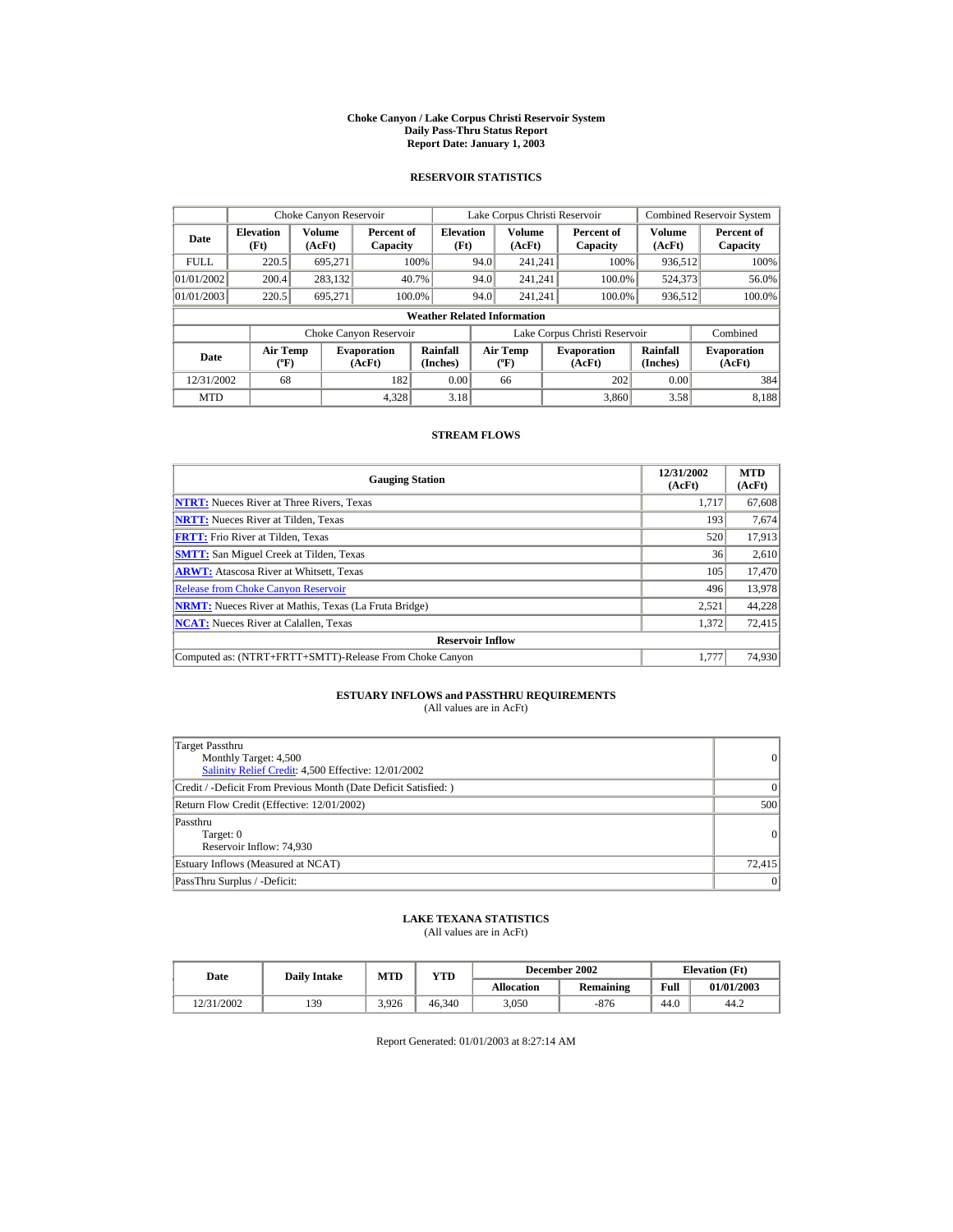#### **Choke Canyon / Lake Corpus Christi Reservoir System Daily Pass-Thru Status Report Report Date: January 1, 2003**

## **RESERVOIR STATISTICS**

|                                  | Choke Canyon Reservoir                      |                  |                              |                          |      | Lake Corpus Christi Reservoir           |  |                               |                      | <b>Combined Reservoir System</b> |  |  |
|----------------------------------|---------------------------------------------|------------------|------------------------------|--------------------------|------|-----------------------------------------|--|-------------------------------|----------------------|----------------------------------|--|--|
| <b>Elevation</b><br>Date<br>(Ft) |                                             | Volume<br>(AcFt) | Percent of<br>Capacity       | <b>Elevation</b><br>(Ft) |      | <b>Volume</b><br>(AcFt)                 |  | Percent of<br>Capacity        | Volume<br>(AcFt)     | Percent of<br>Capacity           |  |  |
| <b>FULL</b>                      | 220.5                                       | 695.271          |                              | 100%                     | 94.0 | 241.241                                 |  | 100%                          | 936,512              | 100%                             |  |  |
| 01/01/2002                       | 200.4                                       | 283,132          |                              | 40.7%                    | 94.0 | 241.241                                 |  | 100.0%                        | 524,373              | 56.0%                            |  |  |
| 01/01/2003                       | 220.5                                       | 695,271          | 100.0%                       |                          | 94.0 | 241.241                                 |  | 100.0%                        | 936,512              | 100.0%                           |  |  |
|                                  | <b>Weather Related Information</b>          |                  |                              |                          |      |                                         |  |                               |                      |                                  |  |  |
|                                  |                                             |                  | Choke Canyon Reservoir       |                          |      |                                         |  | Lake Corpus Christi Reservoir |                      | Combined                         |  |  |
| Date                             | <b>Air Temp</b><br>$({}^{\circ}\mathrm{F})$ |                  | <b>Evaporation</b><br>(AcFt) | Rainfall<br>(Inches)     |      | <b>Air Temp</b><br>$(^{\circ}\text{F})$ |  | <b>Evaporation</b><br>(AcFt)  | Rainfall<br>(Inches) | <b>Evaporation</b><br>(AcFt)     |  |  |
| 12/31/2002                       | 68                                          |                  | 182                          | 0.00                     |      | 66                                      |  | 202                           | 0.00                 | 384                              |  |  |
| <b>MTD</b>                       |                                             |                  | 4.328                        | 3.18                     |      |                                         |  | 3.860                         | 3.58                 | 8.188                            |  |  |

## **STREAM FLOWS**

| <b>Gauging Station</b>                                       | 12/31/2002<br>(AcFt) | <b>MTD</b><br>(AcFt) |
|--------------------------------------------------------------|----------------------|----------------------|
| <b>NTRT:</b> Nueces River at Three Rivers, Texas             | 1.717                | 67,608               |
| <b>NRTT:</b> Nueces River at Tilden, Texas                   | 193                  | 7,674                |
| <b>FRTT:</b> Frio River at Tilden, Texas                     | 520                  | 17,913               |
| <b>SMTT:</b> San Miguel Creek at Tilden, Texas               | 36                   | 2,610                |
| <b>ARWT:</b> Atascosa River at Whitsett, Texas               | 105                  | 17,470               |
| <b>Release from Choke Canyon Reservoir</b>                   | 496                  | 13,978               |
| <b>NRMT:</b> Nueces River at Mathis, Texas (La Fruta Bridge) | 2.521                | 44,228               |
| <b>NCAT:</b> Nueces River at Calallen, Texas                 | 1,372                | 72,415               |
| <b>Reservoir Inflow</b>                                      |                      |                      |
| Computed as: (NTRT+FRTT+SMTT)-Release From Choke Canyon      | 1.777                | 74,930               |

# **ESTUARY INFLOWS and PASSTHRU REQUIREMENTS**<br>(All values are in AcFt)

| Target Passthru<br>Monthly Target: 4,500<br>Salinity Relief Credit: 4,500 Effective: 12/01/2002 | $\overline{0}$ |
|-------------------------------------------------------------------------------------------------|----------------|
| Credit / -Deficit From Previous Month (Date Deficit Satisfied: )                                | $\Omega$       |
| Return Flow Credit (Effective: 12/01/2002)                                                      | 500            |
| Passthru<br>Target: 0<br>Reservoir Inflow: 74,930                                               | 0              |
| Estuary Inflows (Measured at NCAT)                                                              | 72,415         |
| PassThru Surplus / -Deficit:                                                                    | 0              |

## **LAKE TEXANA STATISTICS**

(All values are in AcFt)

| Date       | <b>Daily Intake</b> | <b>MTD</b> | YTD    |                   | December 2002 | <b>Elevation</b> (Ft) |            |
|------------|---------------------|------------|--------|-------------------|---------------|-----------------------|------------|
|            |                     |            |        | <b>Allocation</b> | Remaining     | Full                  | 01/01/2003 |
| 12/31/2002 | 139                 | 3.926      | 46.340 | 3.050             | -876          | 44.0                  | 44.2       |

Report Generated: 01/01/2003 at 8:27:14 AM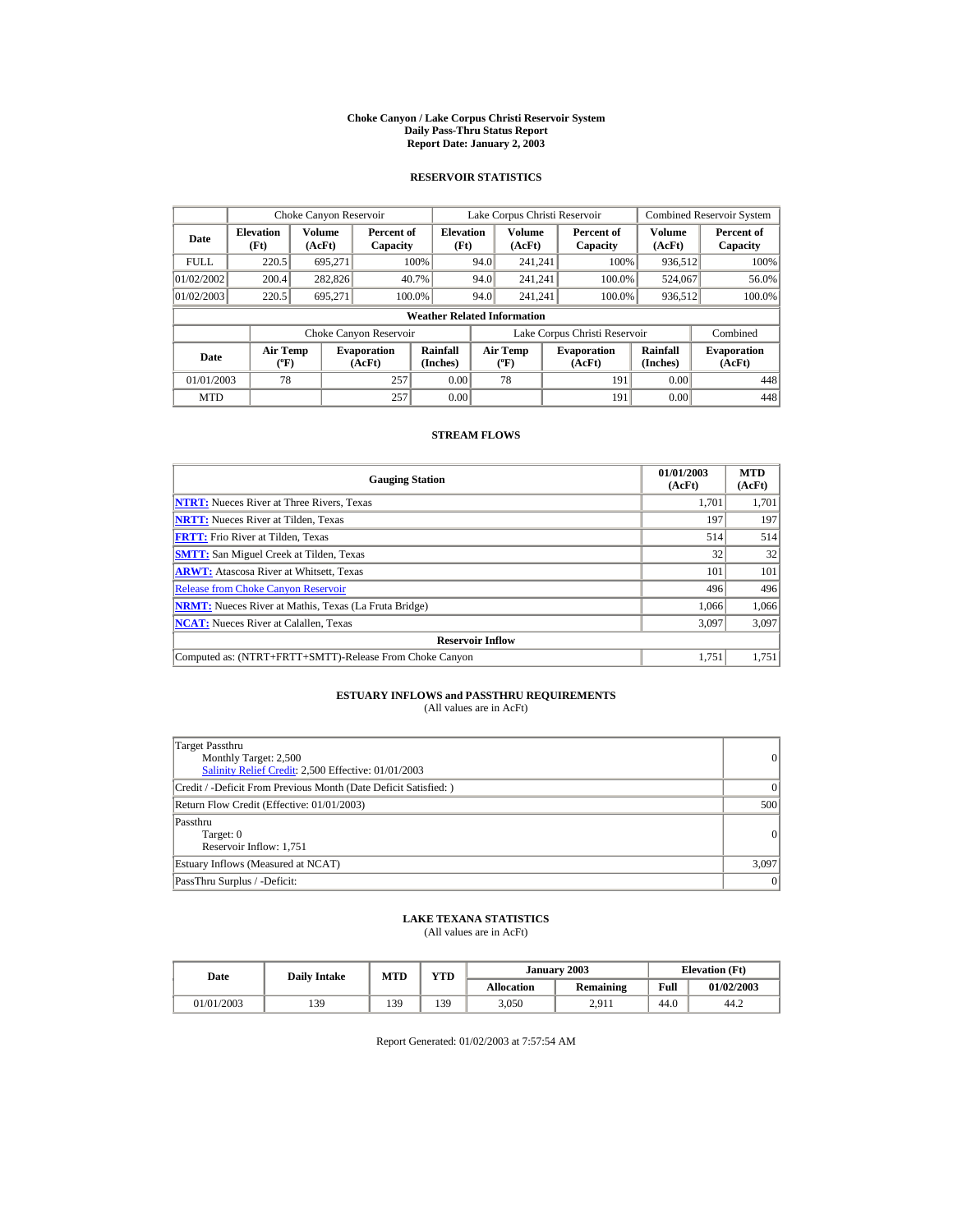#### **Choke Canyon / Lake Corpus Christi Reservoir System Daily Pass-Thru Status Report Report Date: January 2, 2003**

## **RESERVOIR STATISTICS**

|                                                             | Choke Canyon Reservoir                      |         |                              |                                    |      | Lake Corpus Christi Reservoir             |                               |                      | <b>Combined Reservoir System</b> |
|-------------------------------------------------------------|---------------------------------------------|---------|------------------------------|------------------------------------|------|-------------------------------------------|-------------------------------|----------------------|----------------------------------|
| <b>Volume</b><br><b>Elevation</b><br>Date<br>(Ft)<br>(AcFt) |                                             |         | Percent of<br>Capacity       | <b>Elevation</b><br>(Ft)           |      | Volume<br>(AcFt)                          | Percent of<br>Capacity        | Volume<br>(AcFt)     | Percent of<br>Capacity           |
| <b>FULL</b>                                                 | 220.5                                       | 695.271 | 100%                         |                                    | 94.0 | 241.241                                   | 100%                          | 936,512              | 100%                             |
| 01/02/2002                                                  | 200.4                                       | 282,826 | 40.7%                        |                                    | 94.0 | 241.241                                   | 100.0%                        | 524,067              | 56.0%                            |
| 01/02/2003                                                  | 220.5                                       | 695.271 | 100.0%                       |                                    | 94.0 | 241.241                                   | 100.0%                        | 936,512              | 100.0%                           |
|                                                             |                                             |         |                              | <b>Weather Related Information</b> |      |                                           |                               |                      |                                  |
|                                                             |                                             |         | Choke Canyon Reservoir       |                                    |      |                                           | Lake Corpus Christi Reservoir |                      | Combined                         |
| Date                                                        | <b>Air Temp</b><br>$({}^{\circ}\mathrm{F})$ |         | <b>Evaporation</b><br>(AcFt) | Rainfall<br>(Inches)               |      | <b>Air Temp</b><br>$({}^{\circ}\text{F})$ | <b>Evaporation</b><br>(AcFt)  | Rainfall<br>(Inches) | <b>Evaporation</b><br>(AcFt)     |
| 01/01/2003                                                  | 78                                          |         | 257                          | 0.00                               |      | 78                                        | 191                           | 0.00                 | 448                              |
| <b>MTD</b>                                                  |                                             |         | 257                          | 0.00                               |      |                                           | 191                           | 0.00                 | 448                              |

## **STREAM FLOWS**

| <b>Gauging Station</b>                                       | 01/01/2003<br>(AcFt) | <b>MTD</b><br>(AcFt) |
|--------------------------------------------------------------|----------------------|----------------------|
| <b>NTRT:</b> Nueces River at Three Rivers, Texas             | 1,701                | 1,701                |
| <b>NRTT:</b> Nueces River at Tilden, Texas                   | 197                  | 197                  |
| <b>FRTT:</b> Frio River at Tilden, Texas                     | 514                  | 514                  |
| <b>SMTT:</b> San Miguel Creek at Tilden, Texas               | 32                   | 32                   |
| <b>ARWT:</b> Atascosa River at Whitsett, Texas               | 101                  | 101                  |
| <b>Release from Choke Canvon Reservoir</b>                   | 496                  | 496                  |
| <b>NRMT:</b> Nueces River at Mathis, Texas (La Fruta Bridge) | 1.066                | 1.066                |
| <b>NCAT:</b> Nueces River at Calallen, Texas                 | 3,097                | 3,097                |
| <b>Reservoir Inflow</b>                                      |                      |                      |
| Computed as: (NTRT+FRTT+SMTT)-Release From Choke Canyon      | 1.751                | 1,751                |

# **ESTUARY INFLOWS and PASSTHRU REQUIREMENTS**<br>(All values are in AcFt)

| Target Passthru<br>Monthly Target: 2,500<br>Salinity Relief Credit: 2,500 Effective: 01/01/2003 | 0        |
|-------------------------------------------------------------------------------------------------|----------|
| Credit / -Deficit From Previous Month (Date Deficit Satisfied: )                                | $\Omega$ |
| Return Flow Credit (Effective: 01/01/2003)                                                      | 500      |
| Passthru<br>Target: 0<br>Reservoir Inflow: 1,751                                                | 0        |
| Estuary Inflows (Measured at NCAT)                                                              | 3,097    |
| PassThru Surplus / -Deficit:                                                                    | 0        |

## **LAKE TEXANA STATISTICS**

(All values are in AcFt)

| Date       |     | <b>VTD</b><br>MTD<br><b>Daily Intake</b><br><b>Allocation</b> |     | January 2003 | <b>Elevation</b> (Ft) |      |            |
|------------|-----|---------------------------------------------------------------|-----|--------------|-----------------------|------|------------|
|            |     |                                                               |     |              | <b>Remaining</b>      | Full | 01/02/2003 |
| 01/01/2003 | 139 | 139                                                           | 139 | 3,050        | 2.911                 | 44.0 | 44.2       |

Report Generated: 01/02/2003 at 7:57:54 AM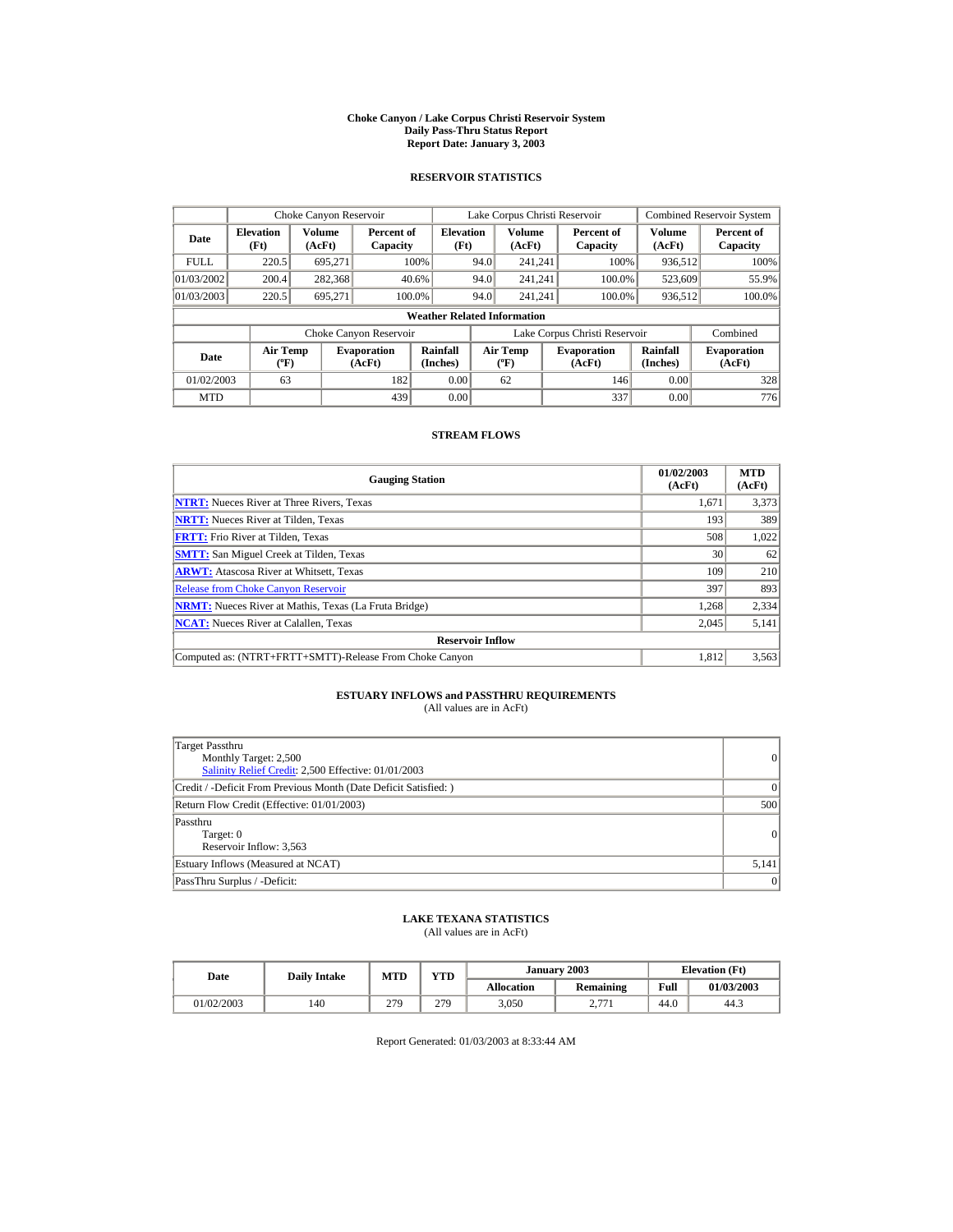#### **Choke Canyon / Lake Corpus Christi Reservoir System Daily Pass-Thru Status Report Report Date: January 3, 2003**

## **RESERVOIR STATISTICS**

|                                            | Choke Canyon Reservoir                      |         |                              |                                    |      | Lake Corpus Christi Reservoir             |                               |                      | <b>Combined Reservoir System</b> |
|--------------------------------------------|---------------------------------------------|---------|------------------------------|------------------------------------|------|-------------------------------------------|-------------------------------|----------------------|----------------------------------|
| <b>Elevation</b><br>Date<br>(Ft)<br>(AcFt) |                                             | Volume  | Percent of<br>Capacity       | <b>Elevation</b><br>(Ft)           |      | Volume<br>(AcFt)                          | Percent of<br>Capacity        | Volume<br>(AcFt)     | Percent of<br>Capacity           |
| <b>FULL</b>                                | 220.5                                       | 695.271 |                              | 100%                               | 94.0 | 241.241                                   | 100%                          | 936,512              | 100%                             |
| 01/03/2002                                 | 200.4                                       | 282,368 |                              | 40.6%                              | 94.0 | 241.241                                   | 100.0%                        | 523,609              | 55.9%                            |
| 01/03/2003                                 | 220.5                                       | 695.271 | 100.0%                       |                                    | 94.0 | 241.241                                   | 100.0%                        | 936,512              | 100.0%                           |
|                                            |                                             |         |                              | <b>Weather Related Information</b> |      |                                           |                               |                      |                                  |
|                                            |                                             |         | Choke Canyon Reservoir       |                                    |      |                                           | Lake Corpus Christi Reservoir |                      | Combined                         |
| Date                                       | <b>Air Temp</b><br>$({}^{\circ}\mathrm{F})$ |         | <b>Evaporation</b><br>(AcFt) | Rainfall<br>(Inches)               |      | <b>Air Temp</b><br>$({}^{\circ}\text{F})$ | <b>Evaporation</b><br>(AcFt)  | Rainfall<br>(Inches) | <b>Evaporation</b><br>(AcFt)     |
| 01/02/2003                                 | 63                                          |         | 182                          | 0.00                               |      | 62                                        | 146                           | 0.00                 | 328                              |
| <b>MTD</b>                                 |                                             |         | 439                          | 0.00                               |      |                                           | 337                           | 0.00                 | 776                              |

## **STREAM FLOWS**

| <b>Gauging Station</b>                                       | 01/02/2003<br>(AcFt) | <b>MTD</b><br>(AcFt) |
|--------------------------------------------------------------|----------------------|----------------------|
| <b>NTRT:</b> Nueces River at Three Rivers, Texas             | 1,671                | 3,373                |
| <b>NRTT:</b> Nueces River at Tilden, Texas                   | 193                  | 389                  |
| <b>FRTT:</b> Frio River at Tilden, Texas                     | 508                  | 1,022                |
| <b>SMTT:</b> San Miguel Creek at Tilden, Texas               | 30                   | 62                   |
| <b>ARWT:</b> Atascosa River at Whitsett, Texas               | 109                  | 210                  |
| <b>Release from Choke Canyon Reservoir</b>                   | 397                  | 893                  |
| <b>NRMT:</b> Nueces River at Mathis, Texas (La Fruta Bridge) | 1.268                | 2,334                |
| <b>NCAT:</b> Nueces River at Calallen, Texas                 | 2,045                | 5,141                |
| <b>Reservoir Inflow</b>                                      |                      |                      |
| Computed as: (NTRT+FRTT+SMTT)-Release From Choke Canyon      | 1.812                | 3,563                |

# **ESTUARY INFLOWS and PASSTHRU REQUIREMENTS**<br>(All values are in AcFt)

| Target Passthru<br>Monthly Target: 2,500<br>Salinity Relief Credit: 2,500 Effective: 01/01/2003 | $\overline{0}$ |
|-------------------------------------------------------------------------------------------------|----------------|
| Credit / -Deficit From Previous Month (Date Deficit Satisfied: )                                | $\Omega$       |
| Return Flow Credit (Effective: 01/01/2003)                                                      | 500            |
| Passthru<br>Target: 0<br>Reservoir Inflow: 3,563                                                | 0              |
| Estuary Inflows (Measured at NCAT)                                                              | 5,141          |
| PassThru Surplus / -Deficit:                                                                    | 0              |

## **LAKE TEXANA STATISTICS**

(All values are in AcFt)

| Date       |     | January 2003<br>VTD<br><b>MTD</b><br><b>Daily Intake</b><br><b>Allocation</b> |     |       | <b>Elevation</b> (Ft)               |      |            |
|------------|-----|-------------------------------------------------------------------------------|-----|-------|-------------------------------------|------|------------|
|            |     |                                                                               |     |       | <b>Remaining</b>                    | Full | 01/03/2003 |
| 01/02/2003 | 140 | 279                                                                           | 279 | 3,050 | 271<br>$\sim \cdot$ $\cdot$ $\cdot$ | 44.C | 44.3       |

Report Generated: 01/03/2003 at 8:33:44 AM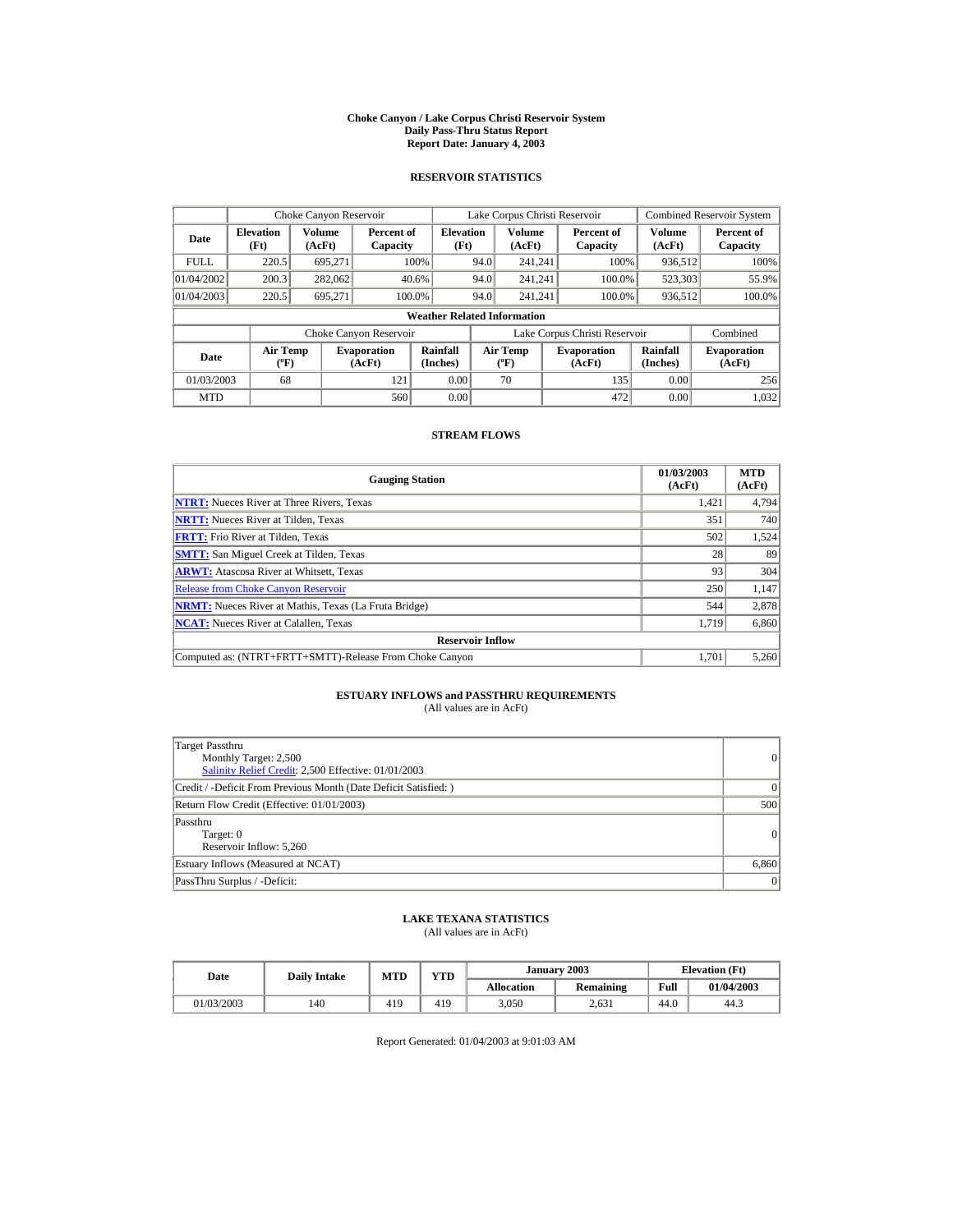#### **Choke Canyon / Lake Corpus Christi Reservoir System Daily Pass-Thru Status Report Report Date: January 4, 2003**

## **RESERVOIR STATISTICS**

|                                                     | Choke Canyon Reservoir |                              |                        |                                    |                                           | Lake Corpus Christi Reservoir |                              |                        |                              | <b>Combined Reservoir System</b> |
|-----------------------------------------------------|------------------------|------------------------------|------------------------|------------------------------------|-------------------------------------------|-------------------------------|------------------------------|------------------------|------------------------------|----------------------------------|
| <b>Elevation</b><br>Date<br>(Ft)                    |                        | Volume<br>(AcFt)             | Percent of<br>Capacity | <b>Elevation</b><br>(Ft)           |                                           | Volume<br>(AcFt)              |                              | Percent of<br>Capacity | Volume<br>(AcFt)             | Percent of<br>Capacity           |
| <b>FULL</b>                                         | 220.5                  | 695.271                      |                        | 100%                               | 94.0                                      | 241.241                       |                              | 100%                   | 936,512                      | 100%                             |
| 01/04/2002                                          | 200.3                  | 282,062                      | 40.6%                  |                                    | 94.0                                      | 241.241                       |                              | 100.0%                 | 523,303                      | 55.9%                            |
| 01/04/2003                                          | 220.5                  | 695.271                      | 100.0%                 |                                    | 94.0                                      | 241.241                       |                              | 100.0%                 | 936,512                      | 100.0%                           |
|                                                     |                        |                              |                        | <b>Weather Related Information</b> |                                           |                               |                              |                        |                              |                                  |
|                                                     |                        |                              | Choke Canyon Reservoir |                                    | Lake Corpus Christi Reservoir             |                               |                              |                        |                              | Combined                         |
| <b>Air Temp</b><br>Date<br>$({}^{\circ}\mathrm{F})$ |                        | <b>Evaporation</b><br>(AcFt) | Rainfall<br>(Inches)   |                                    | <b>Air Temp</b><br>$({}^{\circ}\text{F})$ |                               | <b>Evaporation</b><br>(AcFt) | Rainfall<br>(Inches)   | <b>Evaporation</b><br>(AcFt) |                                  |
| 01/03/2003                                          | 68                     |                              | 121                    | 0.00                               |                                           | 70                            |                              | 135                    | 0.00                         | 256                              |
| <b>MTD</b>                                          |                        |                              | 560                    | 0.00                               |                                           |                               |                              | 472                    | 0.00                         | 1,032                            |

## **STREAM FLOWS**

| <b>Gauging Station</b>                                       | 01/03/2003<br>(AcFt) | <b>MTD</b><br>(AcFt) |
|--------------------------------------------------------------|----------------------|----------------------|
| <b>NTRT:</b> Nueces River at Three Rivers, Texas             | 1.421                | 4,794                |
| <b>NRTT:</b> Nueces River at Tilden, Texas                   | 351                  | 740                  |
| <b>FRTT:</b> Frio River at Tilden, Texas                     | 502                  | 1,524                |
| <b>SMTT:</b> San Miguel Creek at Tilden, Texas               | 28                   | 89                   |
| <b>ARWT:</b> Atascosa River at Whitsett, Texas               | 93                   | 304                  |
| <b>Release from Choke Canyon Reservoir</b>                   | 250                  | 1,147                |
| <b>NRMT:</b> Nueces River at Mathis, Texas (La Fruta Bridge) | 544                  | 2,878                |
| <b>NCAT:</b> Nueces River at Calallen, Texas                 | 1,719                | 6,860                |
| <b>Reservoir Inflow</b>                                      |                      |                      |
| Computed as: (NTRT+FRTT+SMTT)-Release From Choke Canyon      | 1.701                | 5,260                |

# **ESTUARY INFLOWS and PASSTHRU REQUIREMENTS**<br>(All values are in AcFt)

| Target Passthru<br>Monthly Target: 2,500<br>Salinity Relief Credit: 2,500 Effective: 01/01/2003 | 0         |
|-------------------------------------------------------------------------------------------------|-----------|
| Credit / -Deficit From Previous Month (Date Deficit Satisfied: )                                | $\vert$ 0 |
| Return Flow Credit (Effective: 01/01/2003)                                                      | 500       |
| Passthru<br>Target: 0<br>Reservoir Inflow: 5,260                                                | 0         |
| Estuary Inflows (Measured at NCAT)                                                              | 6,860     |
| PassThru Surplus / -Deficit:                                                                    | 0         |

## **LAKE TEXANA STATISTICS**

(All values are in AcFt)

| Date       | <b>Daily Intake</b> | YTD<br>MTD |     |                   | January 2003 | <b>Elevation</b> (Ft) |            |
|------------|---------------------|------------|-----|-------------------|--------------|-----------------------|------------|
|            |                     |            |     | <b>Allocation</b> | Remaining    | Full                  | 01/04/2003 |
| 01/03/2003 | 140                 | 419        | 419 | 3,050             | 2.631        | 44.0                  | 44.3       |

Report Generated: 01/04/2003 at 9:01:03 AM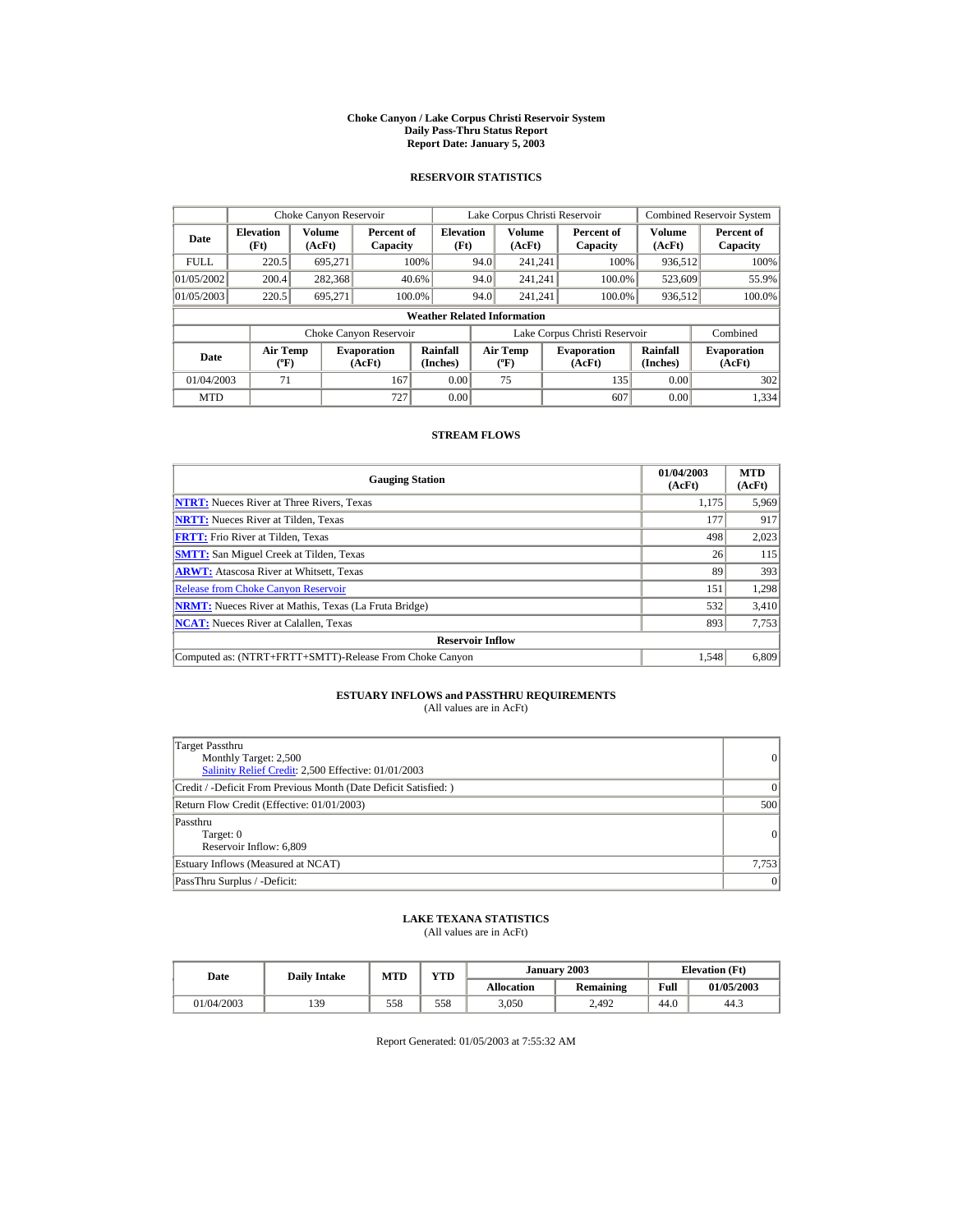#### **Choke Canyon / Lake Corpus Christi Reservoir System Daily Pass-Thru Status Report Report Date: January 5, 2003**

## **RESERVOIR STATISTICS**

|                                                                                     | Choke Canyon Reservoir |                      |                        |                                           |                               | Lake Corpus Christi Reservoir |                      |                              |                  | <b>Combined Reservoir System</b> |
|-------------------------------------------------------------------------------------|------------------------|----------------------|------------------------|-------------------------------------------|-------------------------------|-------------------------------|----------------------|------------------------------|------------------|----------------------------------|
| <b>Elevation</b><br>Date<br>(Ft)                                                    |                        | Volume<br>(AcFt)     | Capacity               | <b>Elevation</b><br>Percent of<br>(Ft)    |                               | Volume<br>(AcFt)              |                      | Percent of<br>Capacity       | Volume<br>(AcFt) | Percent of<br>Capacity           |
| <b>FULL</b>                                                                         | 220.5                  | 695.271              |                        | 100%                                      | 94.0                          | 241.241                       |                      | 100%                         | 936,512          | 100%                             |
| 01/05/2002                                                                          | 200.4                  | 282,368              | 40.6%                  |                                           | 94.0                          | 241.241                       |                      | 100.0%                       | 523,609          | 55.9%                            |
| 01/05/2003                                                                          | 220.5                  | 695.271              | 100.0%                 |                                           | 94.0                          | 241.241                       |                      | 100.0%                       | 936,512          | 100.0%                           |
|                                                                                     |                        |                      |                        | <b>Weather Related Information</b>        |                               |                               |                      |                              |                  |                                  |
|                                                                                     |                        |                      | Choke Canyon Reservoir |                                           | Lake Corpus Christi Reservoir |                               |                      |                              |                  | Combined                         |
| <b>Air Temp</b><br><b>Evaporation</b><br>Date<br>$({}^{\circ}\mathrm{F})$<br>(AcFt) |                        | Rainfall<br>(Inches) |                        | <b>Air Temp</b><br>$({}^{\circ}\text{F})$ |                               | <b>Evaporation</b><br>(AcFt)  | Rainfall<br>(Inches) | <b>Evaporation</b><br>(AcFt) |                  |                                  |
| 01/04/2003                                                                          | 71                     |                      | 167                    | 0.00                                      |                               | 75                            |                      | 135                          | 0.00             | 302                              |
| <b>MTD</b>                                                                          |                        |                      | 727                    | 0.00                                      |                               |                               |                      | 607                          | 0.00             | 1.334                            |

## **STREAM FLOWS**

| <b>Gauging Station</b>                                       | 01/04/2003<br>(AcFt) | <b>MTD</b><br>(AcFt) |
|--------------------------------------------------------------|----------------------|----------------------|
| <b>NTRT:</b> Nueces River at Three Rivers, Texas             | 1.175                | 5,969                |
| <b>NRTT:</b> Nueces River at Tilden, Texas                   | 177                  | 917                  |
| <b>FRTT:</b> Frio River at Tilden, Texas                     | 498                  | 2,023                |
| <b>SMTT:</b> San Miguel Creek at Tilden, Texas               | 26                   | 115                  |
| <b>ARWT:</b> Atascosa River at Whitsett, Texas               | 89                   | 393                  |
| <b>Release from Choke Canyon Reservoir</b>                   | 151                  | 1,298                |
| <b>NRMT:</b> Nueces River at Mathis, Texas (La Fruta Bridge) | 532                  | 3.410                |
| <b>NCAT:</b> Nueces River at Calallen, Texas                 | 893                  | 7,753                |
| <b>Reservoir Inflow</b>                                      |                      |                      |
| Computed as: (NTRT+FRTT+SMTT)-Release From Choke Canyon      | 1.548                | 6,809                |

## **ESTUARY INFLOWS and PASSTHRU REQUIREMENTS**<br>(All values are in AcFt)

| Target Passthru<br>Monthly Target: 2,500<br>Salinity Relief Credit: 2,500 Effective: 01/01/2003 | 0        |
|-------------------------------------------------------------------------------------------------|----------|
| Credit / -Deficit From Previous Month (Date Deficit Satisfied: )                                | $\Omega$ |
| Return Flow Credit (Effective: 01/01/2003)                                                      | 500      |
| Passthru<br>Target: 0<br>Reservoir Inflow: 6,809                                                | 0        |
| Estuary Inflows (Measured at NCAT)                                                              | 7,753    |
| PassThru Surplus / -Deficit:                                                                    | 0        |

## **LAKE TEXANA STATISTICS**

(All values are in AcFt)

| Date       |     | $_{\rm VTD}$<br><b>MTD</b><br><b>Daily Intake</b> |     |                   | January 2003     | <b>Elevation</b> (Ft) |            |
|------------|-----|---------------------------------------------------|-----|-------------------|------------------|-----------------------|------------|
|            |     |                                                   |     | <b>Allocation</b> | <b>Remaining</b> | Full                  | 01/05/2003 |
| 01/04/2003 | 139 | 558                                               | 558 | 3,050             | 2.492            | 44.U                  | 44.3       |

Report Generated: 01/05/2003 at 7:55:32 AM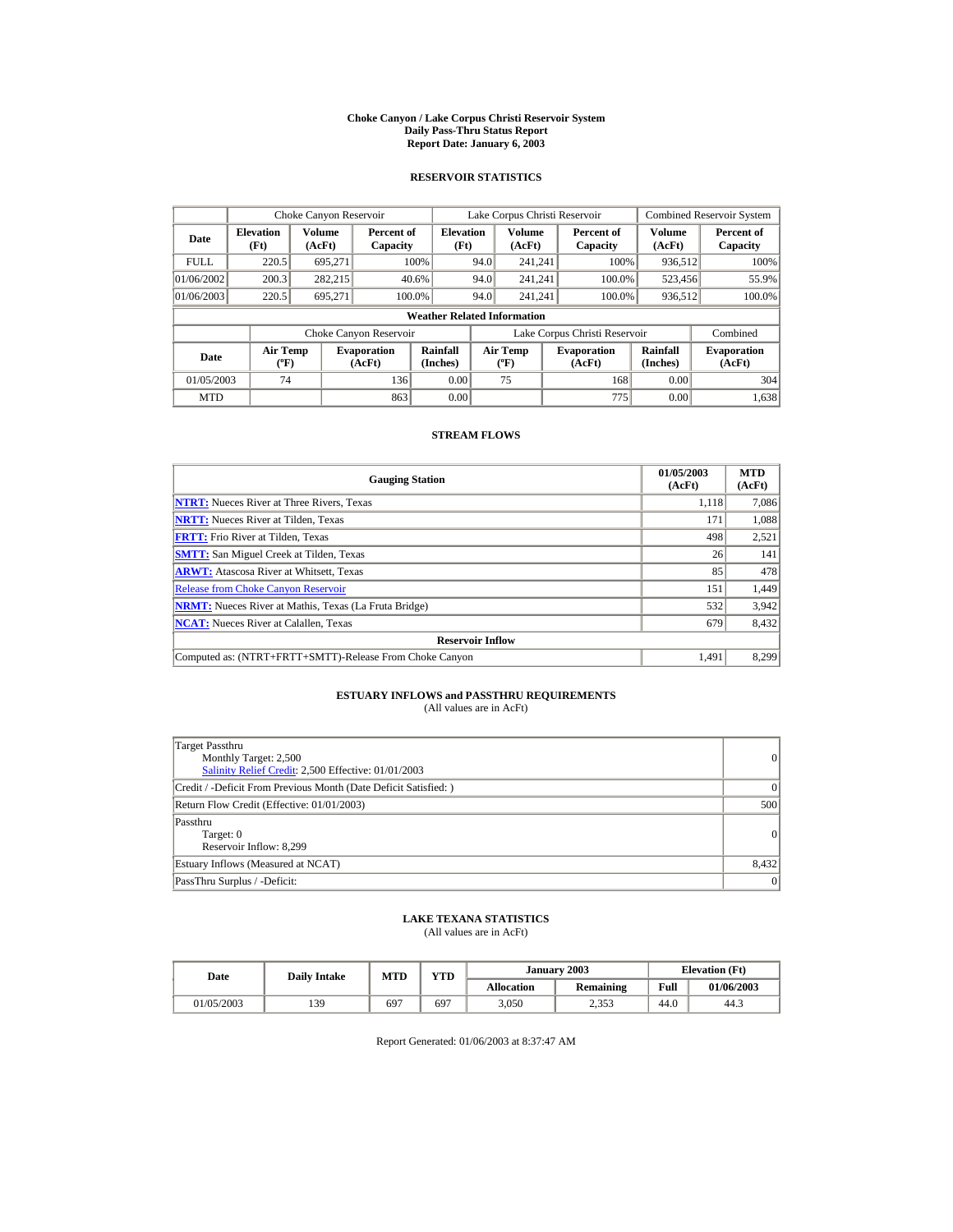#### **Choke Canyon / Lake Corpus Christi Reservoir System Daily Pass-Thru Status Report Report Date: January 6, 2003**

## **RESERVOIR STATISTICS**

|                                                                                     | Choke Canyon Reservoir |                      |                        |                                           |                               | Lake Corpus Christi Reservoir |                      |                              |                  | <b>Combined Reservoir System</b> |
|-------------------------------------------------------------------------------------|------------------------|----------------------|------------------------|-------------------------------------------|-------------------------------|-------------------------------|----------------------|------------------------------|------------------|----------------------------------|
| <b>Elevation</b><br>Date<br>(Ft)                                                    |                        | Volume<br>(AcFt)     | Percent of<br>Capacity | <b>Elevation</b><br>(Ft)                  |                               | Volume<br>(AcFt)              |                      | Percent of<br>Capacity       | Volume<br>(AcFt) | Percent of<br>Capacity           |
| <b>FULL</b>                                                                         | 220.5                  | 695.271              |                        | 100%                                      | 94.0                          | 241.241                       |                      | 100%                         | 936,512          | 100%                             |
| 01/06/2002                                                                          | 200.3                  | 282.215              |                        | 40.6%                                     | 94.0                          | 241.241                       |                      | 100.0%                       | 523,456          | 55.9%                            |
| 01/06/2003                                                                          | 220.5                  | 695.271              | 100.0%                 |                                           | 94.0                          | 241.241                       |                      | 100.0%                       | 936,512          | 100.0%                           |
|                                                                                     |                        |                      |                        | <b>Weather Related Information</b>        |                               |                               |                      |                              |                  |                                  |
|                                                                                     |                        |                      | Choke Canyon Reservoir |                                           | Lake Corpus Christi Reservoir |                               |                      |                              |                  | Combined                         |
| <b>Air Temp</b><br><b>Evaporation</b><br>Date<br>$({}^{\circ}\mathrm{F})$<br>(AcFt) |                        | Rainfall<br>(Inches) |                        | <b>Air Temp</b><br>$({}^{\circ}\text{F})$ |                               | <b>Evaporation</b><br>(AcFt)  | Rainfall<br>(Inches) | <b>Evaporation</b><br>(AcFt) |                  |                                  |
| 01/05/2003                                                                          | 74                     |                      | 136                    | 0.00                                      |                               | 75                            |                      | 168                          | 0.00             | 304                              |
| <b>MTD</b>                                                                          |                        |                      | 863                    | 0.00                                      |                               |                               |                      | 775                          | 0.00             | 1,638                            |

## **STREAM FLOWS**

| <b>Gauging Station</b>                                       | 01/05/2003<br>(AcFt) | <b>MTD</b><br>(AcFt) |
|--------------------------------------------------------------|----------------------|----------------------|
| <b>NTRT:</b> Nueces River at Three Rivers, Texas             | 1,118                | 7,086                |
| <b>NRTT:</b> Nueces River at Tilden, Texas                   | 171                  | 1,088                |
| <b>FRTT:</b> Frio River at Tilden, Texas                     | 498                  | 2,521                |
| <b>SMTT:</b> San Miguel Creek at Tilden, Texas               | 26                   | 141                  |
| <b>ARWT:</b> Atascosa River at Whitsett, Texas               | 85                   | 478                  |
| <b>Release from Choke Canvon Reservoir</b>                   | 151                  | 1,449                |
| <b>NRMT:</b> Nueces River at Mathis, Texas (La Fruta Bridge) | 532                  | 3.942                |
| <b>NCAT:</b> Nueces River at Calallen, Texas                 | 679                  | 8,432                |
| <b>Reservoir Inflow</b>                                      |                      |                      |
| Computed as: (NTRT+FRTT+SMTT)-Release From Choke Canyon      | 1.491                | 8,299                |

# **ESTUARY INFLOWS and PASSTHRU REQUIREMENTS**<br>(All values are in AcFt)

| Target Passthru<br>Monthly Target: 2,500<br>Salinity Relief Credit: 2,500 Effective: 01/01/2003 | $\overline{0}$ |
|-------------------------------------------------------------------------------------------------|----------------|
| Credit / -Deficit From Previous Month (Date Deficit Satisfied: )                                | $\Omega$       |
| Return Flow Credit (Effective: 01/01/2003)                                                      | 500            |
| Passthru<br>Target: 0<br>Reservoir Inflow: 8,299                                                | 0              |
| Estuary Inflows (Measured at NCAT)                                                              | 8,432          |
| PassThru Surplus / -Deficit:                                                                    | 0              |

## **LAKE TEXANA STATISTICS**

(All values are in AcFt)

| Date       | <b>VTD</b><br>MTD<br><b>Daily Intake</b> |     |     | January 2003      | <b>Elevation</b> (Ft) |      |            |
|------------|------------------------------------------|-----|-----|-------------------|-----------------------|------|------------|
|            |                                          |     |     | <b>Allocation</b> | <b>Remaining</b>      | Full | 01/06/2003 |
| 01/05/2003 | 139                                      | 697 | 697 | 3,050             | 2.353                 | 44.0 | 44.3       |

Report Generated: 01/06/2003 at 8:37:47 AM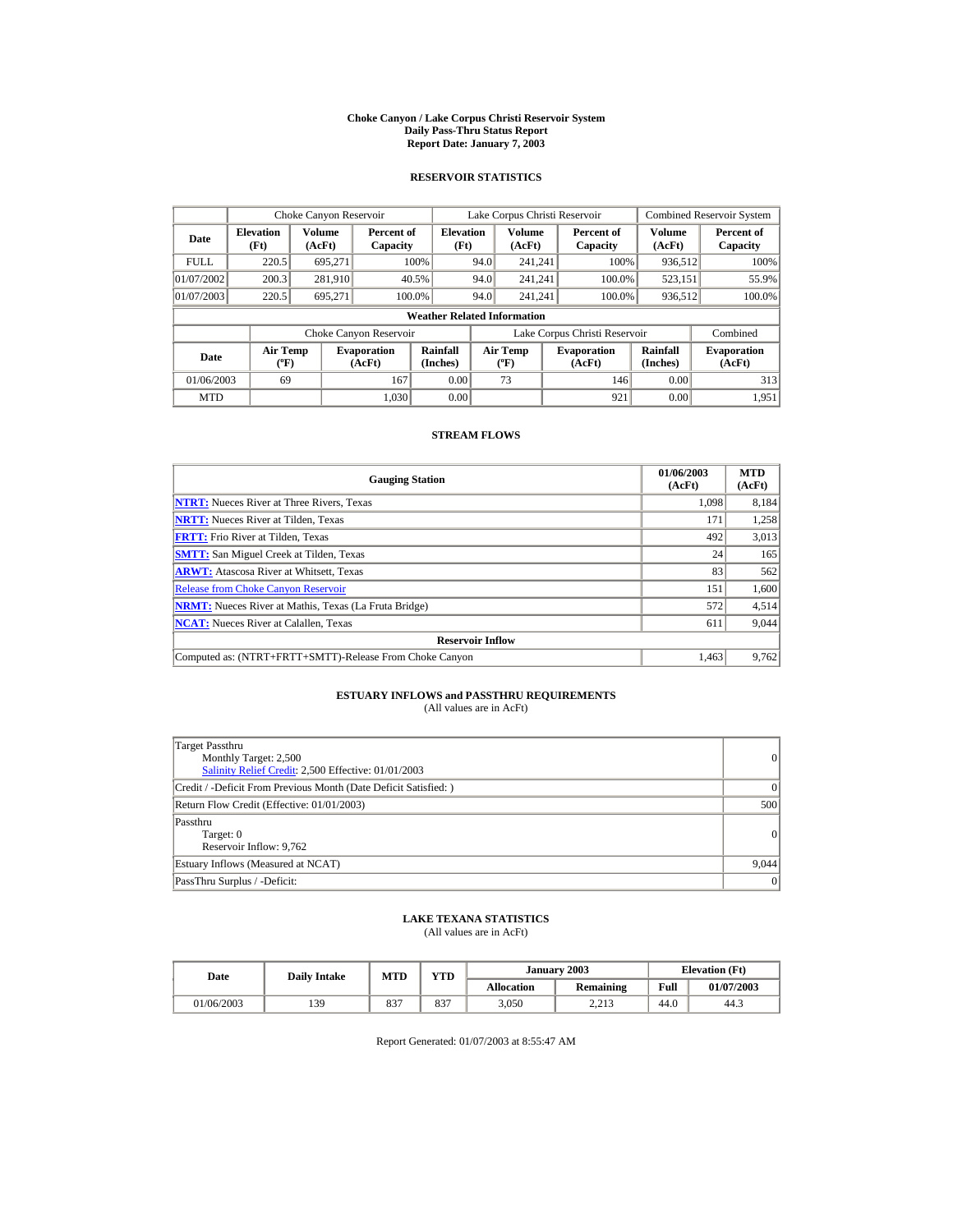#### **Choke Canyon / Lake Corpus Christi Reservoir System Daily Pass-Thru Status Report Report Date: January 7, 2003**

## **RESERVOIR STATISTICS**

|                                                                                     | Choke Canyon Reservoir |                      |                        |                                           |                               | Lake Corpus Christi Reservoir |                      |                              |                  | <b>Combined Reservoir System</b> |
|-------------------------------------------------------------------------------------|------------------------|----------------------|------------------------|-------------------------------------------|-------------------------------|-------------------------------|----------------------|------------------------------|------------------|----------------------------------|
| <b>Elevation</b><br>Date<br>(Ft)                                                    |                        | Volume<br>(AcFt)     | Percent of<br>Capacity | <b>Elevation</b><br>(Ft)                  |                               | Volume<br>(AcFt)              |                      | Percent of<br>Capacity       | Volume<br>(AcFt) | Percent of<br>Capacity           |
| <b>FULL</b>                                                                         | 220.5                  | 695.271              |                        | 100%                                      | 94.0                          | 241.241                       |                      | 100%                         | 936,512          | 100%                             |
| 01/07/2002                                                                          | 200.3                  | 281,910              |                        | 40.5%                                     | 94.0                          | 241.241                       |                      | 100.0%                       | 523,151          | 55.9%                            |
| 01/07/2003                                                                          | 220.5                  | 695.271              |                        | 100.0%                                    | 94.0                          | 241.241                       |                      | 100.0%                       | 936,512          | 100.0%                           |
|                                                                                     |                        |                      |                        | <b>Weather Related Information</b>        |                               |                               |                      |                              |                  |                                  |
|                                                                                     |                        |                      | Choke Canyon Reservoir |                                           | Lake Corpus Christi Reservoir |                               |                      |                              | Combined         |                                  |
| <b>Air Temp</b><br><b>Evaporation</b><br>Date<br>$({}^{\circ}\mathrm{F})$<br>(AcFt) |                        | Rainfall<br>(Inches) |                        | <b>Air Temp</b><br>$({}^{\circ}\text{F})$ |                               | <b>Evaporation</b><br>(AcFt)  | Rainfall<br>(Inches) | <b>Evaporation</b><br>(AcFt) |                  |                                  |
| 01/06/2003                                                                          | 69                     |                      | 167                    | 0.00                                      |                               | 73                            |                      | 146                          | 0.00             | 313                              |
| <b>MTD</b>                                                                          |                        |                      | 1.030                  | 0.00                                      |                               |                               |                      | 921                          | 0.00             | 1.951                            |

## **STREAM FLOWS**

| <b>Gauging Station</b>                                       | 01/06/2003<br>(AcFt) | <b>MTD</b><br>(AcFt) |
|--------------------------------------------------------------|----------------------|----------------------|
| <b>NTRT:</b> Nueces River at Three Rivers, Texas             | 1.098                | 8,184                |
| <b>NRTT:</b> Nueces River at Tilden, Texas                   | 171                  | 1,258                |
| <b>FRTT:</b> Frio River at Tilden, Texas                     | 492                  | 3,013                |
| <b>SMTT:</b> San Miguel Creek at Tilden, Texas               | 24                   | 165                  |
| <b>ARWT:</b> Atascosa River at Whitsett, Texas               | 83                   | 562                  |
| <b>Release from Choke Canyon Reservoir</b>                   | 151                  | 1,600                |
| <b>NRMT:</b> Nueces River at Mathis, Texas (La Fruta Bridge) | 572                  | 4,514                |
| <b>NCAT:</b> Nueces River at Calallen, Texas                 | 611                  | 9,044                |
| <b>Reservoir Inflow</b>                                      |                      |                      |
| Computed as: (NTRT+FRTT+SMTT)-Release From Choke Canyon      | 1.463                | 9,762                |

# **ESTUARY INFLOWS and PASSTHRU REQUIREMENTS**<br>(All values are in AcFt)

| Target Passthru<br>Monthly Target: 2,500<br>Salinity Relief Credit: 2,500 Effective: 01/01/2003 | 0        |
|-------------------------------------------------------------------------------------------------|----------|
| Credit / -Deficit From Previous Month (Date Deficit Satisfied: )                                | $\Omega$ |
| Return Flow Credit (Effective: 01/01/2003)                                                      | 500      |
| Passthru<br>Target: 0<br>Reservoir Inflow: 9,762                                                | 0        |
| Estuary Inflows (Measured at NCAT)                                                              | 9,044    |
| PassThru Surplus / -Deficit:                                                                    | 0        |

## **LAKE TEXANA STATISTICS**

(All values are in AcFt)

| Date       | <b>Daily Intake</b> | MTD | <b>VTD</b>  |                   | January 2003     |      | <b>Elevation</b> (Ft) |  |
|------------|---------------------|-----|-------------|-------------------|------------------|------|-----------------------|--|
|            |                     |     |             | <b>Allocation</b> | <b>Remaining</b> | Full | 01/07/2003            |  |
| 01/06/2003 | 139                 | 837 | 0.27<br>83. | 3,050             | 2.212<br>4.413   | 44.0 | 44.3                  |  |

Report Generated: 01/07/2003 at 8:55:47 AM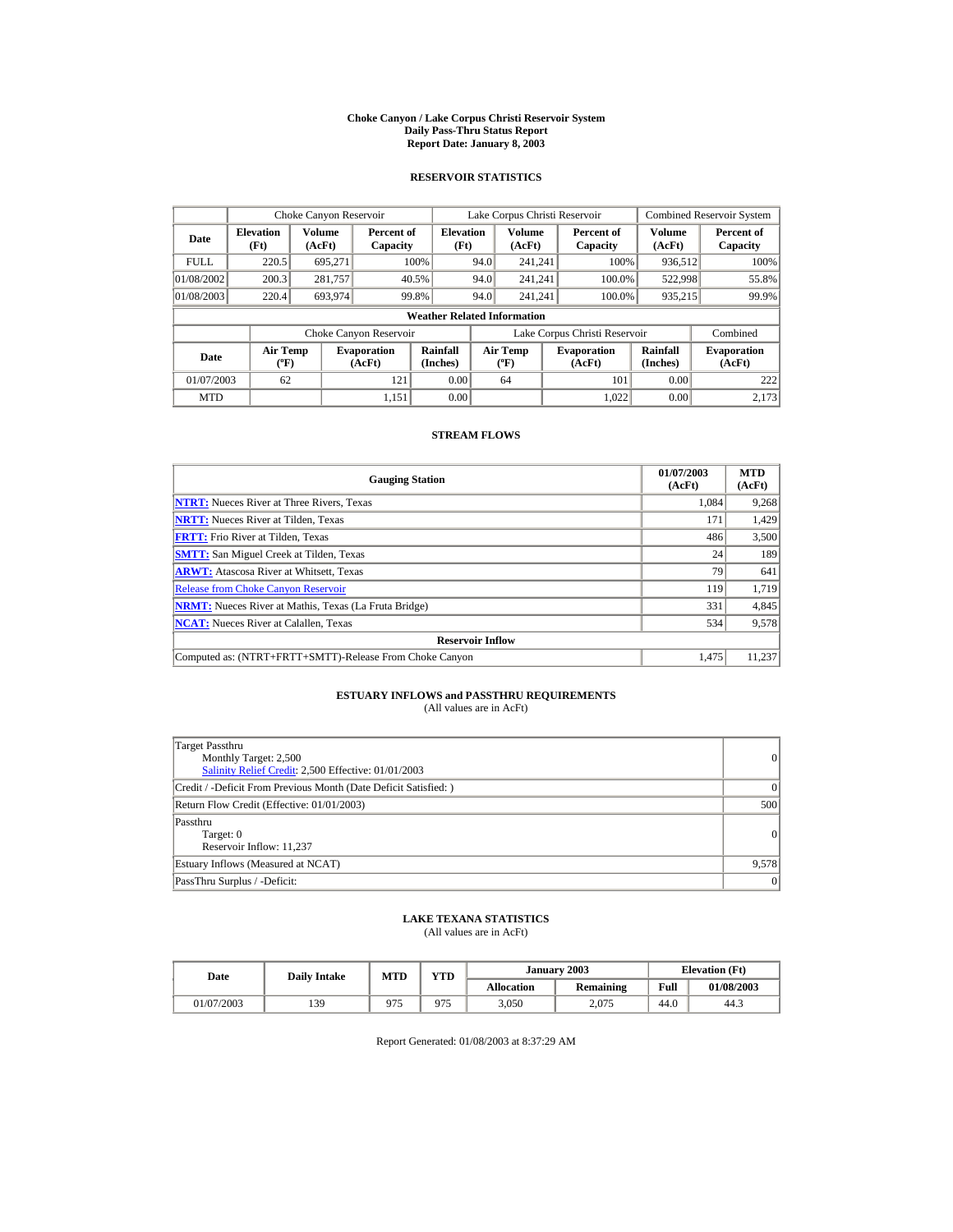#### **Choke Canyon / Lake Corpus Christi Reservoir System Daily Pass-Thru Status Report Report Date: January 8, 2003**

## **RESERVOIR STATISTICS**

|                                                                                     | Choke Canyon Reservoir |                      |                        |                                    |                               | Lake Corpus Christi Reservoir |                      |                              |                  | <b>Combined Reservoir System</b> |
|-------------------------------------------------------------------------------------|------------------------|----------------------|------------------------|------------------------------------|-------------------------------|-------------------------------|----------------------|------------------------------|------------------|----------------------------------|
| Volume<br><b>Elevation</b><br>Date<br>(Ft)<br>(AcFt)                                |                        |                      | Percent of<br>Capacity | <b>Elevation</b><br>(Ft)           |                               | Volume<br>(AcFt)              |                      | Percent of<br>Capacity       | Volume<br>(AcFt) | Percent of<br>Capacity           |
| <b>FULL</b>                                                                         | 220.5                  | 695.271              |                        | 100%                               | 94.0                          | 241.241                       |                      | 100%                         | 936,512          | 100%                             |
| 01/08/2002                                                                          | 200.3                  | 281,757              |                        | 40.5%                              | 94.0                          | 241.241                       |                      | 100.0%                       | 522,998          | 55.8%                            |
| 01/08/2003                                                                          | 220.4                  | 693.974              |                        | 99.8%                              | 94.0                          | 241.241                       |                      | 100.0%                       | 935,215          | 99.9%                            |
|                                                                                     |                        |                      |                        | <b>Weather Related Information</b> |                               |                               |                      |                              |                  |                                  |
|                                                                                     |                        |                      | Choke Canyon Reservoir |                                    | Lake Corpus Christi Reservoir |                               |                      |                              | Combined         |                                  |
| <b>Air Temp</b><br><b>Evaporation</b><br>Date<br>$({}^{\circ}\mathrm{F})$<br>(AcFt) |                        | Rainfall<br>(Inches) |                        | <b>Air Temp</b><br>$(^{\circ}F)$   |                               | <b>Evaporation</b><br>(AcFt)  | Rainfall<br>(Inches) | <b>Evaporation</b><br>(AcFt) |                  |                                  |
| 01/07/2003                                                                          | 62                     |                      | 121                    | 0.00                               |                               | 64                            |                      | 101                          | 0.00             | 222                              |
| <b>MTD</b>                                                                          |                        |                      | 1.151                  | 0.00                               |                               |                               |                      | 1.022                        | 0.00             | 2.173                            |

## **STREAM FLOWS**

| <b>Gauging Station</b>                                       | 01/07/2003<br>(AcFt) | <b>MTD</b><br>(AcFt) |
|--------------------------------------------------------------|----------------------|----------------------|
| <b>NTRT:</b> Nueces River at Three Rivers, Texas             | 1.084                | 9,268                |
| <b>NRTT:</b> Nueces River at Tilden, Texas                   | 171                  | 1,429                |
| <b>FRTT:</b> Frio River at Tilden, Texas                     | 486                  | 3,500                |
| <b>SMTT:</b> San Miguel Creek at Tilden, Texas               | 24                   | 189                  |
| <b>ARWT:</b> Atascosa River at Whitsett, Texas               | 79                   | 641                  |
| <b>Release from Choke Canyon Reservoir</b>                   | 119                  | 1,719                |
| <b>NRMT:</b> Nueces River at Mathis, Texas (La Fruta Bridge) | 331                  | 4,845                |
| <b>NCAT:</b> Nueces River at Calallen, Texas                 | 534                  | 9,578                |
| <b>Reservoir Inflow</b>                                      |                      |                      |
| Computed as: (NTRT+FRTT+SMTT)-Release From Choke Canyon      | 1.475                | 11,237               |

# **ESTUARY INFLOWS and PASSTHRU REQUIREMENTS**<br>(All values are in AcFt)

| Target Passthru<br>Monthly Target: 2,500<br>Salinity Relief Credit: 2,500 Effective: 01/01/2003 | 0        |
|-------------------------------------------------------------------------------------------------|----------|
| Credit / -Deficit From Previous Month (Date Deficit Satisfied: )                                | $\Omega$ |
| Return Flow Credit (Effective: 01/01/2003)                                                      | 500      |
| Passthru<br>Target: 0<br>Reservoir Inflow: 11,237                                               | 0        |
| Estuary Inflows (Measured at NCAT)                                                              | 9,578    |
| PassThru Surplus / -Deficit:                                                                    | 0        |

## **LAKE TEXANA STATISTICS**

(All values are in AcFt)

| Date       | <b>Daily Intake</b> | YTD<br>MTD |     |                   | January 2003 | <b>Elevation</b> (Ft) |            |
|------------|---------------------|------------|-----|-------------------|--------------|-----------------------|------------|
|            |                     |            |     | <b>Allocation</b> | Remaining    | Full                  | 01/08/2003 |
| 01/07/2003 | 139                 | 975        | 975 | 3,050             | 2.075        | 44.0                  | 44.3       |

Report Generated: 01/08/2003 at 8:37:29 AM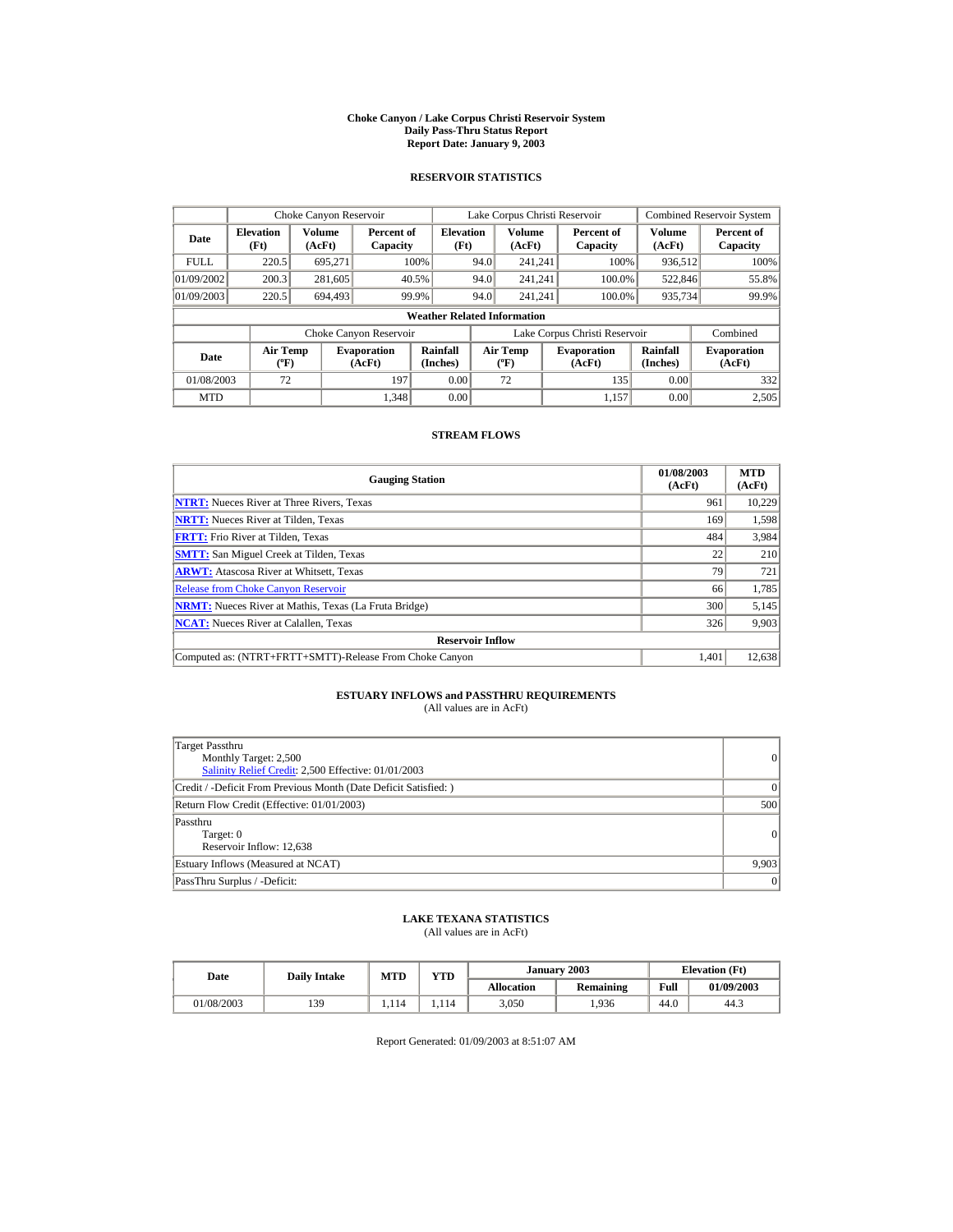#### **Choke Canyon / Lake Corpus Christi Reservoir System Daily Pass-Thru Status Report Report Date: January 9, 2003**

## **RESERVOIR STATISTICS**

|                                                                                     | Choke Canyon Reservoir |                      |                        |                                           |                               | Lake Corpus Christi Reservoir |                      |                              |                  | <b>Combined Reservoir System</b> |
|-------------------------------------------------------------------------------------|------------------------|----------------------|------------------------|-------------------------------------------|-------------------------------|-------------------------------|----------------------|------------------------------|------------------|----------------------------------|
| <b>Elevation</b><br>Date<br>(Ft)<br>(AcFt)                                          |                        | Volume               | Percent of<br>Capacity | <b>Elevation</b><br>(Ft)                  |                               | Volume<br>(AcFt)              |                      | Percent of<br>Capacity       | Volume<br>(AcFt) | Percent of<br>Capacity           |
| <b>FULL</b>                                                                         | 220.5                  | 695.271              |                        | 100%                                      | 94.0                          | 241.241                       |                      | 100%                         | 936,512          | 100%                             |
| 01/09/2002                                                                          | 200.3                  | 281,605              |                        | 40.5%                                     | 94.0                          | 241.241                       |                      | 100.0%                       | 522,846          | 55.8%                            |
| 01/09/2003                                                                          | 220.5                  | 694.493              |                        | 99.9%                                     | 94.0                          | 241.241                       |                      | 100.0%                       | 935,734          | 99.9%                            |
|                                                                                     |                        |                      |                        | <b>Weather Related Information</b>        |                               |                               |                      |                              |                  |                                  |
|                                                                                     |                        |                      | Choke Canyon Reservoir |                                           | Lake Corpus Christi Reservoir |                               |                      |                              | Combined         |                                  |
| <b>Air Temp</b><br><b>Evaporation</b><br>Date<br>$({}^{\circ}\mathrm{F})$<br>(AcFt) |                        | Rainfall<br>(Inches) |                        | <b>Air Temp</b><br>$({}^{\circ}\text{F})$ |                               | <b>Evaporation</b><br>(AcFt)  | Rainfall<br>(Inches) | <b>Evaporation</b><br>(AcFt) |                  |                                  |
| 01/08/2003                                                                          | 72                     |                      | 197                    | 0.00                                      |                               | 72                            |                      | 135                          | 0.00             | 332                              |
| <b>MTD</b>                                                                          |                        |                      | 1.348                  | 0.00                                      |                               |                               |                      | 1.157                        | 0.00             | 2,505                            |

## **STREAM FLOWS**

| <b>Gauging Station</b>                                       | 01/08/2003<br>(AcFt) | <b>MTD</b><br>(AcFt) |
|--------------------------------------------------------------|----------------------|----------------------|
| <b>NTRT:</b> Nueces River at Three Rivers, Texas             | 961                  | 10,229               |
| <b>NRTT:</b> Nueces River at Tilden, Texas                   | 169                  | 1,598                |
| <b>FRTT:</b> Frio River at Tilden, Texas                     | 484                  | 3,984                |
| <b>SMTT:</b> San Miguel Creek at Tilden, Texas               | 22                   | 210                  |
| <b>ARWT:</b> Atascosa River at Whitsett, Texas               | 79                   | 721                  |
| <b>Release from Choke Canyon Reservoir</b>                   | 66                   | 1,785                |
| <b>NRMT:</b> Nueces River at Mathis, Texas (La Fruta Bridge) | 300                  | 5,145                |
| <b>NCAT:</b> Nueces River at Calallen, Texas                 | 326                  | 9,903                |
| <b>Reservoir Inflow</b>                                      |                      |                      |
| Computed as: (NTRT+FRTT+SMTT)-Release From Choke Canyon      | 1.401                | 12,638               |

# **ESTUARY INFLOWS and PASSTHRU REQUIREMENTS**<br>(All values are in AcFt)

| Target Passthru<br>Monthly Target: 2,500<br>Salinity Relief Credit: 2,500 Effective: 01/01/2003 | 0        |
|-------------------------------------------------------------------------------------------------|----------|
| Credit / -Deficit From Previous Month (Date Deficit Satisfied: )                                | $\Omega$ |
| Return Flow Credit (Effective: 01/01/2003)                                                      | 500      |
| Passthru<br>Target: 0<br>Reservoir Inflow: 12,638                                               | 0        |
| Estuary Inflows (Measured at NCAT)                                                              | 9,903    |
| PassThru Surplus / -Deficit:                                                                    | 0        |

## **LAKE TEXANA STATISTICS**

(All values are in AcFt)

| Date       | <b>Daily Intake</b> | <b>MTD</b> | <b>YTD</b> |            | January 2003 |      | <b>Elevation</b> (Ft) |
|------------|---------------------|------------|------------|------------|--------------|------|-----------------------|
|            |                     |            |            | Allocation | Remaining    | Full | 01/09/2003            |
| 01/08/2003 | 139                 | 114        | .114       | 3,050      | .936         | 44.0 | 44.3                  |

Report Generated: 01/09/2003 at 8:51:07 AM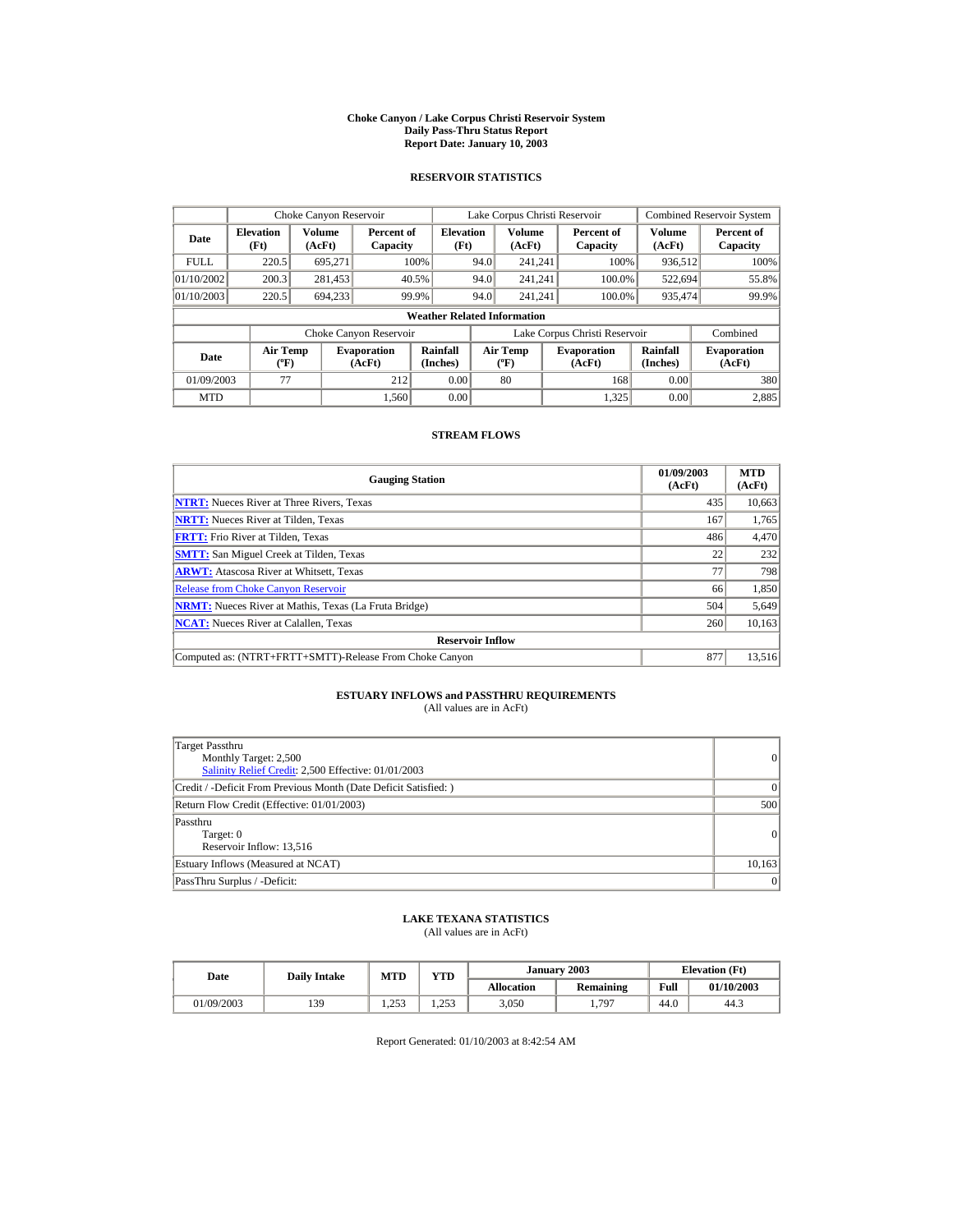#### **Choke Canyon / Lake Corpus Christi Reservoir System Daily Pass-Thru Status Report Report Date: January 10, 2003**

## **RESERVOIR STATISTICS**

|                                                                                     | Choke Canyon Reservoir   |                      |                        |                                           |                               | Lake Corpus Christi Reservoir |                      |                              |                  | <b>Combined Reservoir System</b> |
|-------------------------------------------------------------------------------------|--------------------------|----------------------|------------------------|-------------------------------------------|-------------------------------|-------------------------------|----------------------|------------------------------|------------------|----------------------------------|
| Date                                                                                | <b>Elevation</b><br>(Ft) | Volume<br>(AcFt)     | Percent of<br>Capacity | <b>Elevation</b><br>(Ft)                  |                               | Volume<br>(AcFt)              |                      | Percent of<br>Capacity       | Volume<br>(AcFt) | Percent of<br>Capacity           |
| <b>FULL</b>                                                                         | 220.5                    | 695.271              |                        | 100%                                      | 94.0                          | 241.241                       |                      | 100%                         | 936,512          | 100%                             |
| 01/10/2002                                                                          | 200.3                    | 281,453              |                        | 40.5%                                     | 94.0                          | 241.241                       |                      | 100.0%                       | 522,694          | 55.8%                            |
| 01/10/2003                                                                          | 220.5                    | 694.233              |                        | 99.9%                                     | 94.0                          | 241.241                       |                      | 100.0%                       | 935,474          | 99.9%                            |
|                                                                                     |                          |                      |                        | <b>Weather Related Information</b>        |                               |                               |                      |                              |                  |                                  |
|                                                                                     |                          |                      | Choke Canyon Reservoir |                                           | Lake Corpus Christi Reservoir |                               |                      |                              | Combined         |                                  |
| <b>Air Temp</b><br><b>Evaporation</b><br>Date<br>$({}^{\circ}\mathrm{F})$<br>(AcFt) |                          | Rainfall<br>(Inches) |                        | <b>Air Temp</b><br>$({}^{\circ}\text{F})$ |                               | <b>Evaporation</b><br>(AcFt)  | Rainfall<br>(Inches) | <b>Evaporation</b><br>(AcFt) |                  |                                  |
| 01/09/2003                                                                          | 77                       |                      | 212                    | 0.00                                      |                               | 80                            |                      | 168                          | 0.00             | 380                              |
| <b>MTD</b>                                                                          |                          |                      | 1.560                  | 0.00                                      |                               |                               |                      | 1,325                        | 0.00             | 2,885                            |

## **STREAM FLOWS**

| <b>Gauging Station</b>                                       | 01/09/2003<br>(AcFt) | <b>MTD</b><br>(AcFt) |
|--------------------------------------------------------------|----------------------|----------------------|
| <b>NTRT:</b> Nueces River at Three Rivers, Texas             | 435                  | 10,663               |
| <b>NRTT:</b> Nueces River at Tilden, Texas                   | 167                  | 1,765                |
| <b>FRTT:</b> Frio River at Tilden, Texas                     | 486                  | 4,470                |
| <b>SMTT:</b> San Miguel Creek at Tilden, Texas               | 22                   | 232                  |
| <b>ARWT:</b> Atascosa River at Whitsett, Texas               | 77                   | 798                  |
| <b>Release from Choke Canyon Reservoir</b>                   | 66                   | 1,850                |
| <b>NRMT:</b> Nueces River at Mathis, Texas (La Fruta Bridge) | 504                  | 5,649                |
| <b>NCAT:</b> Nueces River at Calallen, Texas                 | 260                  | 10,163               |
| <b>Reservoir Inflow</b>                                      |                      |                      |
| Computed as: (NTRT+FRTT+SMTT)-Release From Choke Canyon      | 877                  | 13,516               |

# **ESTUARY INFLOWS and PASSTHRU REQUIREMENTS**<br>(All values are in AcFt)

| Target Passthru<br>Monthly Target: 2,500<br>Salinity Relief Credit: 2,500 Effective: 01/01/2003 | $\overline{0}$ |
|-------------------------------------------------------------------------------------------------|----------------|
| Credit / -Deficit From Previous Month (Date Deficit Satisfied: )                                | $\Omega$       |
| Return Flow Credit (Effective: 01/01/2003)                                                      | 500            |
| Passthru<br>Target: 0<br>Reservoir Inflow: 13,516                                               | 0              |
| Estuary Inflows (Measured at NCAT)                                                              | 10,163         |
| PassThru Surplus / -Deficit:                                                                    | 0              |

## **LAKE TEXANA STATISTICS**

(All values are in AcFt)

| Date       | <b>MTD</b><br><b>Daily Intake</b> |              | <b>YTD</b>    |                   | January 2003 | <b>Elevation</b> (Ft) |            |
|------------|-----------------------------------|--------------|---------------|-------------------|--------------|-----------------------|------------|
|            |                                   |              |               | <b>Allocation</b> | Remaining    | Full                  | 01/10/2003 |
| 01/09/2003 | 139                               | 253<br>ر رے۔ | 252<br>ر رے 1 | 3,050             | 1,797        | 44.0                  | 44.3       |

Report Generated: 01/10/2003 at 8:42:54 AM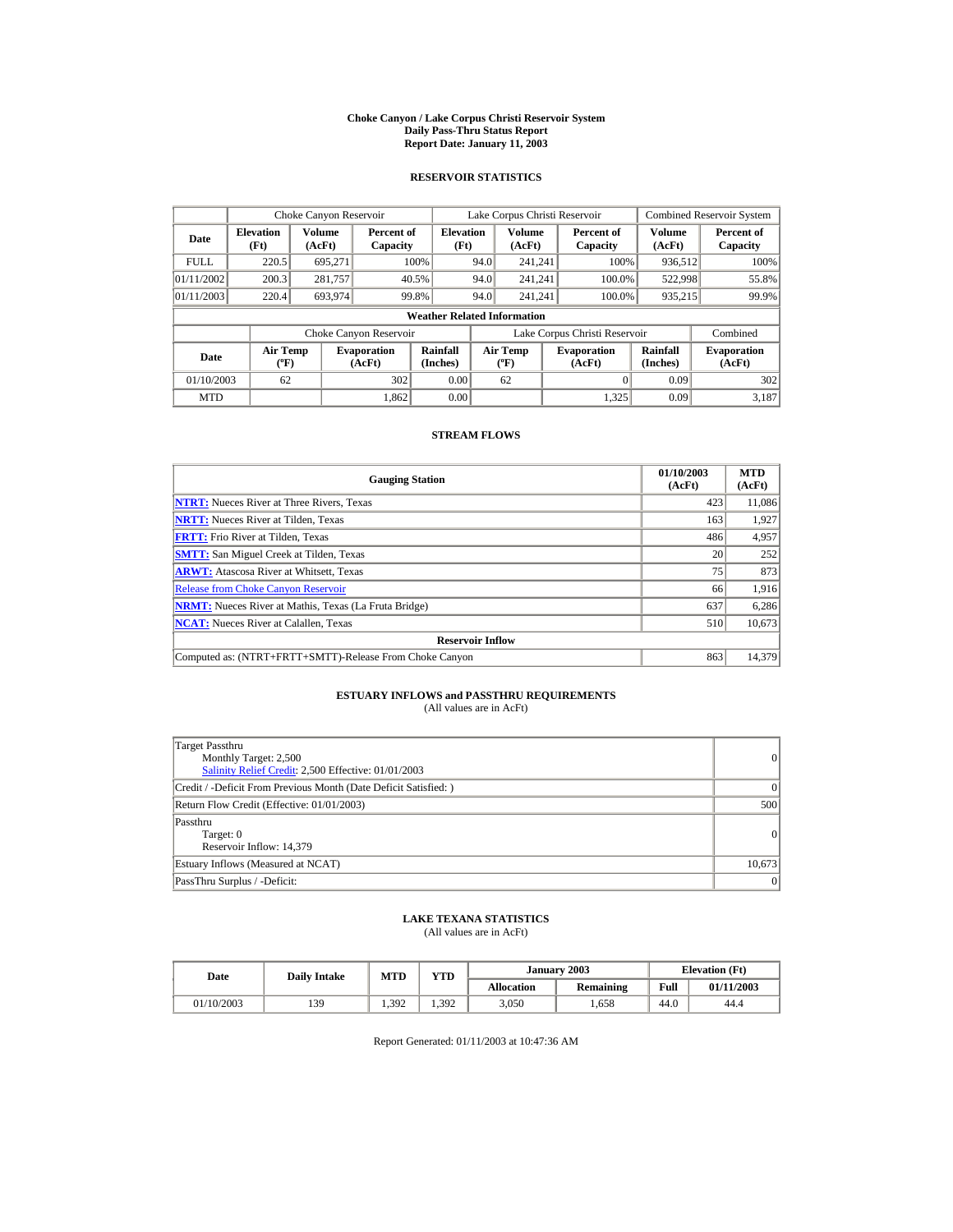#### **Choke Canyon / Lake Corpus Christi Reservoir System Daily Pass-Thru Status Report Report Date: January 11, 2003**

## **RESERVOIR STATISTICS**

| Choke Canyon Reservoir |                                             |                  |                              |                                    |      | Lake Corpus Christi Reservoir            |                               |                      | <b>Combined Reservoir System</b> |
|------------------------|---------------------------------------------|------------------|------------------------------|------------------------------------|------|------------------------------------------|-------------------------------|----------------------|----------------------------------|
| Date                   | <b>Elevation</b><br>(Ft)                    | Volume<br>(AcFt) | Percent of<br>Capacity       | <b>Elevation</b><br>(Ft)           |      | <b>Volume</b><br>(AcFt)                  | Percent of<br>Capacity        | Volume<br>(AcFt)     | Percent of<br>Capacity           |
| <b>FULL</b>            | 220.5                                       | 695.271          |                              | 100%                               | 94.0 | 241.241                                  | 100%                          | 936,512              | 100%                             |
| 01/11/2002             | 200.3                                       | 281,757          |                              | 40.5%                              | 94.0 | 241.241                                  | 100.0%                        | 522,998              | 55.8%                            |
| 01/11/2003             | 220.4                                       | 693,974          |                              | 99.8%                              | 94.0 | 241.241                                  | 100.0%                        | 935,215              | 99.9%                            |
|                        |                                             |                  |                              | <b>Weather Related Information</b> |      |                                          |                               |                      |                                  |
|                        |                                             |                  | Choke Canyon Reservoir       |                                    |      |                                          | Lake Corpus Christi Reservoir |                      | Combined                         |
| Date                   | <b>Air Temp</b><br>$({}^{\circ}\mathrm{F})$ |                  | <b>Evaporation</b><br>(AcFt) | Rainfall<br>(Inches)               |      | <b>Air Temp</b><br>$({}^{\circ}{\rm F})$ | <b>Evaporation</b><br>(AcFt)  | Rainfall<br>(Inches) | <b>Evaporation</b><br>(AcFt)     |
| 01/10/2003             | 62                                          |                  | 302                          | 0.00                               |      | 62                                       |                               | 0.09                 | 302                              |
| <b>MTD</b>             |                                             |                  | 1.862                        | 0.00                               |      |                                          | 1.325                         | 0.09                 | 3.187                            |

## **STREAM FLOWS**

| <b>Gauging Station</b>                                       | 01/10/2003<br>(AcFt) | <b>MTD</b><br>(AcFt) |
|--------------------------------------------------------------|----------------------|----------------------|
| <b>NTRT:</b> Nueces River at Three Rivers, Texas             | 423                  | 11,086               |
| <b>NRTT:</b> Nueces River at Tilden, Texas                   | 163                  | 1,927                |
| <b>FRTT:</b> Frio River at Tilden, Texas                     | 486                  | 4,957                |
| <b>SMTT:</b> San Miguel Creek at Tilden, Texas               | 20                   | 252                  |
| <b>ARWT:</b> Atascosa River at Whitsett, Texas               | 75                   | 873                  |
| <b>Release from Choke Canyon Reservoir</b>                   | 66                   | 1,916                |
| <b>NRMT:</b> Nueces River at Mathis, Texas (La Fruta Bridge) | 637                  | 6,286                |
| <b>NCAT:</b> Nueces River at Calallen, Texas                 | 510                  | 10,673               |
| <b>Reservoir Inflow</b>                                      |                      |                      |
| Computed as: (NTRT+FRTT+SMTT)-Release From Choke Canyon      | 863                  | 14,379               |

# **ESTUARY INFLOWS and PASSTHRU REQUIREMENTS**<br>(All values are in AcFt)

| Target Passthru<br>Monthly Target: 2,500<br>Salinity Relief Credit: 2,500 Effective: 01/01/2003 | 0      |
|-------------------------------------------------------------------------------------------------|--------|
| Credit / -Deficit From Previous Month (Date Deficit Satisfied: )                                | 0      |
| Return Flow Credit (Effective: 01/01/2003)                                                      | 500    |
| Passthru<br>Target: 0<br>Reservoir Inflow: 14,379                                               | 0      |
| Estuary Inflows (Measured at NCAT)                                                              | 10,673 |
| PassThru Surplus / -Deficit:                                                                    | 0      |

## **LAKE TEXANA STATISTICS**

(All values are in AcFt)

| Date       | <b>Daily Intake</b> | YTD<br><b>MTD</b> |       |                   | January 2003 |      | <b>Elevation</b> (Ft) |
|------------|---------------------|-------------------|-------|-------------------|--------------|------|-----------------------|
|            |                     |                   |       | <b>Allocation</b> | Remaining    | Full | 01/11/2003            |
| 01/10/2003 | 139                 | 1.392             | 1.392 | 3,050             | .658         | 44.0 | 44.4                  |

Report Generated: 01/11/2003 at 10:47:36 AM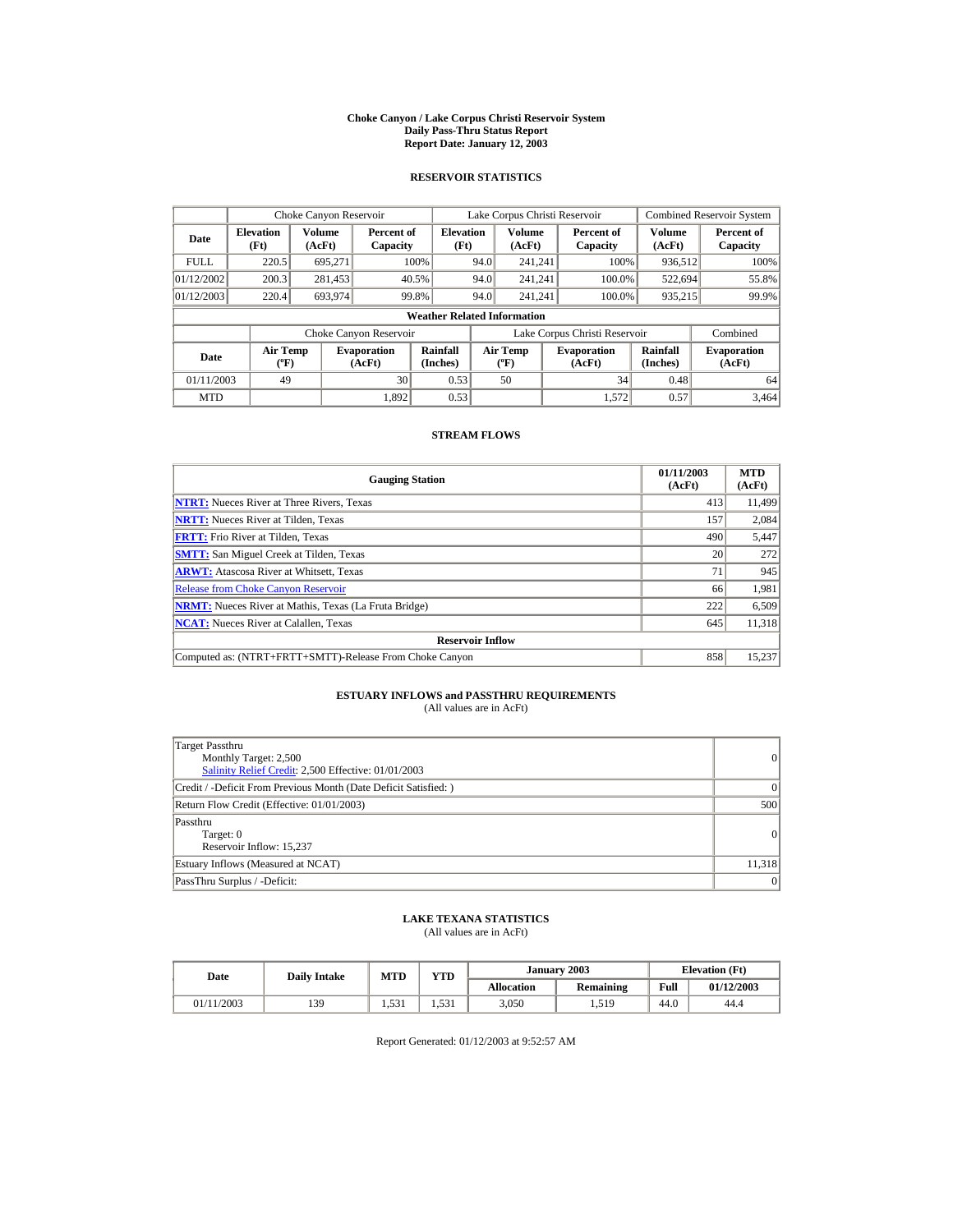#### **Choke Canyon / Lake Corpus Christi Reservoir System Daily Pass-Thru Status Report Report Date: January 12, 2003**

## **RESERVOIR STATISTICS**

|             | Choke Canyon Reservoir                      |                  |                              |                                    |                               | Lake Corpus Christi Reservoir    |  |                              |                      | <b>Combined Reservoir System</b> |
|-------------|---------------------------------------------|------------------|------------------------------|------------------------------------|-------------------------------|----------------------------------|--|------------------------------|----------------------|----------------------------------|
| Date        | <b>Elevation</b><br>(Ft)                    | Volume<br>(AcFt) | Percent of<br>Capacity       | <b>Elevation</b><br>(Ft)           |                               | Volume<br>(AcFt)                 |  | Percent of<br>Capacity       | Volume<br>(AcFt)     | Percent of<br>Capacity           |
| <b>FULL</b> | 220.5                                       | 695.271          |                              | 100%                               | 94.0                          | 241.241                          |  | 100%                         | 936,512              | 100%                             |
| 01/12/2002  | 200.3                                       | 281,453          |                              | 40.5%                              | 94.0                          | 241.241                          |  | 100.0%                       | 522,694              | 55.8%                            |
| 01/12/2003  | 220.4                                       | 693.974          |                              | 99.8%                              | 94.0                          | 241.241                          |  | 100.0%                       | 935,215              | 99.9%                            |
|             |                                             |                  |                              | <b>Weather Related Information</b> |                               |                                  |  |                              |                      |                                  |
|             |                                             |                  | Choke Canyon Reservoir       |                                    | Lake Corpus Christi Reservoir |                                  |  |                              | Combined             |                                  |
| Date        | <b>Air Temp</b><br>$({}^{\circ}\mathrm{F})$ |                  | <b>Evaporation</b><br>(AcFt) | Rainfall<br>(Inches)               |                               | <b>Air Temp</b><br>$(^{\circ}F)$ |  | <b>Evaporation</b><br>(AcFt) | Rainfall<br>(Inches) | <b>Evaporation</b><br>(AcFt)     |
| 01/11/2003  | 49                                          |                  | 30                           | 0.53                               |                               | 50                               |  | 34                           | 0.48                 | 64                               |
| <b>MTD</b>  |                                             |                  | 1.892                        | 0.53                               |                               |                                  |  | 1.572                        | 0.57                 | 3.464                            |

## **STREAM FLOWS**

| <b>Gauging Station</b>                                       | 01/11/2003<br>(AcFt) | <b>MTD</b><br>(AcFt) |
|--------------------------------------------------------------|----------------------|----------------------|
| <b>NTRT:</b> Nueces River at Three Rivers, Texas             | 413                  | 11.499               |
| <b>NRTT:</b> Nueces River at Tilden, Texas                   | 157                  | 2,084                |
| <b>FRTT:</b> Frio River at Tilden, Texas                     | 490                  | 5,447                |
| <b>SMTT:</b> San Miguel Creek at Tilden, Texas               | 20                   | 272                  |
| <b>ARWT:</b> Atascosa River at Whitsett, Texas               | 71                   | 945                  |
| <b>Release from Choke Canyon Reservoir</b>                   | 66                   | 1,981                |
| <b>NRMT:</b> Nueces River at Mathis, Texas (La Fruta Bridge) | 222                  | 6,509                |
| <b>NCAT:</b> Nueces River at Calallen, Texas                 | 645                  | 11,318               |
| <b>Reservoir Inflow</b>                                      |                      |                      |
| Computed as: (NTRT+FRTT+SMTT)-Release From Choke Canyon      | 858                  | 15,237               |

# **ESTUARY INFLOWS and PASSTHRU REQUIREMENTS**<br>(All values are in AcFt)

| Target Passthru<br>Monthly Target: 2,500<br>Salinity Relief Credit: 2,500 Effective: 01/01/2003 | 0              |
|-------------------------------------------------------------------------------------------------|----------------|
| Credit / -Deficit From Previous Month (Date Deficit Satisfied:)                                 | $\Omega$       |
| Return Flow Credit (Effective: 01/01/2003)                                                      | 500            |
| Passthru<br>Target: 0<br>Reservoir Inflow: 15,237                                               | $\overline{0}$ |
| Estuary Inflows (Measured at NCAT)                                                              | 11.318         |
| PassThru Surplus / -Deficit:                                                                    | 0              |

## **LAKE TEXANA STATISTICS**

(All values are in AcFt)

| Date       | <b>Daily Intake</b> | <b>MTD</b> | January 2003<br>YTD |                   |           |      | <b>Elevation</b> (Ft) |  |
|------------|---------------------|------------|---------------------|-------------------|-----------|------|-----------------------|--|
|            |                     |            |                     | <b>Allocation</b> | Remaining | Full | 01/12/2003            |  |
| 01/11/2003 | 139                 | 531<br>. 1 | 1.531               | 3,050             | 1,519     | 44.0 | 44.4                  |  |

Report Generated: 01/12/2003 at 9:52:57 AM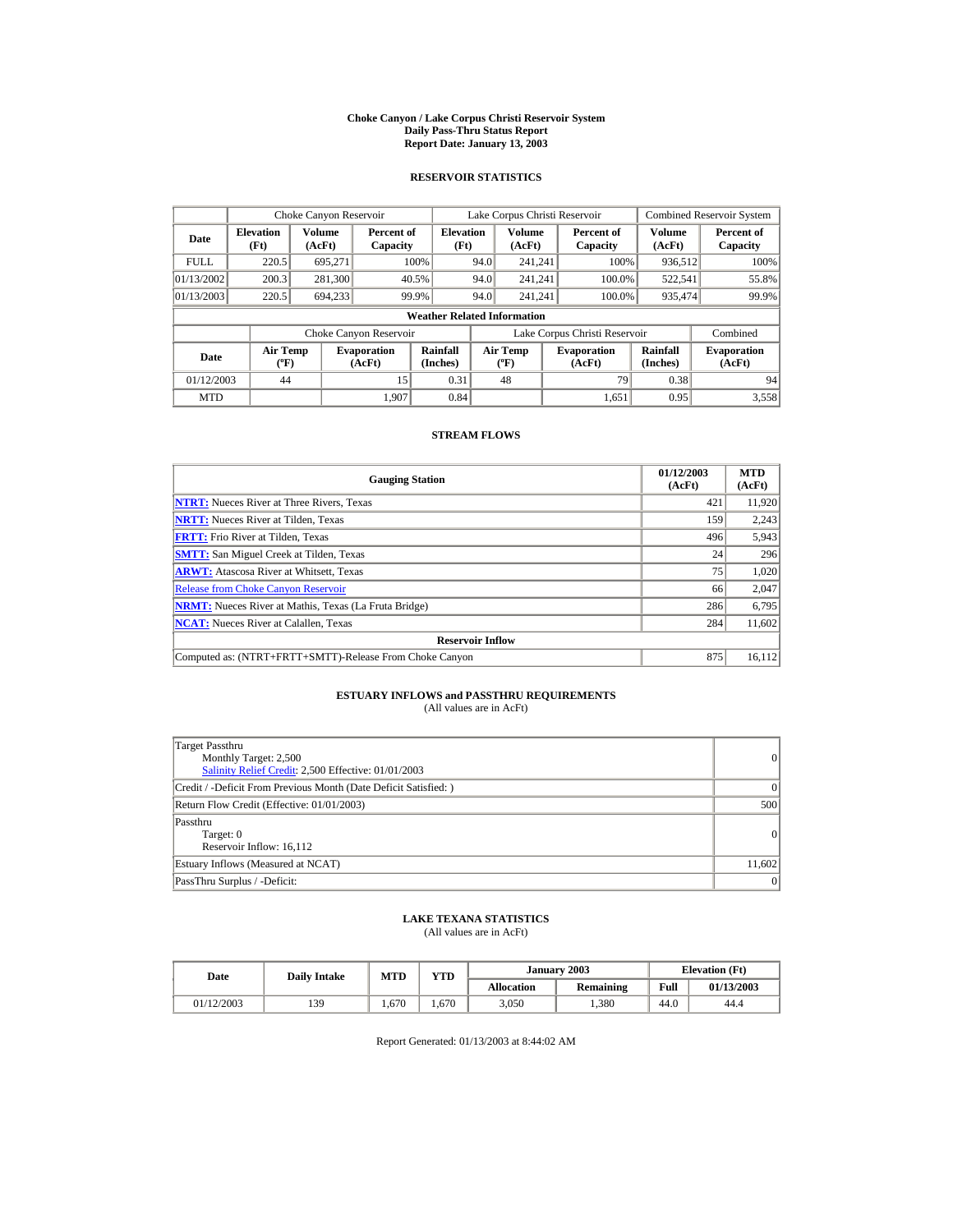#### **Choke Canyon / Lake Corpus Christi Reservoir System Daily Pass-Thru Status Report Report Date: January 13, 2003**

## **RESERVOIR STATISTICS**

| Choke Canyon Reservoir |                                              |         |                              |                                    |                               | Lake Corpus Christi Reservoir           |  |                              |                      | <b>Combined Reservoir System</b> |
|------------------------|----------------------------------------------|---------|------------------------------|------------------------------------|-------------------------------|-----------------------------------------|--|------------------------------|----------------------|----------------------------------|
| Date                   | Volume<br><b>Elevation</b><br>(Ft)<br>(AcFt) |         | Percent of<br>Capacity       | <b>Elevation</b><br>(Ft)           |                               | Volume<br>(AcFt)                        |  | Percent of<br>Capacity       | Volume<br>(AcFt)     | Percent of<br>Capacity           |
| <b>FULL</b>            | 220.5                                        | 695.271 |                              | 100%                               | 94.0                          | 241.241                                 |  | 100%                         | 936,512              | 100%                             |
| 01/13/2002             | 200.3                                        | 281,300 |                              | 40.5%                              | 94.0                          | 241.241                                 |  | 100.0%                       | 522,541              | 55.8%                            |
| 01/13/2003             | 220.5                                        | 694,233 |                              | 99.9%                              | 94.0                          | 241.241                                 |  | 100.0%                       | 935,474              | 99.9%                            |
|                        |                                              |         |                              | <b>Weather Related Information</b> |                               |                                         |  |                              |                      |                                  |
|                        |                                              |         | Choke Canyon Reservoir       |                                    | Lake Corpus Christi Reservoir |                                         |  |                              | Combined             |                                  |
| Date                   | <b>Air Temp</b><br>$({}^{\circ}\mathrm{F})$  |         | <b>Evaporation</b><br>(AcFt) | Rainfall<br>(Inches)               |                               | <b>Air Temp</b><br>$(^{\circ}\text{F})$ |  | <b>Evaporation</b><br>(AcFt) | Rainfall<br>(Inches) | <b>Evaporation</b><br>(AcFt)     |
| 01/12/2003             | 44                                           |         | 15                           | 0.31                               |                               | 48                                      |  | 79                           | 0.38                 | 94                               |
| <b>MTD</b>             |                                              |         | 1.907                        | 0.84                               |                               |                                         |  | 1.651                        | 0.95                 | 3.558                            |

## **STREAM FLOWS**

| <b>Gauging Station</b>                                       | 01/12/2003<br>(AcFt) | <b>MTD</b><br>(AcFt) |
|--------------------------------------------------------------|----------------------|----------------------|
| <b>NTRT:</b> Nueces River at Three Rivers, Texas             | 421                  | 11,920               |
| <b>NRTT:</b> Nueces River at Tilden, Texas                   | 159                  | 2,243                |
| <b>FRTT:</b> Frio River at Tilden, Texas                     | 496                  | 5,943                |
| <b>SMTT:</b> San Miguel Creek at Tilden, Texas               | 24                   | 296                  |
| <b>ARWT:</b> Atascosa River at Whitsett, Texas               | 75                   | 1,020                |
| <b>Release from Choke Canyon Reservoir</b>                   | 66                   | 2,047                |
| <b>NRMT:</b> Nueces River at Mathis, Texas (La Fruta Bridge) | 286                  | 6,795                |
| <b>NCAT:</b> Nueces River at Calallen, Texas                 | 284                  | 11,602               |
| <b>Reservoir Inflow</b>                                      |                      |                      |
| Computed as: (NTRT+FRTT+SMTT)-Release From Choke Canyon      | 875                  | 16,112               |

# **ESTUARY INFLOWS and PASSTHRU REQUIREMENTS**<br>(All values are in AcFt)

| Target Passthru<br>Monthly Target: 2,500<br>Salinity Relief Credit: 2,500 Effective: 01/01/2003 | 0      |
|-------------------------------------------------------------------------------------------------|--------|
| Credit / -Deficit From Previous Month (Date Deficit Satisfied: )                                | 0      |
| Return Flow Credit (Effective: 01/01/2003)                                                      | 500    |
| Passthru<br>Target: 0<br>Reservoir Inflow: 16,112                                               | 0      |
| Estuary Inflows (Measured at NCAT)                                                              | 11,602 |
| PassThru Surplus / -Deficit:                                                                    | 0      |

## **LAKE TEXANA STATISTICS**

(All values are in AcFt)

| Date       | <b>Daily Intake</b> | <b>MTD</b> | VTD- |                   | January 2003 |      | <b>Elevation</b> (Ft) |
|------------|---------------------|------------|------|-------------------|--------------|------|-----------------------|
|            |                     |            |      | <b>Allocation</b> | Remaining    | Full | 01/13/2003            |
| 01/12/2003 | 139                 | 670        | 670  | 3,050             | .380         | 44.0 | 44.4                  |

Report Generated: 01/13/2003 at 8:44:02 AM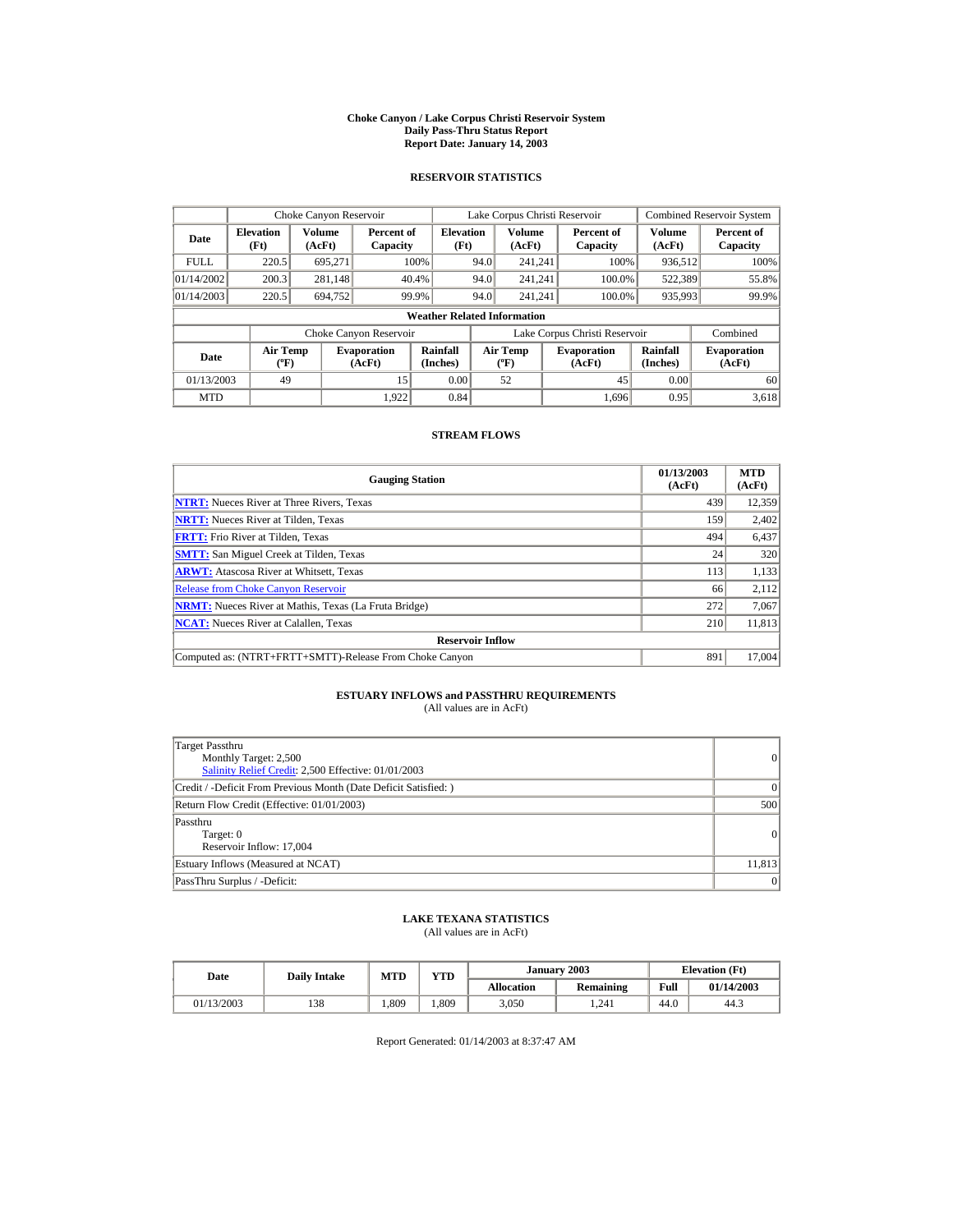#### **Choke Canyon / Lake Corpus Christi Reservoir System Daily Pass-Thru Status Report Report Date: January 14, 2003**

## **RESERVOIR STATISTICS**

|                                                                                     | Choke Canyon Reservoir                       |                      |                        |                                           |                               | Lake Corpus Christi Reservoir |                      |                              |                  | Combined Reservoir System |
|-------------------------------------------------------------------------------------|----------------------------------------------|----------------------|------------------------|-------------------------------------------|-------------------------------|-------------------------------|----------------------|------------------------------|------------------|---------------------------|
| Date                                                                                | Volume<br><b>Elevation</b><br>(Ft)<br>(AcFt) |                      | Percent of<br>Capacity | <b>Elevation</b><br>(Ft)                  |                               | Volume<br>(AcFt)              |                      | Percent of<br>Capacity       | Volume<br>(AcFt) | Percent of<br>Capacity    |
| <b>FULL</b>                                                                         | 220.5                                        | 695.271              |                        | 100%                                      | 94.0                          | 241.241                       |                      | 100%                         | 936,512          | 100%                      |
| 01/14/2002                                                                          | 200.3                                        | 281,148              |                        | 40.4%                                     | 94.0                          | 241.241                       |                      | 100.0%                       | 522,389          | 55.8%                     |
| 01/14/2003                                                                          | 220.5                                        | 694.752              |                        | 99.9%                                     | 94.0                          | 241.241                       |                      | 100.0%                       | 935,993          | 99.9%                     |
|                                                                                     |                                              |                      |                        | <b>Weather Related Information</b>        |                               |                               |                      |                              |                  |                           |
|                                                                                     |                                              |                      | Choke Canyon Reservoir |                                           | Lake Corpus Christi Reservoir |                               |                      |                              | Combined         |                           |
| <b>Air Temp</b><br><b>Evaporation</b><br>Date<br>$({}^{\circ}\mathrm{F})$<br>(AcFt) |                                              | Rainfall<br>(Inches) |                        | <b>Air Temp</b><br>$({}^{\circ}\text{F})$ |                               | <b>Evaporation</b><br>(AcFt)  | Rainfall<br>(Inches) | <b>Evaporation</b><br>(AcFt) |                  |                           |
| 01/13/2003                                                                          | 49                                           |                      | 15                     | 0.00                                      |                               | 52                            |                      | 45                           | 0.00             | 60                        |
| <b>MTD</b>                                                                          |                                              |                      | 1.922                  | 0.84                                      |                               |                               |                      | 1.696                        | 0.95             | 3,618                     |

## **STREAM FLOWS**

| <b>Gauging Station</b>                                       | 01/13/2003<br>(AcFt) | <b>MTD</b><br>(AcFt) |
|--------------------------------------------------------------|----------------------|----------------------|
| <b>NTRT:</b> Nueces River at Three Rivers, Texas             | 439                  | 12,359               |
| <b>NRTT:</b> Nueces River at Tilden, Texas                   | 159                  | 2,402                |
| <b>FRTT:</b> Frio River at Tilden, Texas                     | 494                  | 6,437                |
| <b>SMTT:</b> San Miguel Creek at Tilden, Texas               | 24                   | 320                  |
| <b>ARWT:</b> Atascosa River at Whitsett, Texas               | 113                  | 1,133                |
| <b>Release from Choke Canyon Reservoir</b>                   | 66                   | 2,112                |
| <b>NRMT:</b> Nueces River at Mathis, Texas (La Fruta Bridge) | 272                  | 7,067                |
| <b>NCAT:</b> Nueces River at Calallen, Texas                 | 210                  | 11,813               |
| <b>Reservoir Inflow</b>                                      |                      |                      |
| Computed as: (NTRT+FRTT+SMTT)-Release From Choke Canyon      | 891                  | 17,004               |

# **ESTUARY INFLOWS and PASSTHRU REQUIREMENTS**<br>(All values are in AcFt)

| Target Passthru<br>Monthly Target: 2,500<br>Salinity Relief Credit: 2,500 Effective: 01/01/2003 | $\overline{0}$ |
|-------------------------------------------------------------------------------------------------|----------------|
| Credit / -Deficit From Previous Month (Date Deficit Satisfied: )                                | $\Omega$       |
| Return Flow Credit (Effective: 01/01/2003)                                                      | 500            |
| Passthru<br>Target: 0<br>Reservoir Inflow: 17,004                                               | 0              |
| Estuary Inflows (Measured at NCAT)                                                              | 11,813         |
| PassThru Surplus / -Deficit:                                                                    | 0              |

## **LAKE TEXANA STATISTICS**

(All values are in AcFt)

| Date       | <b>Daily Intake</b> | <b>MTD</b> | VTD  |                   | January 2003 |      | <b>Elevation</b> (Ft) |
|------------|---------------------|------------|------|-------------------|--------------|------|-----------------------|
|            |                     |            |      | <b>Allocation</b> | Remaining    | Full | 01/14/2003            |
| 01/13/2003 | 138                 | .809       | .809 | 3,050             | 1.241        | 44.0 | 44.3                  |

Report Generated: 01/14/2003 at 8:37:47 AM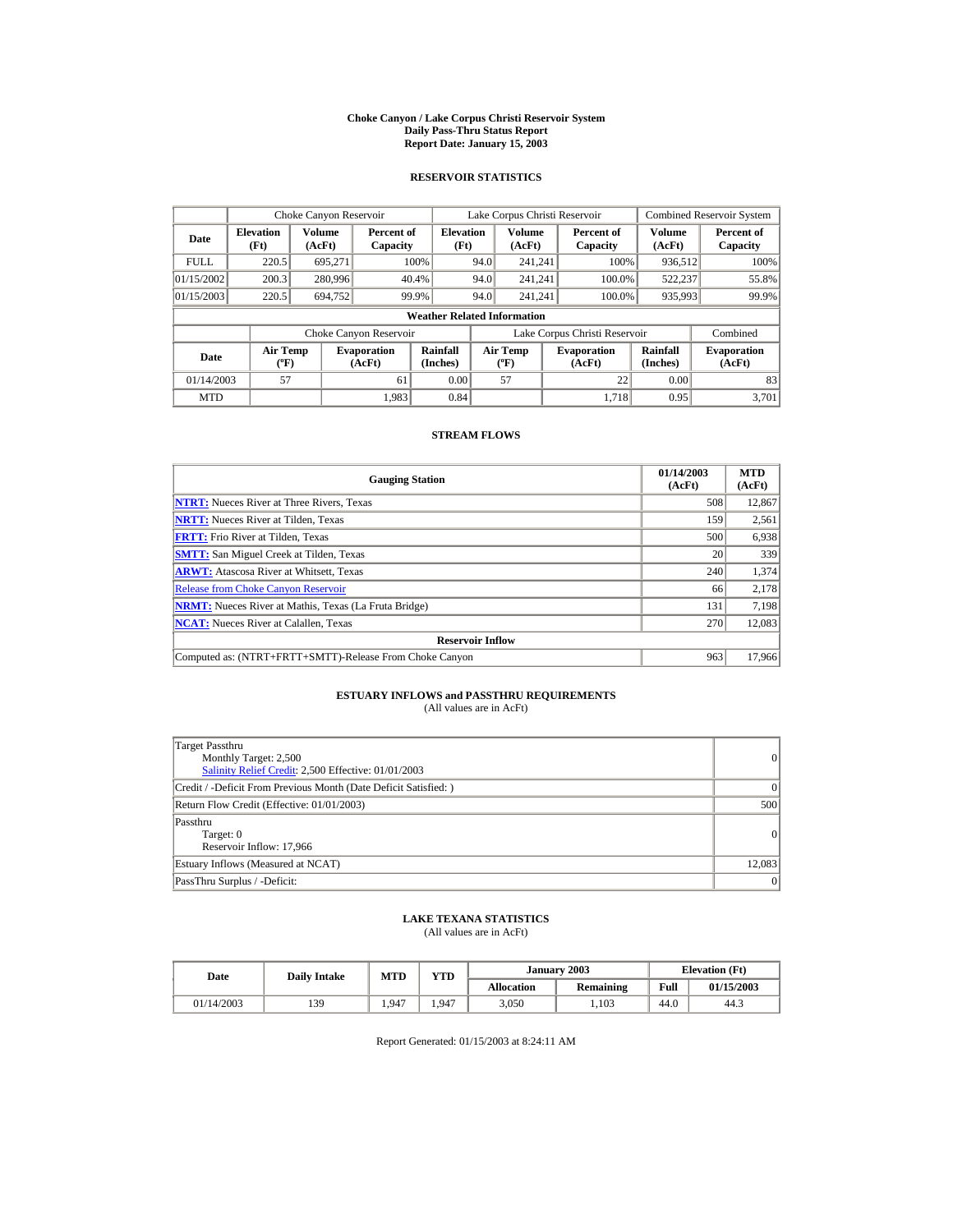#### **Choke Canyon / Lake Corpus Christi Reservoir System Daily Pass-Thru Status Report Report Date: January 15, 2003**

## **RESERVOIR STATISTICS**

|             | Choke Canyon Reservoir                       |         |                              |                                    |                               | Lake Corpus Christi Reservoir             |  |                              |                      | Combined Reservoir System    |
|-------------|----------------------------------------------|---------|------------------------------|------------------------------------|-------------------------------|-------------------------------------------|--|------------------------------|----------------------|------------------------------|
| Date        | Volume<br><b>Elevation</b><br>(Ft)<br>(AcFt) |         | Percent of<br>Capacity       | <b>Elevation</b><br>(Ft)           |                               | Volume<br>(AcFt)                          |  | Percent of<br>Capacity       | Volume<br>(AcFt)     | Percent of<br>Capacity       |
| <b>FULL</b> | 220.5                                        | 695.271 |                              | 100%                               | 94.0                          | 241.241                                   |  | 100%                         | 936,512              | 100%                         |
| 01/15/2002  | 200.3                                        | 280,996 |                              | 40.4%                              | 94.0                          | 241.241                                   |  | 100.0%                       | 522,237              | 55.8%                        |
| 01/15/2003  | 220.5                                        | 694.752 |                              | 99.9%                              | 94.0                          | 241.241                                   |  | 100.0%                       | 935,993              | 99.9%                        |
|             |                                              |         |                              | <b>Weather Related Information</b> |                               |                                           |  |                              |                      |                              |
|             |                                              |         | Choke Canyon Reservoir       |                                    | Lake Corpus Christi Reservoir |                                           |  |                              | Combined             |                              |
| Date        | <b>Air Temp</b><br>$({}^{\circ}\mathrm{F})$  |         | <b>Evaporation</b><br>(AcFt) | Rainfall<br>(Inches)               |                               | <b>Air Temp</b><br>$({}^{\circ}\text{F})$ |  | <b>Evaporation</b><br>(AcFt) | Rainfall<br>(Inches) | <b>Evaporation</b><br>(AcFt) |
| 01/14/2003  | 57                                           |         | 61                           | 0.00                               |                               | 57                                        |  | 22                           | 0.00                 | 83                           |
| <b>MTD</b>  |                                              |         | 1.983                        | 0.84                               |                               |                                           |  | 1.718                        | 0.95                 | 3.701                        |

## **STREAM FLOWS**

| <b>Gauging Station</b>                                       | 01/14/2003<br>(AcFt) | <b>MTD</b><br>(AcFt) |
|--------------------------------------------------------------|----------------------|----------------------|
| <b>NTRT:</b> Nueces River at Three Rivers, Texas             | 508                  | 12,867               |
| <b>NRTT:</b> Nueces River at Tilden, Texas                   | 159                  | 2,561                |
| <b>FRTT:</b> Frio River at Tilden, Texas                     | 500                  | 6,938                |
| <b>SMTT:</b> San Miguel Creek at Tilden, Texas               | 20                   | 339                  |
| <b>ARWT:</b> Atascosa River at Whitsett, Texas               | 240                  | 1,374                |
| <b>Release from Choke Canyon Reservoir</b>                   | 66                   | 2,178                |
| <b>NRMT:</b> Nueces River at Mathis, Texas (La Fruta Bridge) | 131                  | 7,198                |
| <b>NCAT:</b> Nueces River at Calallen, Texas                 | 270                  | 12,083               |
| <b>Reservoir Inflow</b>                                      |                      |                      |
| Computed as: (NTRT+FRTT+SMTT)-Release From Choke Canyon      | 963                  | 17,966               |

# **ESTUARY INFLOWS and PASSTHRU REQUIREMENTS**<br>(All values are in AcFt)

| Target Passthru<br>Monthly Target: 2,500<br>Salinity Relief Credit: 2,500 Effective: 01/01/2003 | 0              |
|-------------------------------------------------------------------------------------------------|----------------|
| Credit / -Deficit From Previous Month (Date Deficit Satisfied:)                                 | $\Omega$       |
| Return Flow Credit (Effective: 01/01/2003)                                                      | 500            |
| Passthru<br>Target: 0<br>Reservoir Inflow: 17,966                                               | $\overline{0}$ |
| Estuary Inflows (Measured at NCAT)                                                              | 12.083         |
| PassThru Surplus / -Deficit:                                                                    | 0              |

## **LAKE TEXANA STATISTICS**

(All values are in AcFt)

| Date       | <b>Daily Intake</b> | <b>MTD</b> | VTD   |                   | January 2003 |      | <b>Elevation</b> (Ft) |
|------------|---------------------|------------|-------|-------------------|--------------|------|-----------------------|
|            |                     |            |       | <b>Allocation</b> | Remaining    | Full | 01/15/2003            |
| 01/14/2003 | 139                 | . 947      | . 947 | 3,050             | 1.103        | 44.0 | 44.3                  |

Report Generated: 01/15/2003 at 8:24:11 AM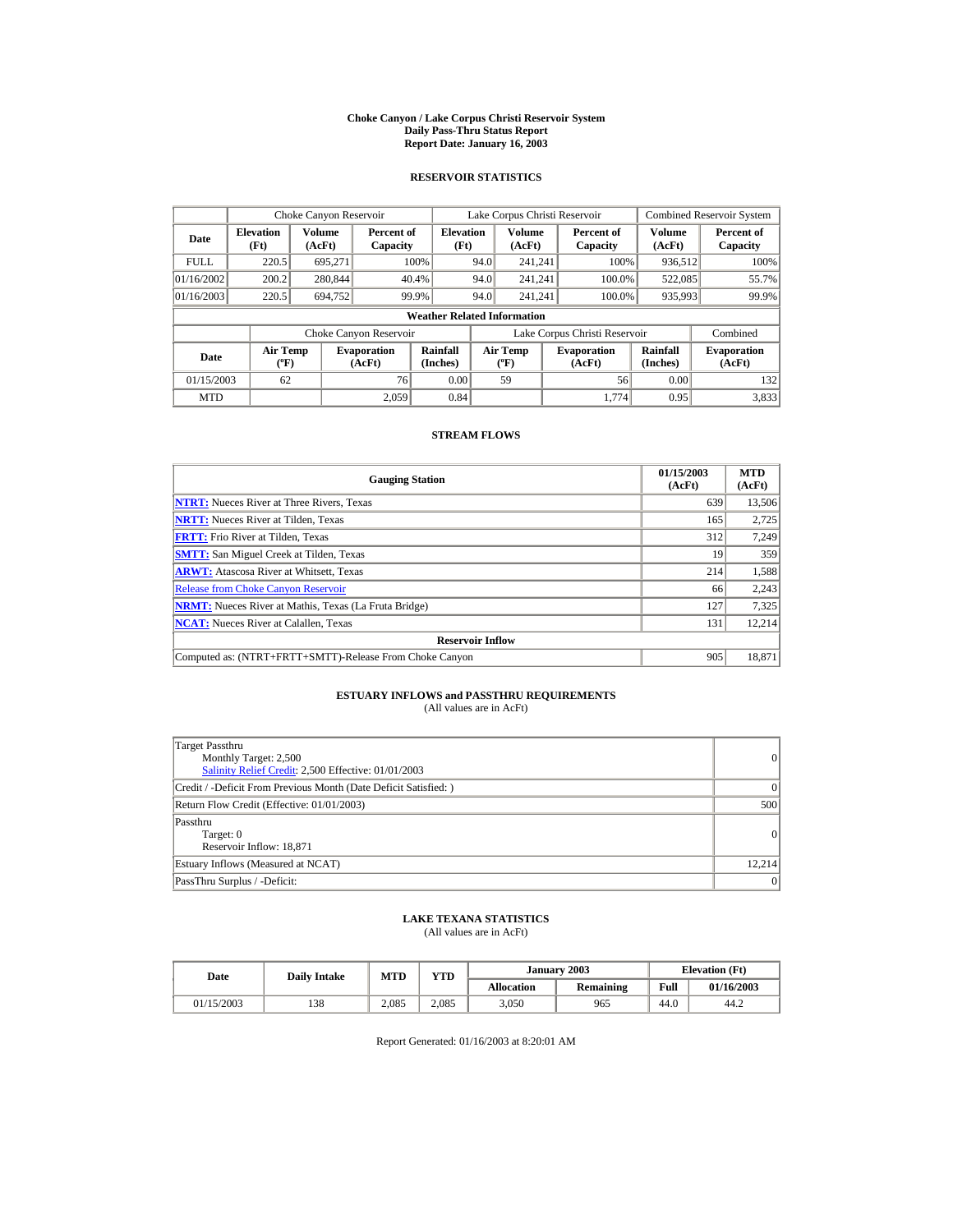#### **Choke Canyon / Lake Corpus Christi Reservoir System Daily Pass-Thru Status Report Report Date: January 16, 2003**

## **RESERVOIR STATISTICS**

|             | Choke Canyon Reservoir                      |                  |                              |                                    |                               | Lake Corpus Christi Reservoir               |  |                              |                      | Combined Reservoir System    |
|-------------|---------------------------------------------|------------------|------------------------------|------------------------------------|-------------------------------|---------------------------------------------|--|------------------------------|----------------------|------------------------------|
| Date        | <b>Elevation</b><br>(Ft)                    | Volume<br>(AcFt) | Percent of<br>Capacity       | <b>Elevation</b><br>(Ft)           |                               | Volume<br>(AcFt)                            |  | Percent of<br>Capacity       | Volume<br>(AcFt)     | Percent of<br>Capacity       |
| <b>FULL</b> | 220.5                                       | 695.271          |                              | 100%                               | 94.0                          | 241.241                                     |  | 100%                         | 936,512              | 100%                         |
| 01/16/2002  | 200.2                                       | 280,844          |                              | 40.4%                              | 94.0                          | 241.241                                     |  | 100.0%                       | 522,085              | 55.7%                        |
| 01/16/2003  | 220.5                                       | 694.752          |                              | 99.9%                              | 94.0                          | 241.241                                     |  | 100.0%                       | 935,993              | 99.9%                        |
|             |                                             |                  |                              | <b>Weather Related Information</b> |                               |                                             |  |                              |                      |                              |
|             |                                             |                  | Choke Canyon Reservoir       |                                    | Lake Corpus Christi Reservoir |                                             |  |                              | Combined             |                              |
| Date        | <b>Air Temp</b><br>$({}^{\circ}\mathrm{F})$ |                  | <b>Evaporation</b><br>(AcFt) | Rainfall<br>(Inches)               |                               | <b>Air Temp</b><br>$({}^{\circ}\mathbf{F})$ |  | <b>Evaporation</b><br>(AcFt) | Rainfall<br>(Inches) | <b>Evaporation</b><br>(AcFt) |
| 01/15/2003  | 62                                          |                  | 76                           | 0.00                               |                               | 59                                          |  | 56                           | 0.00                 | 132                          |
| <b>MTD</b>  |                                             |                  | 2.059                        | 0.84                               |                               |                                             |  | 1.774                        | 0.95                 | 3,833                        |

## **STREAM FLOWS**

| <b>Gauging Station</b>                                       | 01/15/2003<br>(AcFt) | <b>MTD</b><br>(AcFt) |
|--------------------------------------------------------------|----------------------|----------------------|
| <b>NTRT:</b> Nueces River at Three Rivers, Texas             | 639                  | 13,506               |
| <b>NRTT:</b> Nueces River at Tilden, Texas                   | 165                  | 2,725                |
| <b>FRTT:</b> Frio River at Tilden, Texas                     | 312                  | 7,249                |
| <b>SMTT:</b> San Miguel Creek at Tilden, Texas               | 19                   | 359                  |
| <b>ARWT:</b> Atascosa River at Whitsett, Texas               | 214                  | 1,588                |
| <b>Release from Choke Canvon Reservoir</b>                   | 66                   | 2,243                |
| <b>NRMT:</b> Nueces River at Mathis, Texas (La Fruta Bridge) | 127                  | 7,325                |
| <b>NCAT:</b> Nueces River at Calallen, Texas                 | 131                  | 12.214               |
| <b>Reservoir Inflow</b>                                      |                      |                      |
| Computed as: (NTRT+FRTT+SMTT)-Release From Choke Canyon      | 905                  | 18,871               |

# **ESTUARY INFLOWS and PASSTHRU REQUIREMENTS**<br>(All values are in AcFt)

| Target Passthru<br>Monthly Target: 2,500<br>Salinity Relief Credit: 2,500 Effective: 01/01/2003 | 0              |
|-------------------------------------------------------------------------------------------------|----------------|
| Credit / -Deficit From Previous Month (Date Deficit Satisfied:)                                 | $\Omega$       |
| Return Flow Credit (Effective: 01/01/2003)                                                      | 500            |
| Passthru<br>Target: 0<br>Reservoir Inflow: 18,871                                               | $\overline{0}$ |
| Estuary Inflows (Measured at NCAT)                                                              | 12.214         |
| PassThru Surplus / -Deficit:                                                                    | 0              |

## **LAKE TEXANA STATISTICS**

(All values are in AcFt)

| Date       | <b>Daily Intake</b> | <b>MTD</b> | January 2003<br>YTD |                   |           |      | <b>Elevation</b> (Ft) |
|------------|---------------------|------------|---------------------|-------------------|-----------|------|-----------------------|
|            |                     |            |                     | <b>Allocation</b> | Remaining | Full | 01/16/2003            |
| 01/15/2003 | 138                 | 2.085      | 2.085               | 3,050             | 965       | 44.0 | 44.2                  |

Report Generated: 01/16/2003 at 8:20:01 AM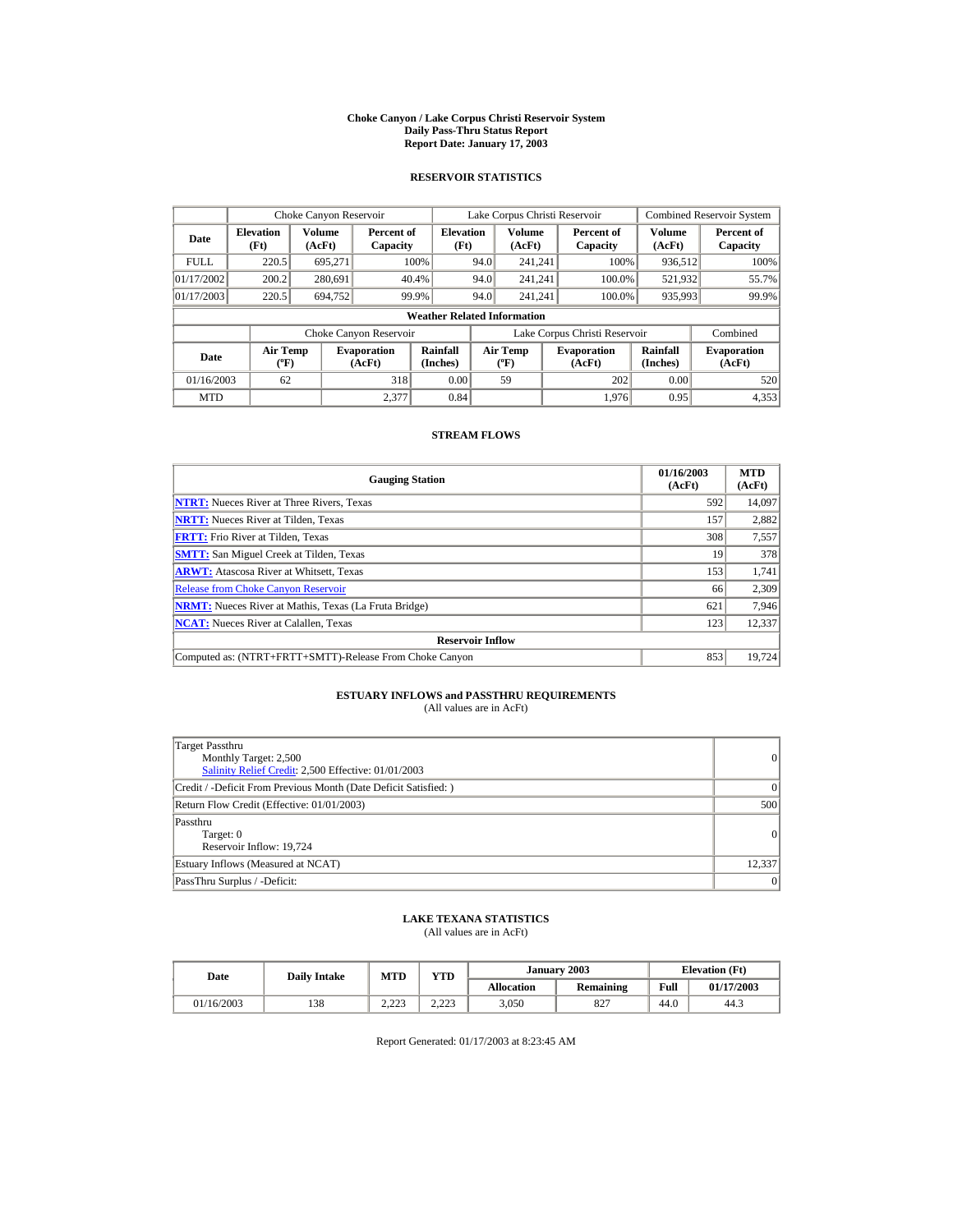#### **Choke Canyon / Lake Corpus Christi Reservoir System Daily Pass-Thru Status Report Report Date: January 17, 2003**

## **RESERVOIR STATISTICS**

|                                  | Choke Canyon Reservoir                      |                  |                              |                                    |      | Lake Corpus Christi Reservoir             |                               |                         | <b>Combined Reservoir System</b> |
|----------------------------------|---------------------------------------------|------------------|------------------------------|------------------------------------|------|-------------------------------------------|-------------------------------|-------------------------|----------------------------------|
| <b>Elevation</b><br>Date<br>(Ft) |                                             | Volume<br>(AcFt) | Percent of<br>Capacity       | <b>Elevation</b><br>(Ft)           |      | <b>Volume</b><br>(AcFt)                   | Percent of<br>Capacity        | <b>Volume</b><br>(AcFt) | Percent of<br>Capacity           |
| <b>FULL</b>                      | 220.5                                       | 695,271          |                              | 100%                               | 94.0 | 241.241                                   | 100%                          | 936,512                 | 100%                             |
| 01/17/2002                       | 200.2                                       | 280.691          |                              | 40.4%                              | 94.0 | 241.241                                   | 100.0%                        | 521,932                 | 55.7%                            |
| 01/17/2003                       | 220.5                                       | 694.752          |                              | 99.9%                              | 94.0 | 241.241                                   | 100.0%                        | 935,993                 | 99.9%                            |
|                                  |                                             |                  |                              | <b>Weather Related Information</b> |      |                                           |                               |                         |                                  |
|                                  |                                             |                  | Choke Canyon Reservoir       |                                    |      |                                           | Lake Corpus Christi Reservoir |                         | Combined                         |
| Date                             | <b>Air Temp</b><br>$({}^{\circ}\mathrm{F})$ |                  | <b>Evaporation</b><br>(AcFt) | Rainfall<br>(Inches)               |      | <b>Air Temp</b><br>$({}^{\circ}\text{F})$ | <b>Evaporation</b><br>(AcFt)  | Rainfall<br>(Inches)    | <b>Evaporation</b><br>(AcFt)     |
| 01/16/2003                       | 62                                          |                  | 318                          | 0.00                               |      | 59                                        | 202                           | 0.00                    | 520                              |
| <b>MTD</b>                       |                                             |                  | 2.377                        | 0.84                               |      |                                           | 1.976                         | 0.95                    | 4,353                            |

## **STREAM FLOWS**

| <b>Gauging Station</b>                                       | 01/16/2003<br>(AcFt) | <b>MTD</b><br>(AcFt) |
|--------------------------------------------------------------|----------------------|----------------------|
| <b>NTRT:</b> Nueces River at Three Rivers. Texas             | 592                  | 14,097               |
| <b>NRTT:</b> Nueces River at Tilden, Texas                   | 157                  | 2,882                |
| <b>FRTT:</b> Frio River at Tilden, Texas                     | 308                  | 7,557                |
| <b>SMTT:</b> San Miguel Creek at Tilden, Texas               | 19                   | 378                  |
| <b>ARWT:</b> Atascosa River at Whitsett, Texas               | 153                  | 1,741                |
| <b>Release from Choke Canyon Reservoir</b>                   | 66                   | 2,309                |
| <b>NRMT:</b> Nueces River at Mathis, Texas (La Fruta Bridge) | 621                  | 7.946                |
| <b>NCAT:</b> Nueces River at Calallen, Texas                 | 123                  | 12,337               |
| <b>Reservoir Inflow</b>                                      |                      |                      |
| Computed as: (NTRT+FRTT+SMTT)-Release From Choke Canyon      | 853                  | 19,724               |

## **ESTUARY INFLOWS and PASSTHRU REQUIREMENTS**<br>(All values are in AcFt)

| Target Passthru<br>Monthly Target: 2,500<br>Salinity Relief Credit: 2,500 Effective: 01/01/2003 | $\overline{0}$ |
|-------------------------------------------------------------------------------------------------|----------------|
| Credit / -Deficit From Previous Month (Date Deficit Satisfied: )                                | $\Omega$       |
| Return Flow Credit (Effective: 01/01/2003)                                                      | 500            |
| Passthru<br>Target: 0<br>Reservoir Inflow: 19,724                                               | 0              |
| Estuary Inflows (Measured at NCAT)                                                              | 12,337         |
| PassThru Surplus / -Deficit:                                                                    | 0              |

## **LAKE TEXANA STATISTICS**

(All values are in AcFt)

| Date       | <b>Daily Intake</b> | <b>MTD</b>      | YTD             |            | January 2003 | <b>Elevation</b> (Ft) |            |
|------------|---------------------|-----------------|-----------------|------------|--------------|-----------------------|------------|
|            |                     |                 |                 | Allocation | Remaining    | Full                  | 01/17/2003 |
| 01/16/2003 | 138                 | າາາ<br>ل کے ویک | 2.22<br>رے کے د | 3,050      | 827          | 44.0                  | 44.3       |

Report Generated: 01/17/2003 at 8:23:45 AM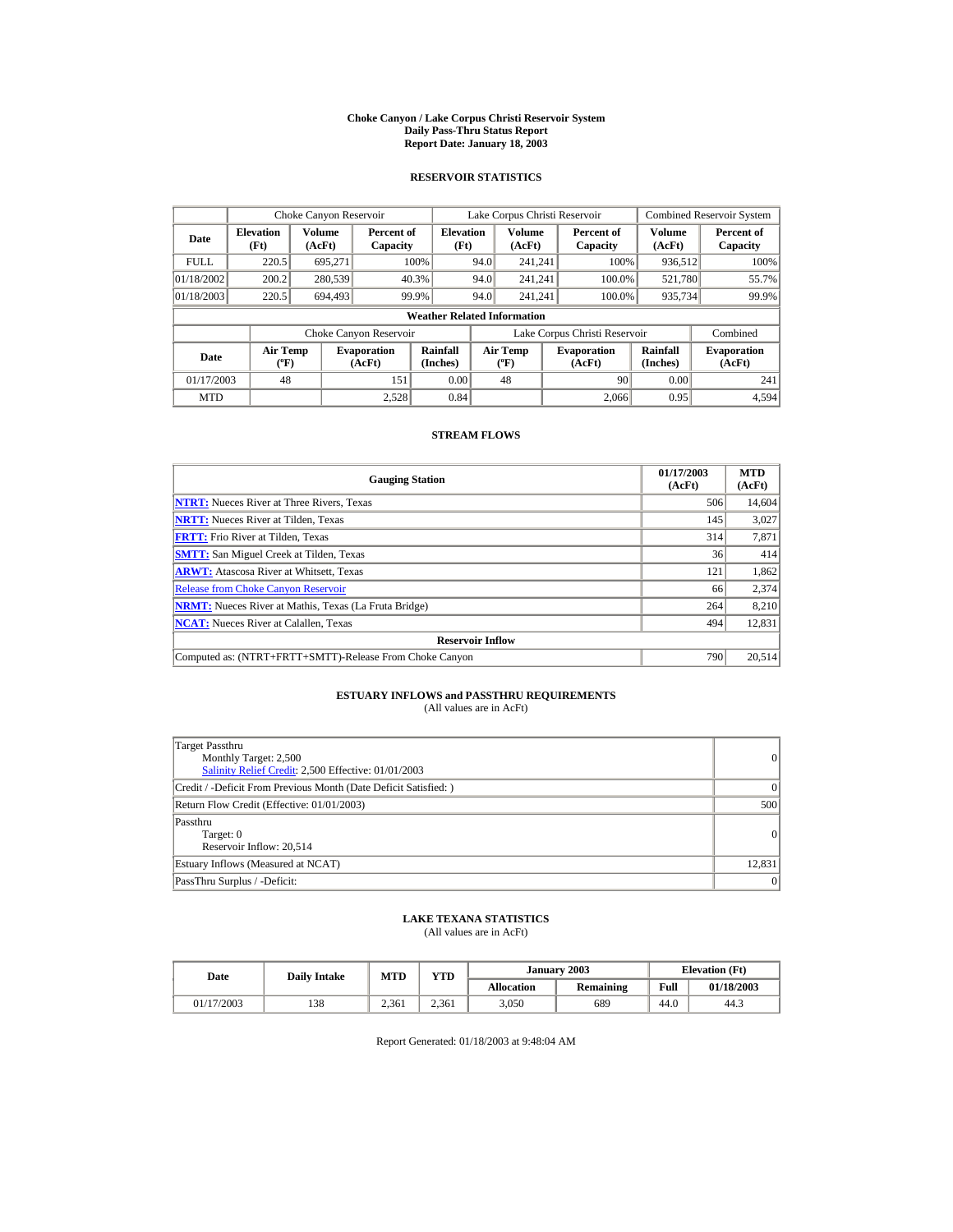#### **Choke Canyon / Lake Corpus Christi Reservoir System Daily Pass-Thru Status Report Report Date: January 18, 2003**

## **RESERVOIR STATISTICS**

|             | Choke Canyon Reservoir                      |                  |                              |                                    |      | Lake Corpus Christi Reservoir            |                               |                      | <b>Combined Reservoir System</b> |
|-------------|---------------------------------------------|------------------|------------------------------|------------------------------------|------|------------------------------------------|-------------------------------|----------------------|----------------------------------|
| Date        | <b>Elevation</b><br>(Ft)                    | Volume<br>(AcFt) | Percent of<br>Capacity       | <b>Elevation</b><br>(Ft)           |      | <b>Volume</b><br>(AcFt)                  | Percent of<br>Capacity        | Volume<br>(AcFt)     | Percent of<br>Capacity           |
| <b>FULL</b> | 220.5                                       | 695.271          |                              | 100%                               | 94.0 | 241.241                                  | 100%                          | 936,512              | 100%                             |
| 01/18/2002  | 200.2                                       | 280,539          |                              | 40.3%                              | 94.0 | 241.241                                  | 100.0%                        | 521,780              | 55.7%                            |
| 01/18/2003  | 220.5                                       | 694.493          |                              | 99.9%                              | 94.0 | 241.241                                  | 100.0%                        | 935,734              | 99.9%                            |
|             |                                             |                  |                              | <b>Weather Related Information</b> |      |                                          |                               |                      |                                  |
|             |                                             |                  | Choke Canyon Reservoir       |                                    |      |                                          | Lake Corpus Christi Reservoir |                      | Combined                         |
| Date        | <b>Air Temp</b><br>$({}^{\circ}\mathrm{F})$ |                  | <b>Evaporation</b><br>(AcFt) | Rainfall<br>(Inches)               |      | <b>Air Temp</b><br>$({}^{\circ}{\rm F})$ | <b>Evaporation</b><br>(AcFt)  | Rainfall<br>(Inches) | <b>Evaporation</b><br>(AcFt)     |
| 01/17/2003  | 48                                          |                  | 151                          | 0.00                               |      | 48                                       | 90                            | 0.00                 | 241                              |
| <b>MTD</b>  |                                             |                  | 2.528                        | 0.84                               |      |                                          | 2.066                         | 0.95                 | 4.594                            |

## **STREAM FLOWS**

| <b>Gauging Station</b>                                       | 01/17/2003<br>(AcFt) | <b>MTD</b><br>(AcFt) |
|--------------------------------------------------------------|----------------------|----------------------|
| <b>NTRT:</b> Nueces River at Three Rivers, Texas             | 506                  | 14,604               |
| <b>NRTT:</b> Nueces River at Tilden, Texas                   | 145                  | 3,027                |
| <b>FRTT:</b> Frio River at Tilden, Texas                     | 314                  | 7,871                |
| <b>SMTT:</b> San Miguel Creek at Tilden, Texas               | 36                   | 414                  |
| <b>ARWT:</b> Atascosa River at Whitsett, Texas               | 121                  | 1,862                |
| <b>Release from Choke Canyon Reservoir</b>                   | 66                   | 2,374                |
| <b>NRMT:</b> Nueces River at Mathis, Texas (La Fruta Bridge) | 264                  | 8.210                |
| <b>NCAT:</b> Nueces River at Calallen, Texas                 | 494                  | 12,831               |
| <b>Reservoir Inflow</b>                                      |                      |                      |
| Computed as: (NTRT+FRTT+SMTT)-Release From Choke Canyon      | 790                  | 20,514               |

# **ESTUARY INFLOWS and PASSTHRU REQUIREMENTS**<br>(All values are in AcFt)

| Target Passthru<br>Monthly Target: 2,500<br>Salinity Relief Credit: 2,500 Effective: 01/01/2003 | $\overline{0}$ |
|-------------------------------------------------------------------------------------------------|----------------|
| Credit / -Deficit From Previous Month (Date Deficit Satisfied: )                                | $\Omega$       |
| Return Flow Credit (Effective: 01/01/2003)                                                      | 500            |
| Passthru<br>Target: 0<br>Reservoir Inflow: 20,514                                               | 0              |
| Estuary Inflows (Measured at NCAT)                                                              | 12,831         |
| PassThru Surplus / -Deficit:                                                                    | 0              |

## **LAKE TEXANA STATISTICS**

(All values are in AcFt)

| Date       | <b>Daily Intake</b> | <b>MTD</b> | YTD   |                   | January 2003 |      | <b>Elevation</b> (Ft) |
|------------|---------------------|------------|-------|-------------------|--------------|------|-----------------------|
|            |                     |            |       | <b>Allocation</b> | Remaining    | Full | 01/18/2003            |
| 01/17/2003 | 138                 | 2.361      | 2.361 | 3,050             | 689          | 44.0 | 44.3                  |

Report Generated: 01/18/2003 at 9:48:04 AM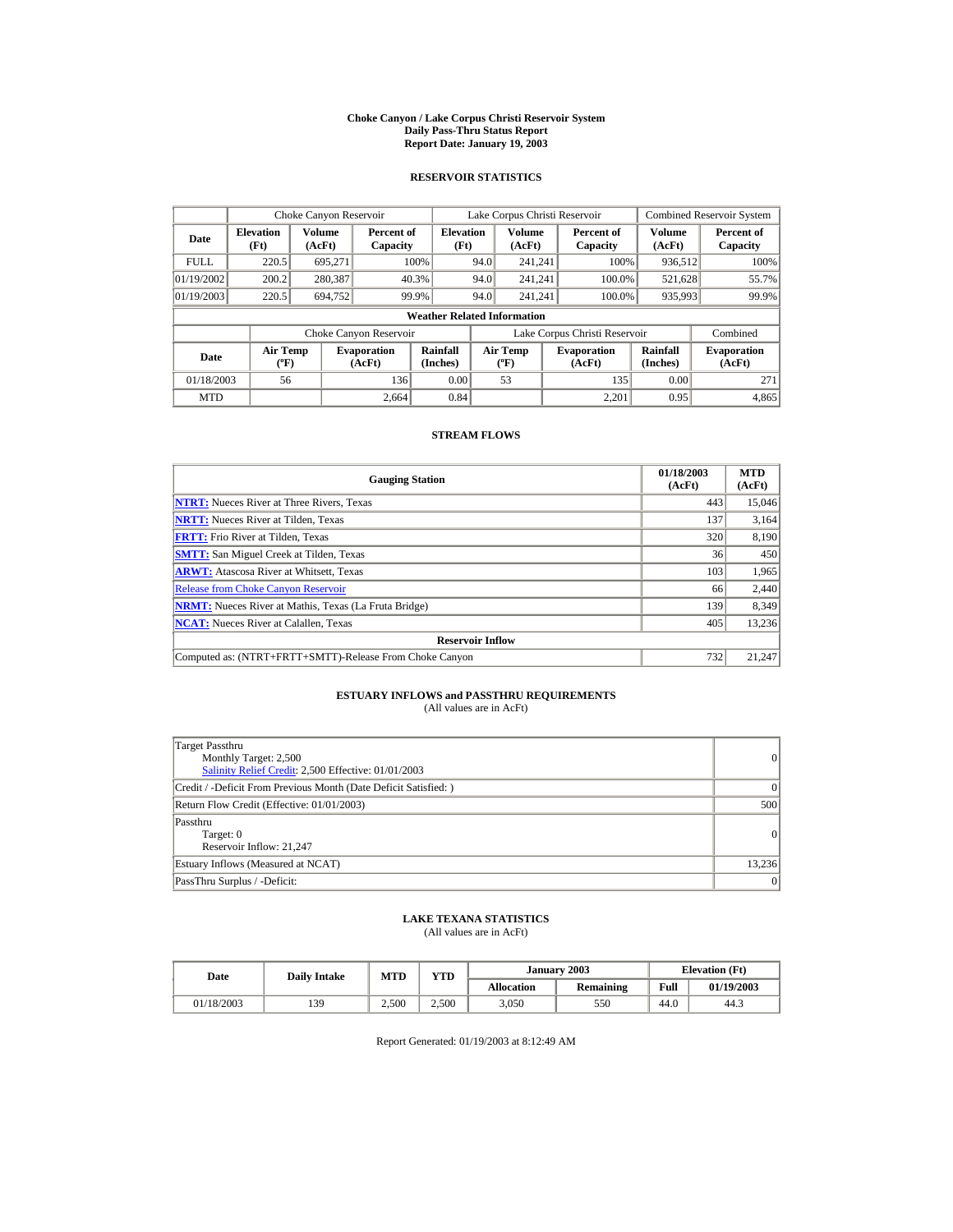#### **Choke Canyon / Lake Corpus Christi Reservoir System Daily Pass-Thru Status Report Report Date: January 19, 2003**

## **RESERVOIR STATISTICS**

|                                                                                     | Choke Canyon Reservoir |                  |                        |                                    |                                           | Lake Corpus Christi Reservoir |                               |                              | <b>Combined Reservoir System</b> |
|-------------------------------------------------------------------------------------|------------------------|------------------|------------------------|------------------------------------|-------------------------------------------|-------------------------------|-------------------------------|------------------------------|----------------------------------|
| <b>Elevation</b><br>Date<br>(Ft)                                                    |                        | Volume<br>(AcFt) | Percent of<br>Capacity | <b>Elevation</b><br>(Ft)           |                                           | Volume<br>(AcFt)              | Percent of<br>Capacity        | Volume<br>(AcFt)             | Percent of<br>Capacity           |
| <b>FULL</b>                                                                         | 220.5                  | 695.271          |                        | 100%                               | 94.0                                      | 241.241                       | 100%                          | 936,512                      | 100%                             |
| 01/19/2002                                                                          | 200.2                  | 280,387          |                        | 40.3%                              | 94.0                                      | 241.241                       | 100.0%                        | 521,628                      | 55.7%                            |
| 01/19/2003                                                                          | 220.5                  | 694.752          |                        | 99.9%                              | 94.0                                      | 241.241                       | 100.0%                        | 935,993                      | 99.9%                            |
|                                                                                     |                        |                  |                        | <b>Weather Related Information</b> |                                           |                               |                               |                              |                                  |
|                                                                                     |                        |                  | Choke Canyon Reservoir |                                    |                                           |                               | Lake Corpus Christi Reservoir |                              | Combined                         |
| <b>Air Temp</b><br><b>Evaporation</b><br>Date<br>$({}^{\circ}\mathrm{F})$<br>(AcFt) |                        |                  | Rainfall<br>(Inches)   |                                    | <b>Air Temp</b><br>$({}^{\circ}\text{F})$ | <b>Evaporation</b><br>(AcFt)  | Rainfall<br>(Inches)          | <b>Evaporation</b><br>(AcFt) |                                  |
| 01/18/2003                                                                          | 56                     |                  | 136                    | 0.00                               |                                           | 53                            | 135                           | 0.00                         | 271                              |
| <b>MTD</b>                                                                          |                        |                  | 2.664                  | 0.84                               |                                           |                               | 2.201                         | 0.95                         | 4,865                            |

## **STREAM FLOWS**

| <b>Gauging Station</b>                                       | 01/18/2003<br>(AcFt) | <b>MTD</b><br>(AcFt) |
|--------------------------------------------------------------|----------------------|----------------------|
| <b>NTRT:</b> Nueces River at Three Rivers, Texas             | 443                  | 15,046               |
| <b>NRTT:</b> Nueces River at Tilden, Texas                   | 137                  | 3,164                |
| <b>FRTT:</b> Frio River at Tilden, Texas                     | 320                  | 8,190                |
| <b>SMTT:</b> San Miguel Creek at Tilden, Texas               | 36                   | 450                  |
| <b>ARWT:</b> Atascosa River at Whitsett, Texas               | 103                  | 1,965                |
| <b>Release from Choke Canyon Reservoir</b>                   | 66                   | 2,440                |
| <b>NRMT:</b> Nueces River at Mathis, Texas (La Fruta Bridge) | 139                  | 8,349                |
| <b>NCAT:</b> Nueces River at Calallen, Texas                 | 405                  | 13,236               |
| <b>Reservoir Inflow</b>                                      |                      |                      |
| Computed as: (NTRT+FRTT+SMTT)-Release From Choke Canyon      | 732                  | 21,247               |

# **ESTUARY INFLOWS and PASSTHRU REQUIREMENTS**<br>(All values are in AcFt)

| Target Passthru<br>Monthly Target: 2,500<br>Salinity Relief Credit: 2,500 Effective: 01/01/2003 | $\overline{0}$ |
|-------------------------------------------------------------------------------------------------|----------------|
| Credit / -Deficit From Previous Month (Date Deficit Satisfied: )                                | $\Omega$       |
| Return Flow Credit (Effective: 01/01/2003)                                                      | 500            |
| Passthru<br>Target: 0<br>Reservoir Inflow: 21,247                                               | $\Omega$       |
| Estuary Inflows (Measured at NCAT)                                                              | 13,236         |
| PassThru Surplus / -Deficit:                                                                    | 0              |

## **LAKE TEXANA STATISTICS**

(All values are in AcFt)

| Date |            | <b>Daily Intake</b> | <b>MTD</b> | $\mathbf{v}\mathbf{T}\mathbf{D}$ |                   | January 2003 |      | <b>Elevation</b> (Ft) |
|------|------------|---------------------|------------|----------------------------------|-------------------|--------------|------|-----------------------|
|      |            |                     |            |                                  | <b>Allocation</b> | Remaining    | Full | 01/19/2003            |
|      | 01/18/2003 | 139                 | 2.500      | 2.500                            | 3,050             | 550          | 44.0 | 44.3                  |

Report Generated: 01/19/2003 at 8:12:49 AM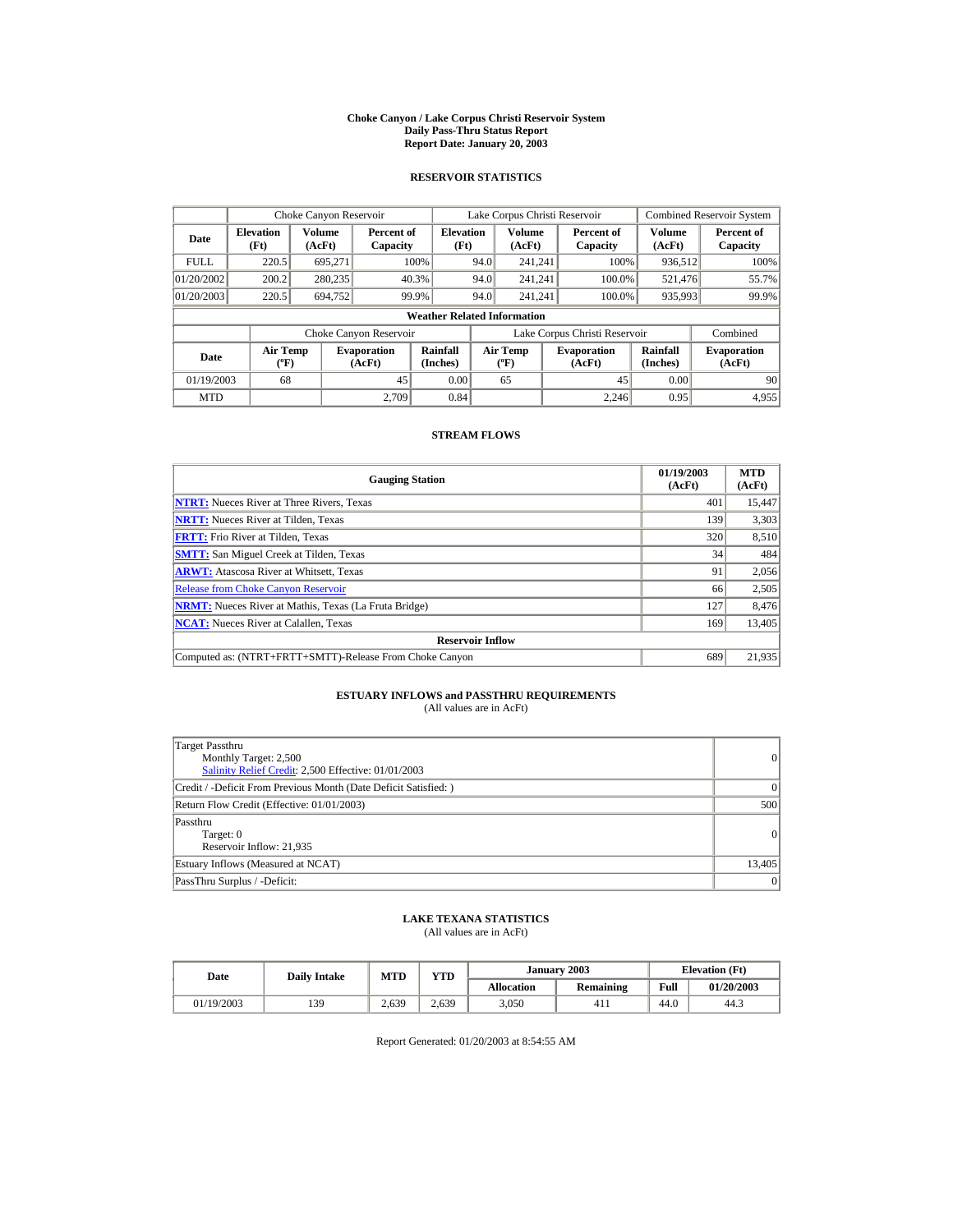#### **Choke Canyon / Lake Corpus Christi Reservoir System Daily Pass-Thru Status Report Report Date: January 20, 2003**

## **RESERVOIR STATISTICS**

| Choke Canyon Reservoir                               |                                             |         |                              |                                    |      | Lake Corpus Christi Reservoir            |                               |                      | <b>Combined Reservoir System</b> |
|------------------------------------------------------|---------------------------------------------|---------|------------------------------|------------------------------------|------|------------------------------------------|-------------------------------|----------------------|----------------------------------|
| Volume<br><b>Elevation</b><br>Date<br>(Ft)<br>(AcFt) |                                             |         | Percent of<br>Capacity       | <b>Elevation</b><br>(Ft)           |      | <b>Volume</b><br>(AcFt)                  | Percent of<br>Capacity        | Volume<br>(AcFt)     | Percent of<br>Capacity           |
| <b>FULL</b>                                          | 220.5                                       | 695.271 |                              | 100%                               | 94.0 | 241.241                                  | 100%                          | 936,512              | 100%                             |
| 01/20/2002                                           | 200.2                                       | 280,235 |                              | 40.3%                              | 94.0 | 241.241                                  | 100.0%                        | 521,476              | 55.7%                            |
| 01/20/2003                                           | 220.5                                       | 694,752 |                              | 99.9%                              | 94.0 | 241.241                                  | 100.0%                        | 935,993              | 99.9%                            |
|                                                      |                                             |         |                              | <b>Weather Related Information</b> |      |                                          |                               |                      |                                  |
|                                                      |                                             |         | Choke Canyon Reservoir       |                                    |      |                                          | Lake Corpus Christi Reservoir |                      | Combined                         |
| Date                                                 | <b>Air Temp</b><br>$({}^{\circ}\mathrm{F})$ |         | <b>Evaporation</b><br>(AcFt) | Rainfall<br>(Inches)               |      | <b>Air Temp</b><br>$({}^{\circ}{\rm F})$ | <b>Evaporation</b><br>(AcFt)  | Rainfall<br>(Inches) | <b>Evaporation</b><br>(AcFt)     |
| 01/19/2003                                           | 68                                          |         | 45                           | 0.00                               |      | 65                                       | 45                            | 0.00                 | 90                               |
| <b>MTD</b>                                           |                                             |         | 2.709                        | 0.84                               |      |                                          | 2.246                         | 0.95                 | 4.955                            |

## **STREAM FLOWS**

| <b>Gauging Station</b>                                       | 01/19/2003<br>(AcFt) | <b>MTD</b><br>(AcFt) |
|--------------------------------------------------------------|----------------------|----------------------|
| <b>NTRT:</b> Nueces River at Three Rivers, Texas             | 401                  | 15,447               |
| <b>NRTT:</b> Nueces River at Tilden, Texas                   | 139                  | 3,303                |
| <b>FRTT:</b> Frio River at Tilden, Texas                     | 320                  | 8,510                |
| <b>SMTT:</b> San Miguel Creek at Tilden, Texas               | 34                   | 484                  |
| <b>ARWT:</b> Atascosa River at Whitsett, Texas               | 91                   | 2,056                |
| <b>Release from Choke Canyon Reservoir</b>                   | 66                   | 2,505                |
| <b>NRMT:</b> Nueces River at Mathis, Texas (La Fruta Bridge) | 127                  | 8,476                |
| <b>NCAT:</b> Nueces River at Calallen, Texas                 | 169                  | 13,405               |
| <b>Reservoir Inflow</b>                                      |                      |                      |
| Computed as: (NTRT+FRTT+SMTT)-Release From Choke Canyon      | 689                  | 21,935               |

# **ESTUARY INFLOWS and PASSTHRU REQUIREMENTS**<br>(All values are in AcFt)

| Target Passthru<br>Monthly Target: 2,500<br>Salinity Relief Credit: 2,500 Effective: 01/01/2003 | 0              |
|-------------------------------------------------------------------------------------------------|----------------|
| Credit / -Deficit From Previous Month (Date Deficit Satisfied:)                                 | $\Omega$       |
| Return Flow Credit (Effective: 01/01/2003)                                                      | 500            |
| Passthru<br>Target: 0<br>Reservoir Inflow: 21,935                                               | $\overline{0}$ |
| Estuary Inflows (Measured at NCAT)                                                              | 13,405         |
| PassThru Surplus / -Deficit:                                                                    | 0              |

## **LAKE TEXANA STATISTICS**

(All values are in AcFt)

| Date       | <b>Daily Intake</b> | YTD<br><b>MTD</b> |       |                   | January 2003    |      | <b>Elevation</b> (Ft) |
|------------|---------------------|-------------------|-------|-------------------|-----------------|------|-----------------------|
|            |                     |                   |       | <b>Allocation</b> | Remaining       | Full | 01/20/2003            |
| 01/19/2003 | 139                 | 2.639             | 2.639 | 3,050             | 41 <sub>1</sub> | 44.0 | 44.3                  |

Report Generated: 01/20/2003 at 8:54:55 AM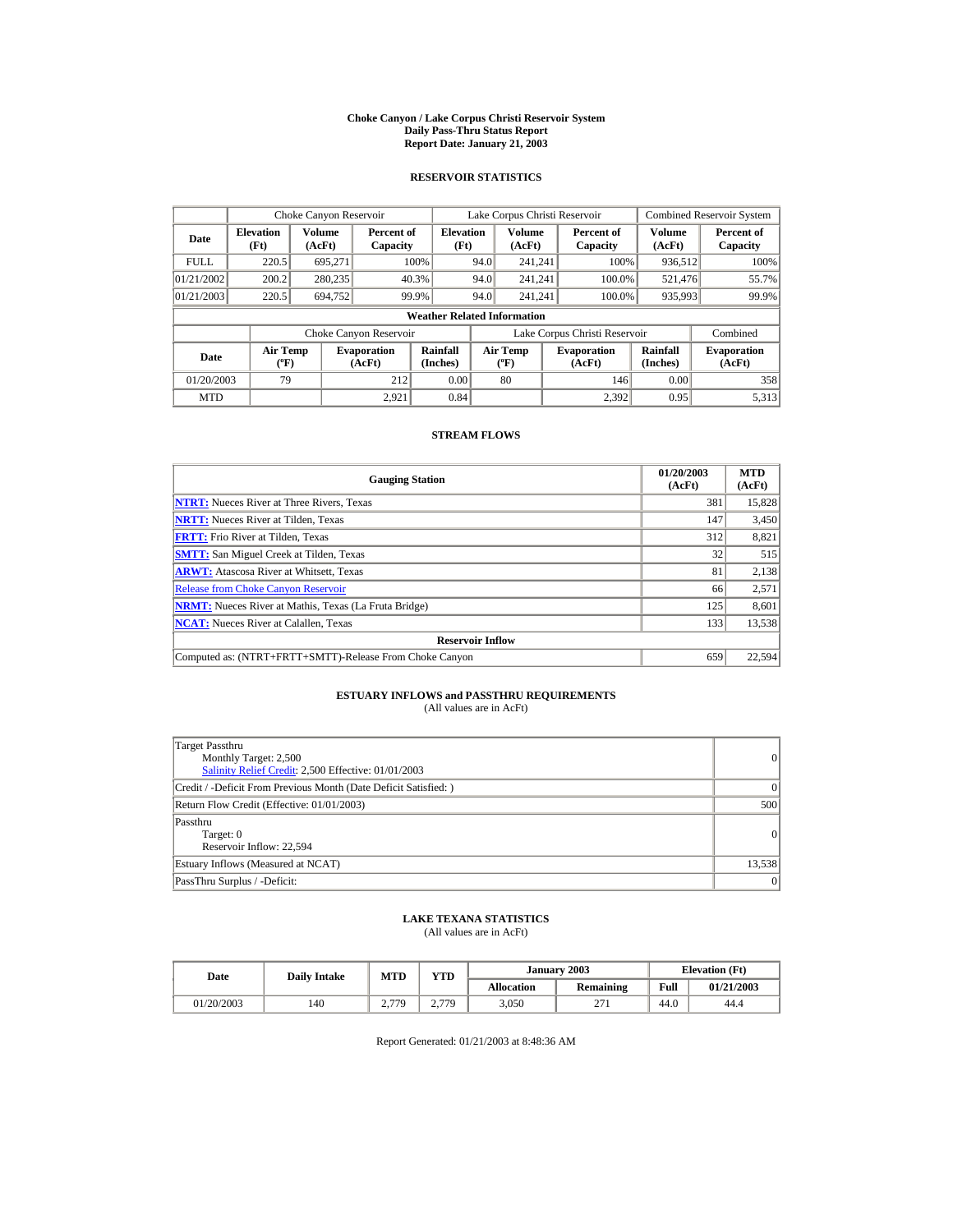#### **Choke Canyon / Lake Corpus Christi Reservoir System Daily Pass-Thru Status Report Report Date: January 21, 2003**

## **RESERVOIR STATISTICS**

|                                  | Choke Canyon Reservoir                      |                  |                              |                                    |      | Lake Corpus Christi Reservoir               |                               |                      | <b>Combined Reservoir System</b> |
|----------------------------------|---------------------------------------------|------------------|------------------------------|------------------------------------|------|---------------------------------------------|-------------------------------|----------------------|----------------------------------|
| <b>Elevation</b><br>Date<br>(Ft) |                                             | Volume<br>(AcFt) | Percent of<br>Capacity       | <b>Elevation</b><br>(Ft)           |      | Volume<br>(AcFt)                            | Percent of<br>Capacity        | Volume<br>(AcFt)     | Percent of<br>Capacity           |
| <b>FULL</b>                      | 220.5                                       | 695.271          |                              | 100%                               | 94.0 | 241.241                                     | 100%                          | 936,512              | 100%                             |
| 01/21/2002                       | 200.2                                       | 280,235          |                              | 40.3%                              | 94.0 | 241.241                                     | 100.0%                        | 521,476              | 55.7%                            |
| 01/21/2003                       | 220.5                                       | 694.752          |                              | 99.9%                              | 94.0 | 241.241                                     | 100.0%                        | 935,993              | 99.9%                            |
|                                  |                                             |                  |                              | <b>Weather Related Information</b> |      |                                             |                               |                      |                                  |
|                                  |                                             |                  | Choke Canyon Reservoir       |                                    |      |                                             | Lake Corpus Christi Reservoir |                      | Combined                         |
| Date                             | <b>Air Temp</b><br>$({}^{\circ}\mathrm{F})$ |                  | <b>Evaporation</b><br>(AcFt) | Rainfall<br>(Inches)               |      | <b>Air Temp</b><br>$({}^{\circ}\mathbf{F})$ | <b>Evaporation</b><br>(AcFt)  | Rainfall<br>(Inches) | <b>Evaporation</b><br>(AcFt)     |
| 01/20/2003                       | 79                                          |                  | 212                          | 0.00                               |      | 80                                          | 146                           | 0.00                 | 358                              |
| <b>MTD</b>                       |                                             |                  | 2.921                        | 0.84                               |      |                                             | 2.392                         | 0.95                 | 5,313                            |

## **STREAM FLOWS**

| <b>Gauging Station</b>                                       | 01/20/2003<br>(AcFt) | <b>MTD</b><br>(AcFt) |
|--------------------------------------------------------------|----------------------|----------------------|
| <b>NTRT:</b> Nueces River at Three Rivers, Texas             | 381                  | 15,828               |
| <b>NRTT:</b> Nueces River at Tilden, Texas                   | 147                  | 3,450                |
| <b>FRTT:</b> Frio River at Tilden, Texas                     | 312                  | 8,821                |
| <b>SMTT:</b> San Miguel Creek at Tilden, Texas               | 32                   | 515                  |
| <b>ARWT:</b> Atascosa River at Whitsett, Texas               | 81                   | 2,138                |
| <b>Release from Choke Canyon Reservoir</b>                   | 66                   | 2,571                |
| <b>NRMT:</b> Nueces River at Mathis, Texas (La Fruta Bridge) | 125                  | 8,601                |
| <b>NCAT:</b> Nueces River at Calallen, Texas                 | 133                  | 13,538               |
| <b>Reservoir Inflow</b>                                      |                      |                      |
| Computed as: (NTRT+FRTT+SMTT)-Release From Choke Canyon      | 659                  | 22,594               |

# **ESTUARY INFLOWS and PASSTHRU REQUIREMENTS**<br>(All values are in AcFt)

| Target Passthru<br>Monthly Target: 2,500<br>Salinity Relief Credit: 2,500 Effective: 01/01/2003 | $\overline{0}$ |
|-------------------------------------------------------------------------------------------------|----------------|
| Credit / -Deficit From Previous Month (Date Deficit Satisfied: )                                | $\Omega$       |
| Return Flow Credit (Effective: 01/01/2003)                                                      | 500            |
| Passthru<br>Target: 0<br>Reservoir Inflow: 22,594                                               | $\Omega$       |
| Estuary Inflows (Measured at NCAT)                                                              | 13,538         |
| PassThru Surplus / -Deficit:                                                                    | 0              |

## **LAKE TEXANA STATISTICS**

(All values are in AcFt)

| Date       | <b>Daily Intake</b> | YTD<br><b>MTD</b> |       |                   | January 2003  | <b>Elevation</b> (Ft) |            |  |
|------------|---------------------|-------------------|-------|-------------------|---------------|-----------------------|------------|--|
|            |                     |                   |       | <b>Allocation</b> | Remaining     | Full                  | 01/21/2003 |  |
| 01/20/2003 | 140                 | 2.779<br><u>.</u> | 2.779 | 3,050             | $\sim$<br>211 | 44.0                  | 44.4       |  |

Report Generated: 01/21/2003 at 8:48:36 AM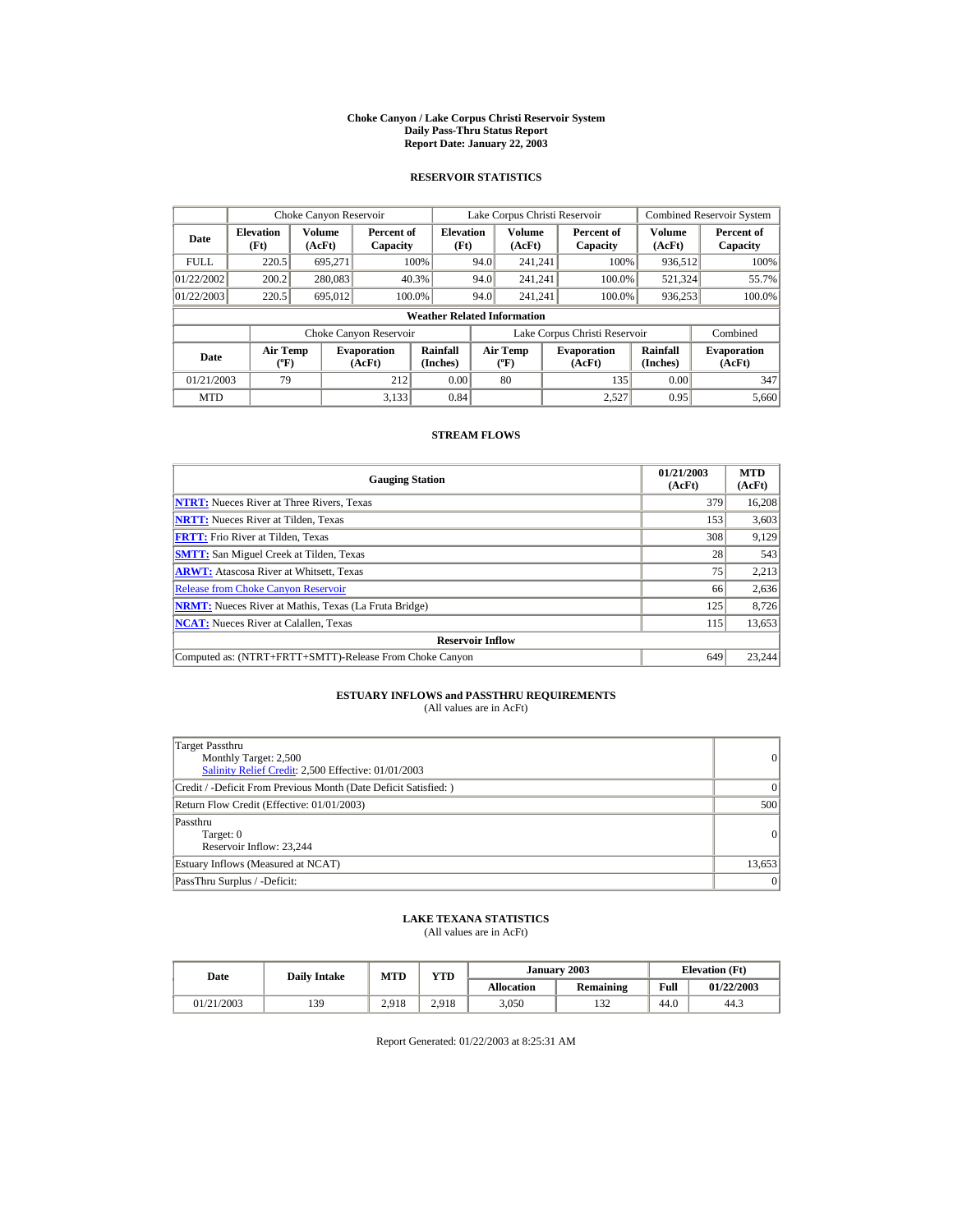#### **Choke Canyon / Lake Corpus Christi Reservoir System Daily Pass-Thru Status Report Report Date: January 22, 2003**

## **RESERVOIR STATISTICS**

|                                                      | Choke Canyon Reservoir                      |         |                              |                                    |      | Lake Corpus Christi Reservoir             |                               |                      | <b>Combined Reservoir System</b> |
|------------------------------------------------------|---------------------------------------------|---------|------------------------------|------------------------------------|------|-------------------------------------------|-------------------------------|----------------------|----------------------------------|
| Volume<br><b>Elevation</b><br>Date<br>(Ft)<br>(AcFt) |                                             |         | Percent of<br>Capacity       | <b>Elevation</b><br>(Ft)           |      | Volume<br>(AcFt)                          | Percent of<br>Capacity        | Volume<br>(AcFt)     | Percent of<br>Capacity           |
| <b>FULL</b>                                          | 220.5                                       | 695.271 |                              | 100%                               | 94.0 | 241.241                                   | 100%                          | 936,512              | 100%                             |
| 01/22/2002                                           | 200.2                                       | 280,083 |                              | 40.3%                              | 94.0 | 241.241                                   | 100.0%                        | 521,324              | 55.7%                            |
| 01/22/2003                                           | 220.5                                       | 695,012 |                              | 100.0%                             | 94.0 | 241.241                                   | 100.0%                        | 936,253              | 100.0%                           |
|                                                      |                                             |         |                              | <b>Weather Related Information</b> |      |                                           |                               |                      |                                  |
|                                                      |                                             |         | Choke Canyon Reservoir       |                                    |      |                                           | Lake Corpus Christi Reservoir |                      | Combined                         |
| Date                                                 | <b>Air Temp</b><br>$({}^{\circ}\mathrm{F})$ |         | <b>Evaporation</b><br>(AcFt) | Rainfall<br>(Inches)               |      | <b>Air Temp</b><br>$({}^{\circ}\text{F})$ | <b>Evaporation</b><br>(AcFt)  | Rainfall<br>(Inches) | <b>Evaporation</b><br>(AcFt)     |
| 01/21/2003                                           | 79                                          |         | 212                          | 0.00                               |      | 80                                        | 135                           | 0.00                 | 347                              |
| <b>MTD</b>                                           |                                             |         | 3.133                        | 0.84                               |      |                                           | 2.527                         | 0.95                 | 5,660                            |

## **STREAM FLOWS**

| <b>Gauging Station</b>                                       | 01/21/2003<br>(AcFt) | <b>MTD</b><br>(AcFt) |
|--------------------------------------------------------------|----------------------|----------------------|
| <b>NTRT:</b> Nueces River at Three Rivers, Texas             | 379                  | 16,208               |
| <b>NRTT:</b> Nueces River at Tilden, Texas                   | 153                  | 3,603                |
| <b>FRTT:</b> Frio River at Tilden, Texas                     | 308                  | 9,129                |
| <b>SMTT:</b> San Miguel Creek at Tilden, Texas               | 28                   | 543                  |
| <b>ARWT:</b> Atascosa River at Whitsett, Texas               | 75                   | 2,213                |
| <b>Release from Choke Canyon Reservoir</b>                   | 66                   | 2,636                |
| <b>NRMT:</b> Nueces River at Mathis, Texas (La Fruta Bridge) | 125                  | 8,726                |
| <b>NCAT:</b> Nueces River at Calallen, Texas                 | 115                  | 13,653               |
| <b>Reservoir Inflow</b>                                      |                      |                      |
| Computed as: (NTRT+FRTT+SMTT)-Release From Choke Canyon      | 649                  | 23.244               |

# **ESTUARY INFLOWS and PASSTHRU REQUIREMENTS**<br>(All values are in AcFt)

| Target Passthru<br>Monthly Target: 2,500<br>Salinity Relief Credit: 2,500 Effective: 01/01/2003 | $\overline{0}$ |
|-------------------------------------------------------------------------------------------------|----------------|
| Credit / -Deficit From Previous Month (Date Deficit Satisfied: )                                | $\Omega$       |
| Return Flow Credit (Effective: 01/01/2003)                                                      | 500            |
| Passthru<br>Target: 0<br>Reservoir Inflow: 23,244                                               | $\Omega$       |
| Estuary Inflows (Measured at NCAT)                                                              | 13,653         |
| PassThru Surplus / -Deficit:                                                                    | 0              |

## **LAKE TEXANA STATISTICS**

(All values are in AcFt)

| Date       | <b>Daily Intake</b> | <b>MTD</b> | VTD-  |                   | January 2003 | <b>Elevation</b> (Ft) |            |
|------------|---------------------|------------|-------|-------------------|--------------|-----------------------|------------|
|            |                     |            |       | <b>Allocation</b> | Remaining    | Full                  | 01/22/2003 |
| 01/21/2003 | 139                 | 2.918      | 2.918 | 3,050             | 120<br>1 J 4 | 44.0                  | 44.3       |

Report Generated: 01/22/2003 at 8:25:31 AM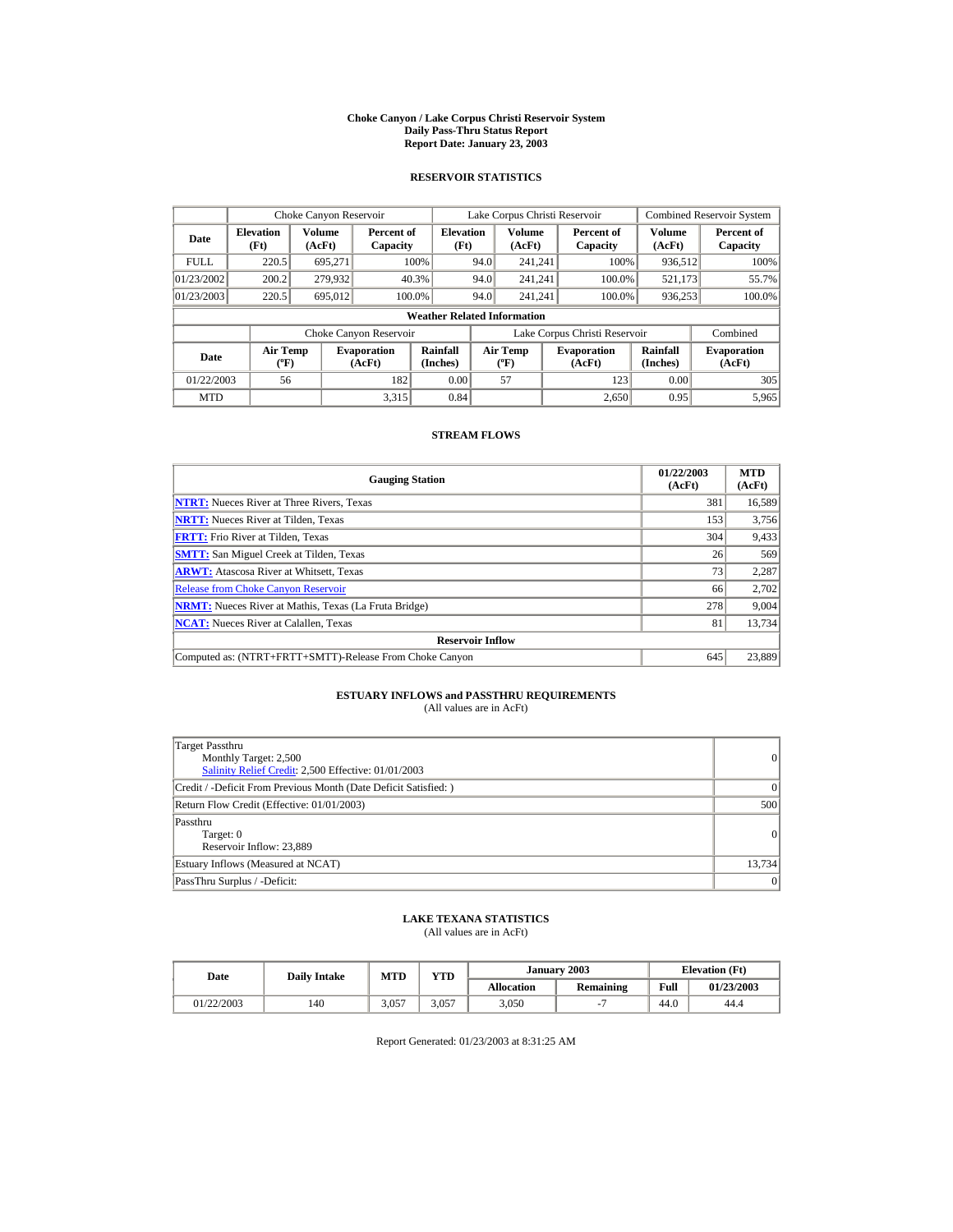#### **Choke Canyon / Lake Corpus Christi Reservoir System Daily Pass-Thru Status Report Report Date: January 23, 2003**

## **RESERVOIR STATISTICS**

| Choke Canyon Reservoir                     |                                             |         |                              |                                    |      | Lake Corpus Christi Reservoir             |                               |                      | <b>Combined Reservoir System</b> |
|--------------------------------------------|---------------------------------------------|---------|------------------------------|------------------------------------|------|-------------------------------------------|-------------------------------|----------------------|----------------------------------|
| <b>Elevation</b><br>Date<br>(Ft)<br>(AcFt) |                                             | Volume  | Percent of<br>Capacity       | <b>Elevation</b><br>(Ft)           |      | Volume<br>(AcFt)                          | Percent of<br>Capacity        | Volume<br>(AcFt)     | Percent of<br>Capacity           |
| <b>FULL</b>                                | 220.5                                       | 695.271 |                              | 100%                               | 94.0 | 241.241                                   | 100%                          | 936,512              | 100%                             |
| 01/23/2002                                 | 200.2                                       | 279,932 |                              | 40.3%                              | 94.0 | 241.241                                   | 100.0%                        | 521,173              | 55.7%                            |
| 01/23/2003                                 | 220.5                                       | 695,012 |                              | 100.0%                             | 94.0 | 241.241                                   | 100.0%                        | 936,253              | 100.0%                           |
|                                            |                                             |         |                              | <b>Weather Related Information</b> |      |                                           |                               |                      |                                  |
|                                            |                                             |         | Choke Canyon Reservoir       |                                    |      |                                           | Lake Corpus Christi Reservoir |                      | Combined                         |
| Date                                       | <b>Air Temp</b><br>$({}^{\circ}\mathrm{F})$ |         | <b>Evaporation</b><br>(AcFt) | Rainfall<br>(Inches)               |      | <b>Air Temp</b><br>$({}^{\circ}\text{F})$ | <b>Evaporation</b><br>(AcFt)  | Rainfall<br>(Inches) | <b>Evaporation</b><br>(AcFt)     |
| 01/22/2003                                 | 56                                          |         | 182                          | 0.00                               |      | 57                                        | 123                           | 0.00                 | 305                              |
| <b>MTD</b>                                 |                                             |         | 3.315                        | 0.84                               |      |                                           | 2.650                         | 0.95                 | 5,965                            |

## **STREAM FLOWS**

| <b>Gauging Station</b>                                       | 01/22/2003<br>(AcFt) | <b>MTD</b><br>(AcFt) |
|--------------------------------------------------------------|----------------------|----------------------|
| <b>NTRT:</b> Nueces River at Three Rivers, Texas             | 381                  | 16,589               |
| <b>NRTT:</b> Nueces River at Tilden, Texas                   | 153                  | 3,756                |
| <b>FRTT:</b> Frio River at Tilden, Texas                     | 304                  | 9,433                |
| <b>SMTT:</b> San Miguel Creek at Tilden, Texas               | 26                   | 569                  |
| <b>ARWT:</b> Atascosa River at Whitsett, Texas               | 73                   | 2,287                |
| <b>Release from Choke Canyon Reservoir</b>                   | 66                   | 2,702                |
| <b>NRMT:</b> Nueces River at Mathis, Texas (La Fruta Bridge) | 278                  | 9,004                |
| <b>NCAT:</b> Nueces River at Calallen, Texas                 | 81                   | 13,734               |
| <b>Reservoir Inflow</b>                                      |                      |                      |
| Computed as: (NTRT+FRTT+SMTT)-Release From Choke Canyon      | 645                  | 23,889               |

# **ESTUARY INFLOWS and PASSTHRU REQUIREMENTS**<br>(All values are in AcFt)

| Target Passthru<br>Monthly Target: 2,500<br>Salinity Relief Credit: 2,500 Effective: 01/01/2003 | $\overline{0}$ |
|-------------------------------------------------------------------------------------------------|----------------|
| Credit / -Deficit From Previous Month (Date Deficit Satisfied: )                                | $\Omega$       |
| Return Flow Credit (Effective: 01/01/2003)                                                      | 500            |
| Passthru<br>Target: 0<br>Reservoir Inflow: 23,889                                               | 0              |
| Estuary Inflows (Measured at NCAT)                                                              | 13,734         |
| PassThru Surplus / -Deficit:                                                                    | 0              |

## **LAKE TEXANA STATISTICS**

(All values are in AcFt)

| Date       |     | YTD<br><b>MTD</b><br><b>Daily Intake</b> |       |                   | January 2003 | <b>Elevation</b> (Ft) |            |  |
|------------|-----|------------------------------------------|-------|-------------------|--------------|-----------------------|------------|--|
|            |     |                                          |       | <b>Allocation</b> | Remaining    | Full                  | 01/23/2003 |  |
| 01/22/2003 | 140 | 3,057                                    | 3.057 | 3,050             |              | 44.0                  | 44.4       |  |

Report Generated: 01/23/2003 at 8:31:25 AM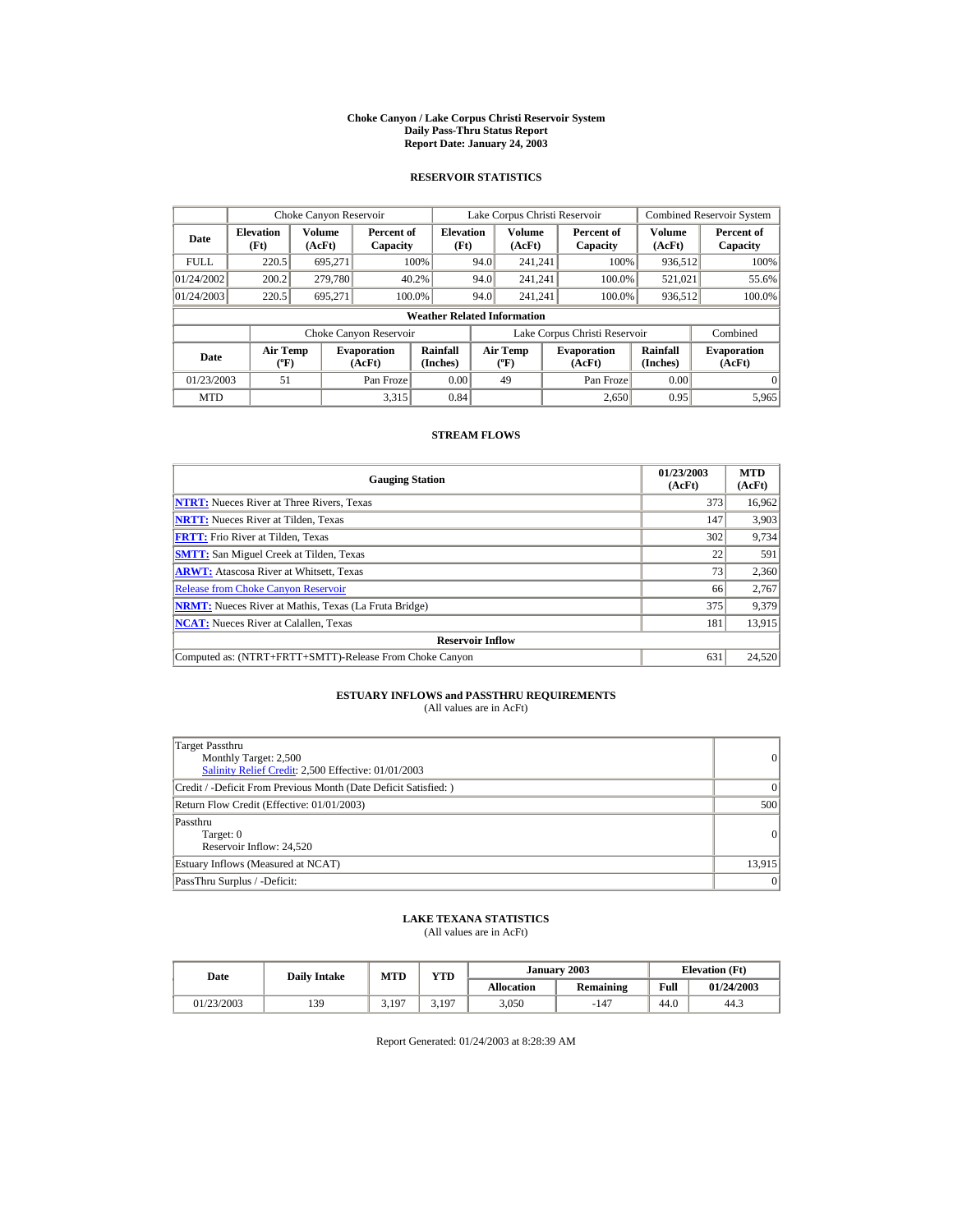#### **Choke Canyon / Lake Corpus Christi Reservoir System Daily Pass-Thru Status Report Report Date: January 24, 2003**

## **RESERVOIR STATISTICS**

|                                                                                     | Choke Canyon Reservoir |                  |                        |                                    |                                           | Lake Corpus Christi Reservoir |                               |                              | <b>Combined Reservoir System</b> |
|-------------------------------------------------------------------------------------|------------------------|------------------|------------------------|------------------------------------|-------------------------------------------|-------------------------------|-------------------------------|------------------------------|----------------------------------|
| <b>Elevation</b><br>Date<br>(Ft)                                                    |                        | Volume<br>(AcFt) | Percent of<br>Capacity | <b>Elevation</b><br>(Ft)           |                                           | Volume<br>(AcFt)              | Percent of<br>Capacity        | Volume<br>(AcFt)             | Percent of<br>Capacity           |
| <b>FULL</b>                                                                         | 220.5                  | 695.271          |                        | 100%                               | 94.0                                      | 241.241                       | 100%                          | 936,512                      | 100%                             |
| 01/24/2002                                                                          | 200.2                  | 279,780          |                        | 40.2%                              | 94.0                                      | 241.241                       | 100.0%                        | 521,021                      | 55.6%                            |
| 01/24/2003                                                                          | 220.5                  | 695.271          |                        | 100.0%                             | 94.0                                      | 241.241                       | 100.0%                        | 936,512                      | 100.0%                           |
|                                                                                     |                        |                  |                        | <b>Weather Related Information</b> |                                           |                               |                               |                              |                                  |
|                                                                                     |                        |                  | Choke Canyon Reservoir |                                    |                                           |                               | Lake Corpus Christi Reservoir |                              | Combined                         |
| <b>Air Temp</b><br><b>Evaporation</b><br>Date<br>$({}^{\circ}\mathrm{F})$<br>(AcFt) |                        |                  | Rainfall<br>(Inches)   |                                    | <b>Air Temp</b><br>$({}^{\circ}\text{F})$ | <b>Evaporation</b><br>(AcFt)  | Rainfall<br>(Inches)          | <b>Evaporation</b><br>(AcFt) |                                  |
| 01/23/2003                                                                          | 51                     |                  | Pan Froze              | 0.00                               |                                           | 49                            | Pan Froze                     | 0.00                         | $\Omega$                         |
| <b>MTD</b>                                                                          |                        |                  | 3.315                  | 0.84                               |                                           |                               | 2.650                         | 0.95                         | 5,965                            |

## **STREAM FLOWS**

| <b>Gauging Station</b>                                       | 01/23/2003<br>(AcFt) | <b>MTD</b><br>(AcFt) |
|--------------------------------------------------------------|----------------------|----------------------|
| <b>NTRT:</b> Nueces River at Three Rivers, Texas             | 373                  | 16,962               |
| <b>NRTT:</b> Nueces River at Tilden, Texas                   | 147                  | 3,903                |
| <b>FRTT:</b> Frio River at Tilden, Texas                     | 302                  | 9,734                |
| <b>SMTT:</b> San Miguel Creek at Tilden, Texas               | 22                   | 591                  |
| <b>ARWT:</b> Atascosa River at Whitsett, Texas               | 73                   | 2,360                |
| <b>Release from Choke Canyon Reservoir</b>                   | 66                   | 2,767                |
| <b>NRMT:</b> Nueces River at Mathis, Texas (La Fruta Bridge) | 375                  | 9,379                |
| <b>NCAT:</b> Nueces River at Calallen, Texas                 | 181                  | 13,915               |
| <b>Reservoir Inflow</b>                                      |                      |                      |
| Computed as: (NTRT+FRTT+SMTT)-Release From Choke Canyon      | 631                  | 24,520               |

# **ESTUARY INFLOWS and PASSTHRU REQUIREMENTS**<br>(All values are in AcFt)

| Target Passthru<br>Monthly Target: 2,500<br>Salinity Relief Credit: 2,500 Effective: 01/01/2003 | $\overline{0}$ |
|-------------------------------------------------------------------------------------------------|----------------|
| Credit / -Deficit From Previous Month (Date Deficit Satisfied: )                                | $\Omega$       |
| Return Flow Credit (Effective: 01/01/2003)                                                      | 500            |
| Passthru<br>Target: 0<br>Reservoir Inflow: 24,520                                               | $\Omega$       |
| Estuary Inflows (Measured at NCAT)                                                              | 13,915         |
| PassThru Surplus / -Deficit:                                                                    | 0              |

## **LAKE TEXANA STATISTICS**

(All values are in AcFt)

| Date       | <b>Daily Intake</b> | YTD<br><b>MTD</b> |       |                   | January 2003 |      | <b>Elevation</b> (Ft) |
|------------|---------------------|-------------------|-------|-------------------|--------------|------|-----------------------|
|            |                     |                   |       | <b>Allocation</b> | Remaining    | Full | 01/24/2003            |
| 01/23/2003 | 139                 | 5,197             | 3.197 | 3,050             | $-147$       | 44.0 | 44.3                  |

Report Generated: 01/24/2003 at 8:28:39 AM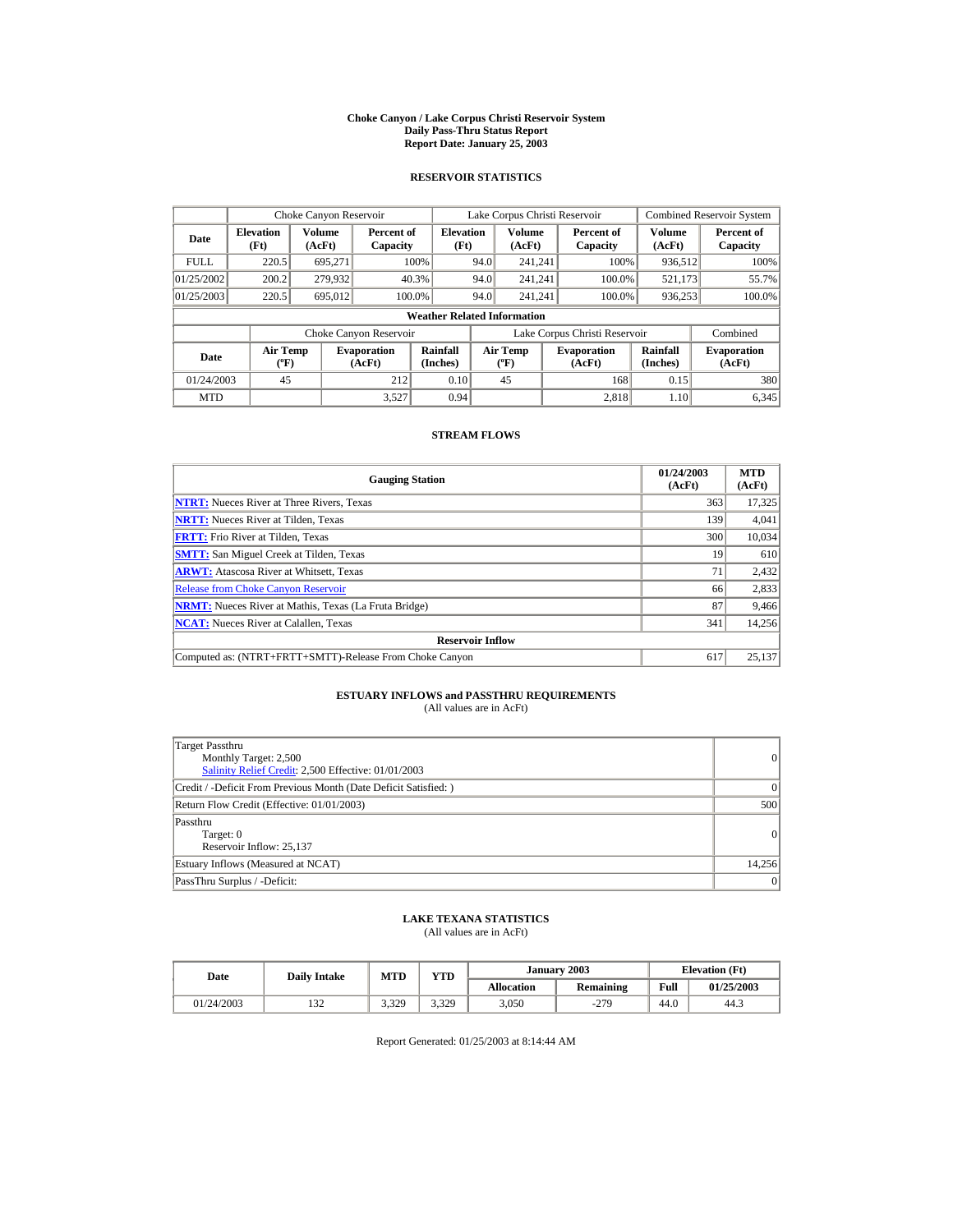#### **Choke Canyon / Lake Corpus Christi Reservoir System Daily Pass-Thru Status Report Report Date: January 25, 2003**

## **RESERVOIR STATISTICS**

| Choke Canyon Reservoir           |                                             |                  |                              |                                                    |      | Lake Corpus Christi Reservoir               |                               |                      | <b>Combined Reservoir System</b> |
|----------------------------------|---------------------------------------------|------------------|------------------------------|----------------------------------------------------|------|---------------------------------------------|-------------------------------|----------------------|----------------------------------|
| <b>Elevation</b><br>Date<br>(Ft) |                                             | Volume<br>(AcFt) |                              | <b>Elevation</b><br>Percent of<br>(Ft)<br>Capacity |      | Volume<br>(AcFt)                            | Percent of<br>Capacity        | Volume<br>(AcFt)     | Percent of<br>Capacity           |
| <b>FULL</b>                      | 220.5                                       | 695.271          |                              | 100%                                               | 94.0 | 241.241                                     | 100%                          | 936,512              | 100%                             |
| 01/25/2002                       | 200.2                                       | 279,932          |                              | 40.3%                                              | 94.0 | 241.241                                     | 100.0%                        | 521,173              | 55.7%                            |
| 01/25/2003                       | 220.5                                       | 695,012          |                              | 100.0%                                             | 94.0 | 241.241                                     | 100.0%                        | 936,253              | 100.0%                           |
|                                  |                                             |                  |                              | <b>Weather Related Information</b>                 |      |                                             |                               |                      |                                  |
|                                  |                                             |                  | Choke Canyon Reservoir       |                                                    |      |                                             | Lake Corpus Christi Reservoir |                      | Combined                         |
| Date                             | <b>Air Temp</b><br>$({}^{\circ}\mathrm{F})$ |                  | <b>Evaporation</b><br>(AcFt) | Rainfall<br>(Inches)                               |      | <b>Air Temp</b><br>$({}^{\circ}\mathbf{F})$ | <b>Evaporation</b><br>(AcFt)  | Rainfall<br>(Inches) | <b>Evaporation</b><br>(AcFt)     |
| 01/24/2003                       | 45                                          |                  | 212                          | 0.10                                               |      | 45                                          | 168                           | 0.15                 | 380                              |
| <b>MTD</b>                       |                                             |                  | 3.527                        | 0.94                                               |      |                                             | 2.818                         | 1.10                 | 6,345                            |

## **STREAM FLOWS**

| <b>Gauging Station</b>                                       | 01/24/2003<br>(AcFt) | <b>MTD</b><br>(AcFt) |
|--------------------------------------------------------------|----------------------|----------------------|
| <b>NTRT:</b> Nueces River at Three Rivers, Texas             | 363                  | 17,325               |
| <b>NRTT:</b> Nueces River at Tilden, Texas                   | 139                  | 4,041                |
| <b>FRTT:</b> Frio River at Tilden, Texas                     | 300                  | 10,034               |
| <b>SMTT:</b> San Miguel Creek at Tilden, Texas               | 19                   | 610                  |
| <b>ARWT:</b> Atascosa River at Whitsett, Texas               | 71                   | 2,432                |
| <b>Release from Choke Canyon Reservoir</b>                   | 66                   | 2,833                |
| <b>NRMT:</b> Nueces River at Mathis, Texas (La Fruta Bridge) | 87                   | 9,466                |
| <b>NCAT:</b> Nueces River at Calallen, Texas                 | 341                  | 14,256               |
| <b>Reservoir Inflow</b>                                      |                      |                      |
| Computed as: (NTRT+FRTT+SMTT)-Release From Choke Canyon      | 617                  | 25,137               |

# **ESTUARY INFLOWS and PASSTHRU REQUIREMENTS**<br>(All values are in AcFt)

| Target Passthru<br>Monthly Target: 2,500<br>Salinity Relief Credit: 2,500 Effective: 01/01/2003 | $\overline{0}$ |
|-------------------------------------------------------------------------------------------------|----------------|
| Credit / -Deficit From Previous Month (Date Deficit Satisfied: )                                | $\Omega$       |
| Return Flow Credit (Effective: 01/01/2003)                                                      | 500            |
| Passthru<br>Target: 0<br>Reservoir Inflow: 25,137                                               | 0              |
| Estuary Inflows (Measured at NCAT)                                                              | 14,256         |
| PassThru Surplus / -Deficit:                                                                    | 0              |

## **LAKE TEXANA STATISTICS**

(All values are in AcFt)

| Date       | <b>Daily Intake</b> | <b>MTD</b> | YTD   |                   | January 2003 |      | <b>Elevation</b> (Ft) |
|------------|---------------------|------------|-------|-------------------|--------------|------|-----------------------|
|            |                     |            |       | <b>Allocation</b> | Remaining    | Full | 01/25/2003            |
| 01/24/2003 | $\sim$<br>152       | 3.329      | 3.329 | 3,050             | $-279$       | 44.0 | 44.3                  |

Report Generated: 01/25/2003 at 8:14:44 AM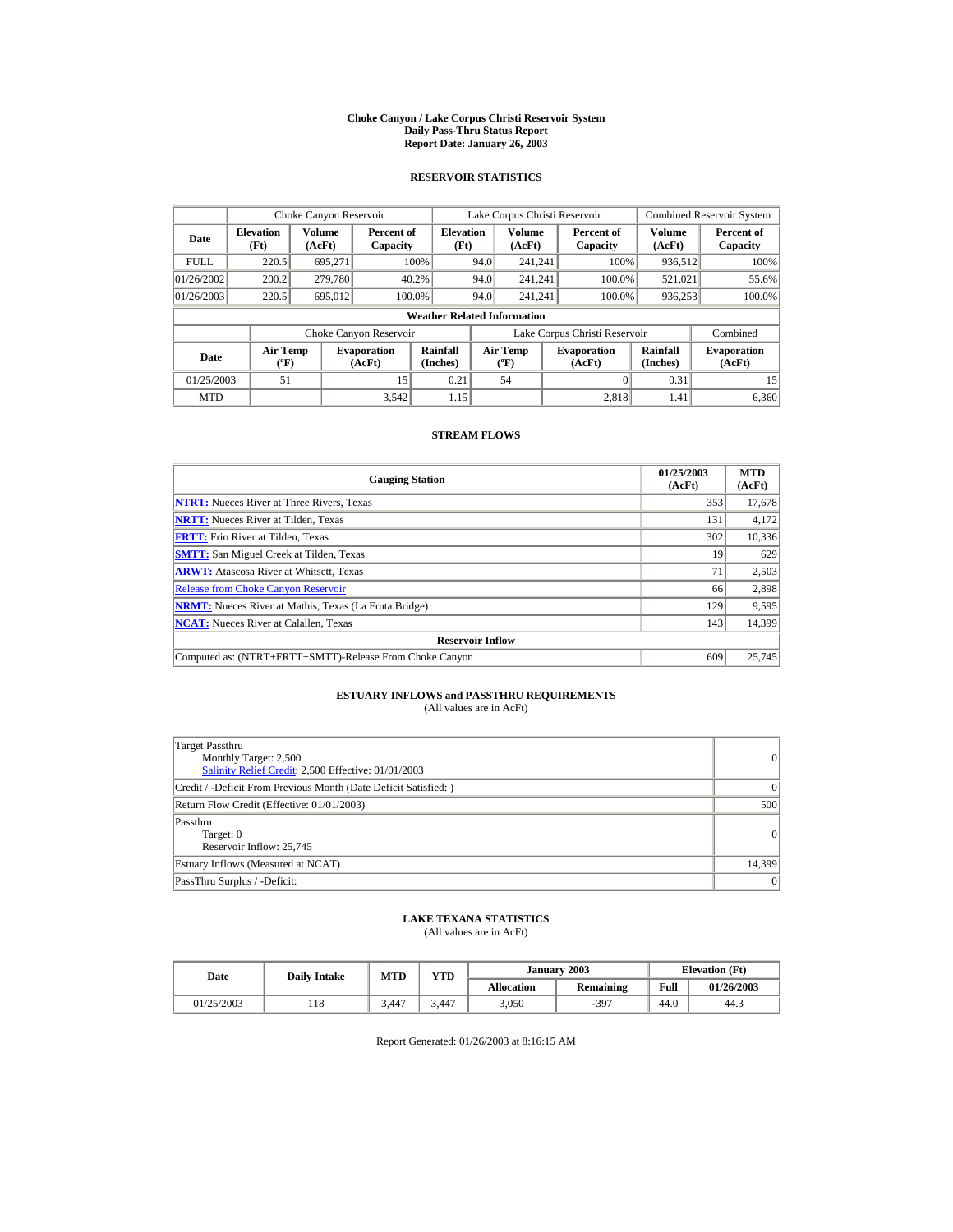#### **Choke Canyon / Lake Corpus Christi Reservoir System Daily Pass-Thru Status Report Report Date: January 26, 2003**

## **RESERVOIR STATISTICS**

| Choke Canyon Reservoir           |                                             |                         |                              |                                    |      | Lake Corpus Christi Reservoir            |                               |                      | <b>Combined Reservoir System</b> |
|----------------------------------|---------------------------------------------|-------------------------|------------------------------|------------------------------------|------|------------------------------------------|-------------------------------|----------------------|----------------------------------|
| <b>Elevation</b><br>Date<br>(Ft) |                                             | <b>Volume</b><br>(AcFt) | Percent of<br>Capacity       | <b>Elevation</b><br>(Ft)           |      | <b>Volume</b><br>(AcFt)                  | Percent of<br>Capacity        | Volume<br>(AcFt)     | Percent of<br>Capacity           |
| <b>FULL</b>                      | 220.5                                       | 695.271                 |                              | 100%                               | 94.0 | 241.241                                  | 100%                          | 936,512              | 100%                             |
| 01/26/2002                       | 200.2                                       | 279,780                 |                              | 40.2%                              | 94.0 | 241.241                                  | 100.0%                        | 521,021              | 55.6%                            |
| 01/26/2003                       | 220.5                                       | 695,012                 | 100.0%                       |                                    | 94.0 | 241.241                                  | 100.0%                        | 936,253              | 100.0%                           |
|                                  |                                             |                         |                              | <b>Weather Related Information</b> |      |                                          |                               |                      |                                  |
|                                  |                                             |                         | Choke Canyon Reservoir       |                                    |      |                                          | Lake Corpus Christi Reservoir |                      | Combined                         |
| Date                             | <b>Air Temp</b><br>$({}^{\circ}\mathrm{F})$ |                         | <b>Evaporation</b><br>(AcFt) | Rainfall<br>(Inches)               |      | <b>Air Temp</b><br>$({}^{\circ}{\rm F})$ | <b>Evaporation</b><br>(AcFt)  | Rainfall<br>(Inches) | <b>Evaporation</b><br>(AcFt)     |
| 01/25/2003                       | 51                                          |                         | 15                           | 0.21                               |      | 54                                       |                               | 0.31                 | 15                               |
| <b>MTD</b>                       |                                             |                         | 3.542                        | 1.15                               |      |                                          | 2.818                         | 1.41                 | 6.360                            |

## **STREAM FLOWS**

| <b>Gauging Station</b>                                       | 01/25/2003<br>(AcFt) | <b>MTD</b><br>(AcFt) |
|--------------------------------------------------------------|----------------------|----------------------|
| <b>NTRT:</b> Nueces River at Three Rivers, Texas             | 353                  | 17,678               |
| <b>NRTT:</b> Nueces River at Tilden, Texas                   | 131                  | 4,172                |
| <b>FRTT:</b> Frio River at Tilden, Texas                     | 302                  | 10,336               |
| <b>SMTT:</b> San Miguel Creek at Tilden, Texas               | 19                   | 629                  |
| <b>ARWT:</b> Atascosa River at Whitsett, Texas               | 71                   | 2,503                |
| <b>Release from Choke Canyon Reservoir</b>                   | 66                   | 2,898                |
| <b>NRMT:</b> Nueces River at Mathis, Texas (La Fruta Bridge) | 129                  | 9,595                |
| <b>NCAT:</b> Nueces River at Calallen, Texas                 | 143                  | 14,399               |
| <b>Reservoir Inflow</b>                                      |                      |                      |
| Computed as: (NTRT+FRTT+SMTT)-Release From Choke Canyon      | 609                  | 25,745               |

# **ESTUARY INFLOWS and PASSTHRU REQUIREMENTS**<br>(All values are in AcFt)

| Target Passthru<br>Monthly Target: 2,500<br>Salinity Relief Credit: 2,500 Effective: 01/01/2003 | 0      |
|-------------------------------------------------------------------------------------------------|--------|
| Credit / -Deficit From Previous Month (Date Deficit Satisfied: )                                | 0      |
| Return Flow Credit (Effective: 01/01/2003)                                                      | 500    |
| Passthru<br>Target: 0<br>Reservoir Inflow: 25,745                                               | 0      |
| Estuary Inflows (Measured at NCAT)                                                              | 14,399 |
| PassThru Surplus / -Deficit:                                                                    | 0      |

## **LAKE TEXANA STATISTICS**

(All values are in AcFt)

| Date       | <b>Daily Intake</b> | VTD<br><b>MTD</b> |       |            | January 2003 | <b>Elevation</b> (Ft) |            |
|------------|---------------------|-------------------|-------|------------|--------------|-----------------------|------------|
|            |                     |                   |       | Allocation | Remaining    | Full                  | 01/26/2003 |
| 01/25/2003 | 118                 | 3.447             | 3.447 | 3,050      | $-397$       | 44.0                  | 44.3       |

Report Generated: 01/26/2003 at 8:16:15 AM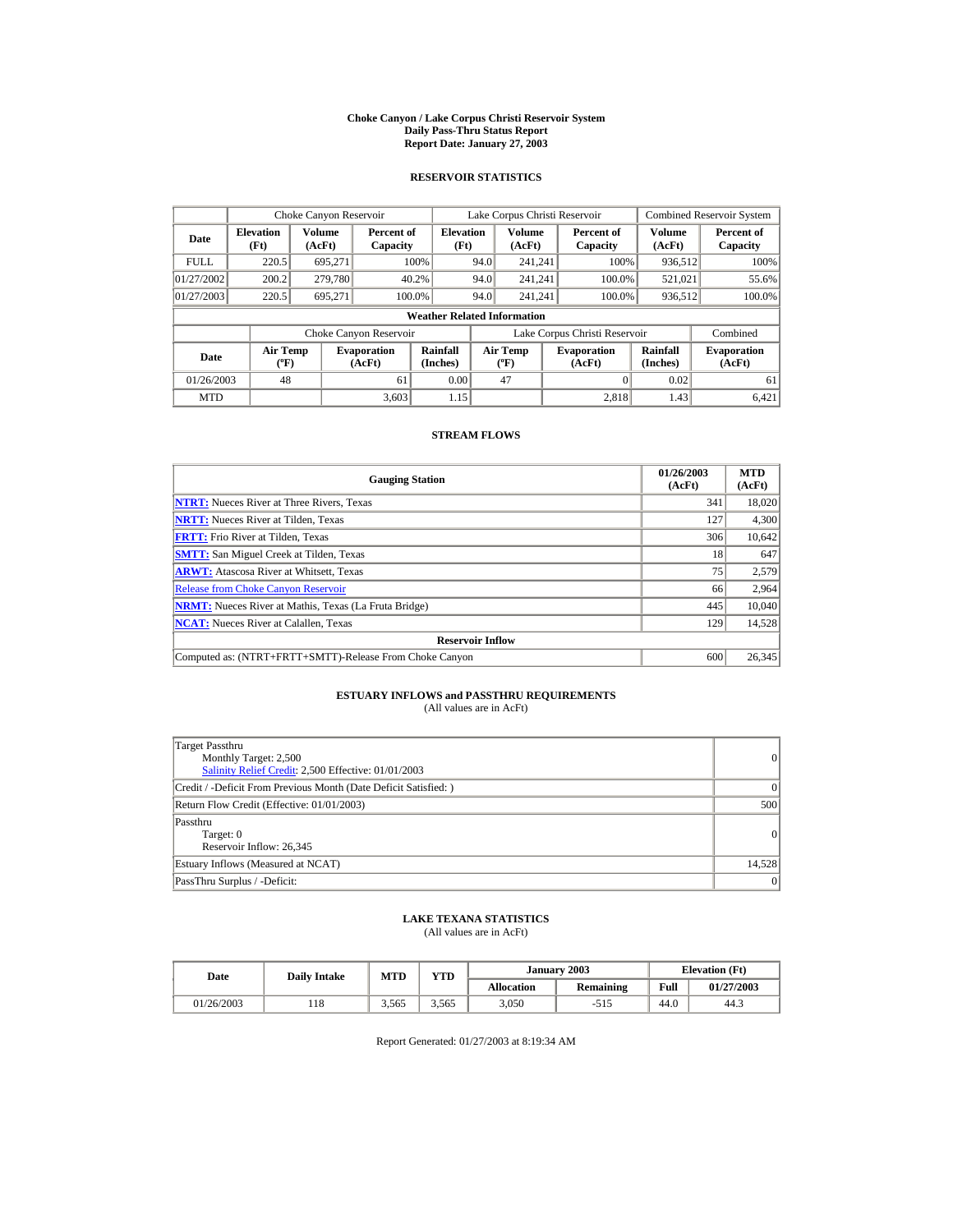#### **Choke Canyon / Lake Corpus Christi Reservoir System Daily Pass-Thru Status Report Report Date: January 27, 2003**

## **RESERVOIR STATISTICS**

| Choke Canyon Reservoir           |                                             |                         |                              |                                    |      | Lake Corpus Christi Reservoir            |                               |                      | <b>Combined Reservoir System</b> |
|----------------------------------|---------------------------------------------|-------------------------|------------------------------|------------------------------------|------|------------------------------------------|-------------------------------|----------------------|----------------------------------|
| <b>Elevation</b><br>Date<br>(Ft) |                                             | <b>Volume</b><br>(AcFt) | Percent of<br>Capacity       | <b>Elevation</b><br>(Ft)           |      | <b>Volume</b><br>(AcFt)                  | Percent of<br>Capacity        | Volume<br>(AcFt)     | Percent of<br>Capacity           |
| <b>FULL</b>                      | 220.5                                       | 695.271                 |                              | 100%                               | 94.0 | 241.241                                  | 100%                          | 936,512              | 100%                             |
| 01/27/2002                       | 200.2                                       | 279,780                 |                              | 40.2%                              | 94.0 | 241.241                                  | 100.0%                        | 521,021              | 55.6%                            |
| 01/27/2003                       | 220.5                                       | 695,271                 |                              | 100.0%                             | 94.0 | 241.241                                  | 100.0%                        | 936,512              | 100.0%                           |
|                                  |                                             |                         |                              | <b>Weather Related Information</b> |      |                                          |                               |                      |                                  |
|                                  |                                             |                         | Choke Canyon Reservoir       |                                    |      |                                          | Lake Corpus Christi Reservoir |                      | Combined                         |
| Date                             | <b>Air Temp</b><br>$({}^{\circ}\mathrm{F})$ |                         | <b>Evaporation</b><br>(AcFt) | Rainfall<br>(Inches)               |      | <b>Air Temp</b><br>$({}^{\circ}{\rm F})$ | <b>Evaporation</b><br>(AcFt)  | Rainfall<br>(Inches) | <b>Evaporation</b><br>(AcFt)     |
| 01/26/2003                       | 48                                          |                         | 61                           | 0.00                               |      | 47                                       |                               | 0.02                 | 61                               |
| <b>MTD</b>                       |                                             |                         | 3.603                        | 1.15                               |      |                                          | 2.818                         | 1.43                 | 6.421                            |

## **STREAM FLOWS**

| <b>Gauging Station</b>                                       | 01/26/2003<br>(AcFt) | <b>MTD</b><br>(AcFt) |
|--------------------------------------------------------------|----------------------|----------------------|
| <b>NTRT:</b> Nueces River at Three Rivers, Texas             | 341                  | 18,020               |
| <b>NRTT:</b> Nueces River at Tilden, Texas                   | 127                  | 4,300                |
| <b>FRTT:</b> Frio River at Tilden, Texas                     | 306                  | 10,642               |
| <b>SMTT:</b> San Miguel Creek at Tilden, Texas               | 18                   | 647                  |
| <b>ARWT:</b> Atascosa River at Whitsett, Texas               | 75                   | 2,579                |
| <b>Release from Choke Canvon Reservoir</b>                   | 66                   | 2,964                |
| <b>NRMT:</b> Nueces River at Mathis, Texas (La Fruta Bridge) | 445                  | 10.040               |
| <b>NCAT:</b> Nueces River at Calallen, Texas                 | 129                  | 14,528               |
| <b>Reservoir Inflow</b>                                      |                      |                      |
| Computed as: (NTRT+FRTT+SMTT)-Release From Choke Canyon      | 600                  | 26,345               |

# **ESTUARY INFLOWS and PASSTHRU REQUIREMENTS**<br>(All values are in AcFt)

| Target Passthru<br>Monthly Target: 2,500<br>Salinity Relief Credit: 2,500 Effective: 01/01/2003 | $\overline{0}$ |
|-------------------------------------------------------------------------------------------------|----------------|
| Credit / -Deficit From Previous Month (Date Deficit Satisfied: )                                | $\Omega$       |
| Return Flow Credit (Effective: 01/01/2003)                                                      | 500            |
| Passthru<br>Target: 0<br>Reservoir Inflow: 26,345                                               | 0              |
| Estuary Inflows (Measured at NCAT)                                                              | 14,528         |
| PassThru Surplus / -Deficit:                                                                    | 0              |

## **LAKE TEXANA STATISTICS**

(All values are in AcFt)

| Date       | <b>Daily Intake</b> | <b>MTD</b> | YTD   | January 2003      |           | <b>Elevation</b> (Ft) |            |
|------------|---------------------|------------|-------|-------------------|-----------|-----------------------|------------|
|            |                     |            |       | <b>Allocation</b> | Remaining | Full                  | 01/27/2003 |
| 01/26/2003 | 118                 | 3.565      | 3.565 | 3,050             |           | 44.0                  | 44.3       |

Report Generated: 01/27/2003 at 8:19:34 AM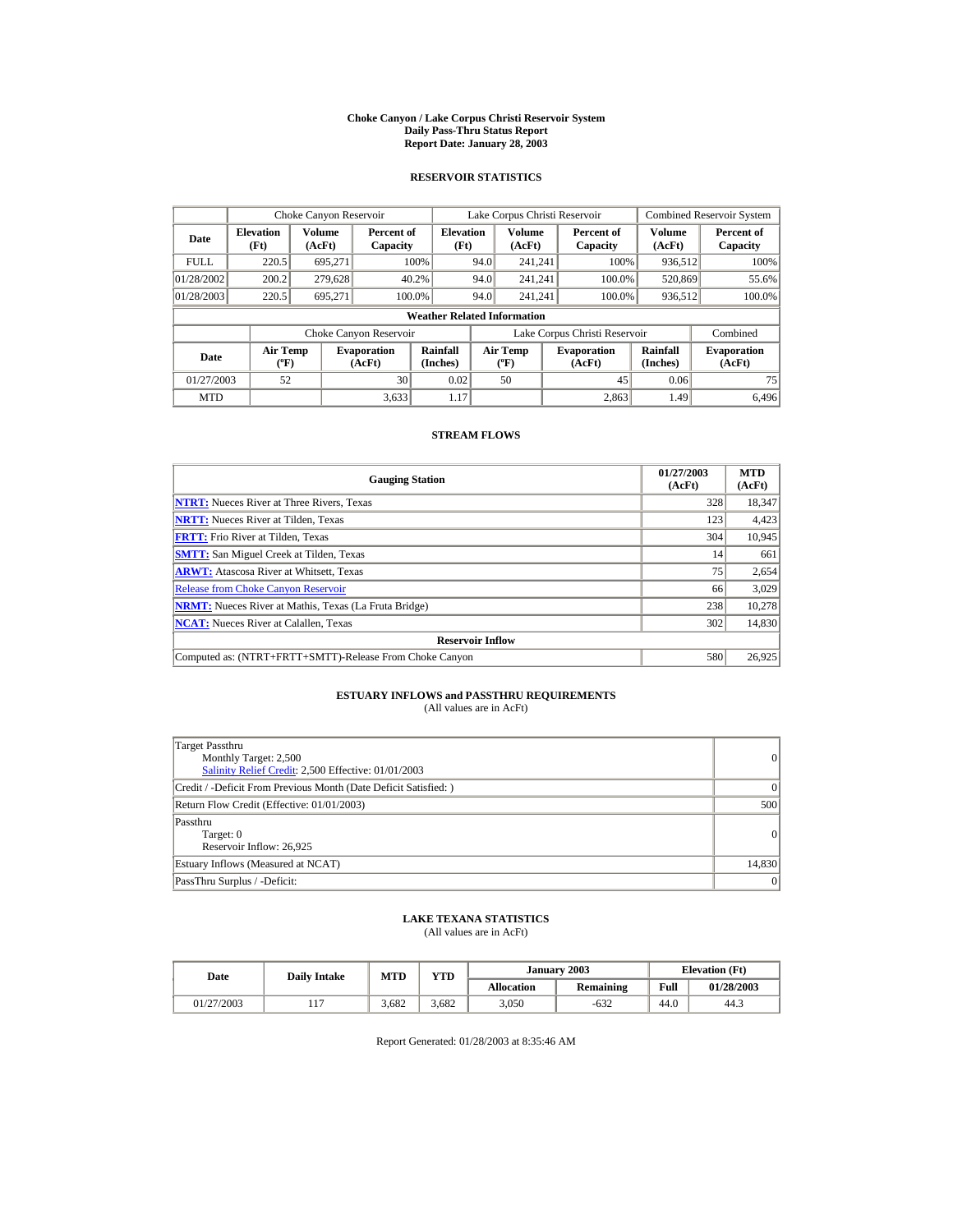#### **Choke Canyon / Lake Corpus Christi Reservoir System Daily Pass-Thru Status Report Report Date: January 28, 2003**

## **RESERVOIR STATISTICS**

| Choke Canyon Reservoir |                                             |                  |                              |                                    |      | Lake Corpus Christi Reservoir            |                               |                      | <b>Combined Reservoir System</b> |
|------------------------|---------------------------------------------|------------------|------------------------------|------------------------------------|------|------------------------------------------|-------------------------------|----------------------|----------------------------------|
| Date                   | <b>Elevation</b><br>(Ft)                    | Volume<br>(AcFt) | Percent of<br>Capacity       | <b>Elevation</b><br>(Ft)           |      | <b>Volume</b><br>(AcFt)                  | Percent of<br>Capacity        | Volume<br>(AcFt)     | Percent of<br>Capacity           |
| <b>FULL</b>            | 220.5                                       | 695.271          |                              | 100%                               | 94.0 | 241.241                                  | 100%                          | 936,512              | 100%                             |
| 01/28/2002             | 200.2                                       | 279,628          |                              | 40.2%                              | 94.0 | 241.241                                  | 100.0%                        | 520,869              | 55.6%                            |
| 01/28/2003             | 220.5                                       | 695,271          | 100.0%                       |                                    | 94.0 | 241.241                                  | 100.0%                        | 936,512              | 100.0%                           |
|                        |                                             |                  |                              | <b>Weather Related Information</b> |      |                                          |                               |                      |                                  |
|                        |                                             |                  | Choke Canyon Reservoir       |                                    |      |                                          | Lake Corpus Christi Reservoir |                      | Combined                         |
| Date                   | <b>Air Temp</b><br>$({}^{\circ}\mathrm{F})$ |                  | <b>Evaporation</b><br>(AcFt) | Rainfall<br>(Inches)               |      | <b>Air Temp</b><br>$({}^{\circ}{\rm F})$ | <b>Evaporation</b><br>(AcFt)  | Rainfall<br>(Inches) | <b>Evaporation</b><br>(AcFt)     |
| 01/27/2003             | 52                                          |                  | 30                           | 0.02                               |      | 50                                       | 45                            | 0.06                 | 75                               |
| <b>MTD</b>             |                                             |                  | 3.633                        | 1.17                               |      |                                          | 2.863                         | 1.49                 | 6.496                            |

## **STREAM FLOWS**

| <b>Gauging Station</b>                                       | 01/27/2003<br>(AcFt) | <b>MTD</b><br>(AcFt) |
|--------------------------------------------------------------|----------------------|----------------------|
| <b>NTRT:</b> Nueces River at Three Rivers, Texas             | 328                  | 18,347               |
| <b>NRTT:</b> Nueces River at Tilden, Texas                   | 123                  | 4,423                |
| <b>FRTT:</b> Frio River at Tilden, Texas                     | 304                  | 10,945               |
| <b>SMTT:</b> San Miguel Creek at Tilden, Texas               | 14                   | 661                  |
| <b>ARWT:</b> Atascosa River at Whitsett, Texas               | 75                   | 2,654                |
| <b>Release from Choke Canyon Reservoir</b>                   | 66                   | 3,029                |
| <b>NRMT:</b> Nueces River at Mathis, Texas (La Fruta Bridge) | 238                  | 10.278               |
| <b>NCAT:</b> Nueces River at Calallen, Texas                 | 302                  | 14,830               |
| <b>Reservoir Inflow</b>                                      |                      |                      |
| Computed as: (NTRT+FRTT+SMTT)-Release From Choke Canyon      | 580                  | 26,925               |

# **ESTUARY INFLOWS and PASSTHRU REQUIREMENTS**<br>(All values are in AcFt)

| Target Passthru<br>Monthly Target: 2,500<br>Salinity Relief Credit: 2,500 Effective: 01/01/2003 | 0              |
|-------------------------------------------------------------------------------------------------|----------------|
| Credit / -Deficit From Previous Month (Date Deficit Satisfied:)                                 | $\Omega$       |
| Return Flow Credit (Effective: 01/01/2003)                                                      | 500            |
| Passthru<br>Target: 0<br>Reservoir Inflow: 26,925                                               | $\overline{0}$ |
| Estuary Inflows (Measured at NCAT)                                                              | 14.830         |
| PassThru Surplus / -Deficit:                                                                    | 0              |

## **LAKE TEXANA STATISTICS**

(All values are in AcFt)

| Date       | <b>Daily Intake</b> | <b>MTD</b> | YTD   |                   | January 2003 | <b>Elevation</b> (Ft) |            |
|------------|---------------------|------------|-------|-------------------|--------------|-----------------------|------------|
|            |                     |            |       | <b>Allocation</b> | Remaining    | Full                  | 01/28/2003 |
| 01/27/2003 | 1 <sup>7</sup><br>. | 3.682      | 3.682 | 3,050             | $-632$       | 44.0                  | 44.3       |

Report Generated: 01/28/2003 at 8:35:46 AM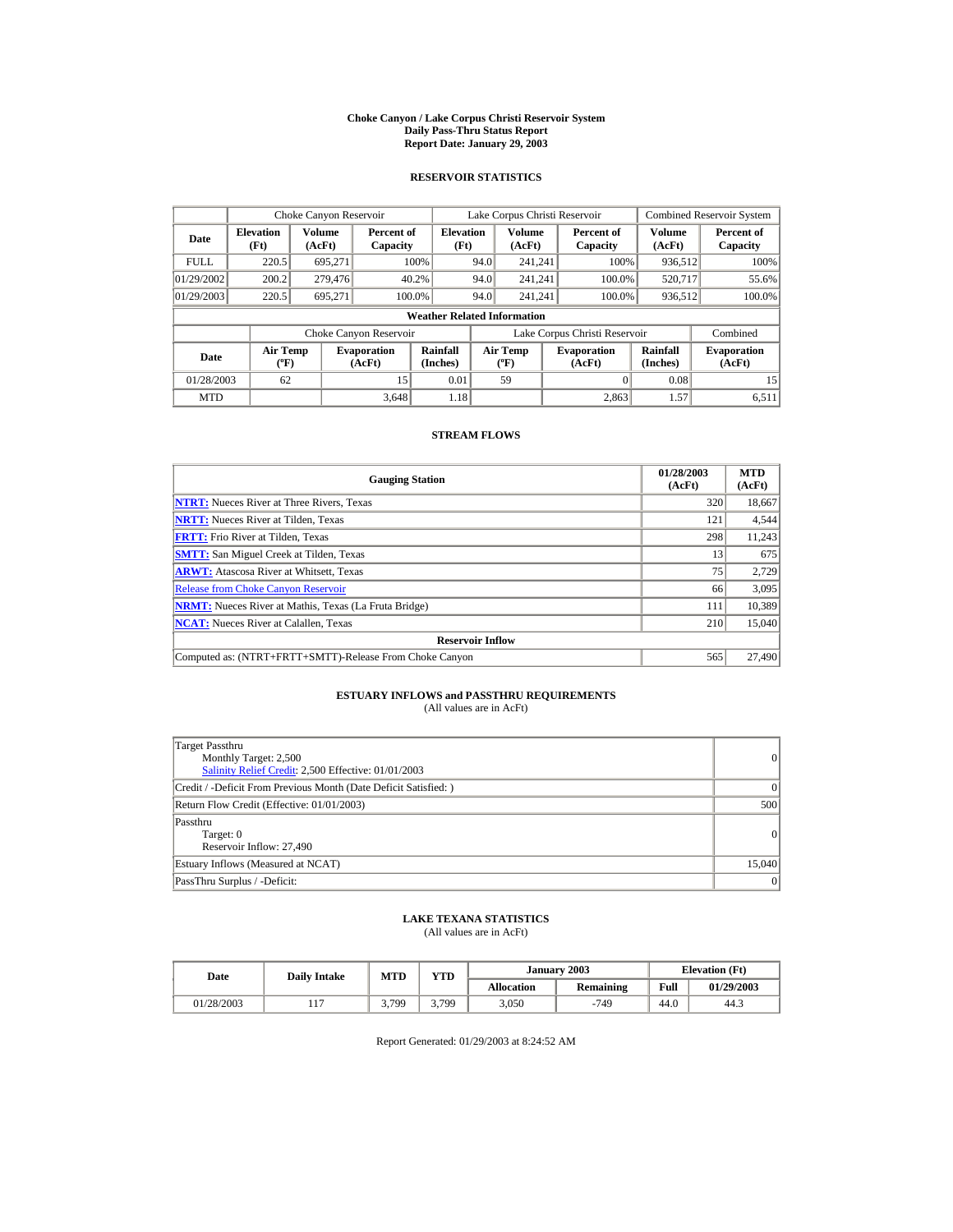#### **Choke Canyon / Lake Corpus Christi Reservoir System Daily Pass-Thru Status Report Report Date: January 29, 2003**

## **RESERVOIR STATISTICS**

| Choke Canyon Reservoir |                                             |                         |                              |                                    |      | Lake Corpus Christi Reservoir            |                               |                      | <b>Combined Reservoir System</b> |
|------------------------|---------------------------------------------|-------------------------|------------------------------|------------------------------------|------|------------------------------------------|-------------------------------|----------------------|----------------------------------|
| Date                   | <b>Elevation</b><br>(Ft)                    | <b>Volume</b><br>(AcFt) | Percent of<br>Capacity       | <b>Elevation</b><br>(Ft)           |      | <b>Volume</b><br>(AcFt)                  | Percent of<br>Capacity        | Volume<br>(AcFt)     | Percent of<br>Capacity           |
| <b>FULL</b>            | 220.5                                       | 695.271                 |                              | 100%                               | 94.0 | 241.241                                  | 100%                          | 936,512              | 100%                             |
| 01/29/2002             | 200.2                                       | 279,476                 |                              | 40.2%                              | 94.0 | 241.241                                  | 100.0%                        | 520,717              | 55.6%                            |
| 01/29/2003             | 220.5                                       | 695,271                 |                              | 100.0%                             | 94.0 | 241.241                                  | 100.0%                        | 936,512              | 100.0%                           |
|                        |                                             |                         |                              | <b>Weather Related Information</b> |      |                                          |                               |                      |                                  |
|                        |                                             |                         | Choke Canyon Reservoir       |                                    |      |                                          | Lake Corpus Christi Reservoir |                      | Combined                         |
| Date                   | <b>Air Temp</b><br>$({}^{\circ}\mathrm{F})$ |                         | <b>Evaporation</b><br>(AcFt) | Rainfall<br>(Inches)               |      | <b>Air Temp</b><br>$({}^{\circ}{\rm F})$ | <b>Evaporation</b><br>(AcFt)  | Rainfall<br>(Inches) | <b>Evaporation</b><br>(AcFt)     |
| 01/28/2003             | 62                                          |                         | 15                           | 0.01                               |      | 59                                       |                               | 0.08                 | 15                               |
| <b>MTD</b>             |                                             |                         | 3.648                        | 1.18                               |      |                                          | 2.863                         | 1.57                 | 6.511                            |

## **STREAM FLOWS**

| <b>Gauging Station</b>                                       | 01/28/2003<br>(AcFt) | <b>MTD</b><br>(AcFt) |
|--------------------------------------------------------------|----------------------|----------------------|
| <b>NTRT:</b> Nueces River at Three Rivers, Texas             | 320                  | 18,667               |
| <b>NRTT:</b> Nueces River at Tilden, Texas                   | 121                  | 4,544                |
| <b>FRTT:</b> Frio River at Tilden, Texas                     | 298                  | 11,243               |
| <b>SMTT:</b> San Miguel Creek at Tilden, Texas               | 13                   | 675                  |
| <b>ARWT:</b> Atascosa River at Whitsett, Texas               | 75                   | 2,729                |
| <b>Release from Choke Canyon Reservoir</b>                   | 66                   | 3,095                |
| <b>NRMT:</b> Nueces River at Mathis, Texas (La Fruta Bridge) | 111                  | 10,389               |
| <b>NCAT:</b> Nueces River at Calallen, Texas                 | 210                  | 15,040               |
| <b>Reservoir Inflow</b>                                      |                      |                      |
| Computed as: (NTRT+FRTT+SMTT)-Release From Choke Canyon      | 565                  | 27,490               |

# **ESTUARY INFLOWS and PASSTHRU REQUIREMENTS**<br>(All values are in AcFt)

| Target Passthru<br>Monthly Target: 2,500<br>Salinity Relief Credit: 2,500 Effective: 01/01/2003 | 0      |
|-------------------------------------------------------------------------------------------------|--------|
| Credit / -Deficit From Previous Month (Date Deficit Satisfied: )                                | 0      |
| Return Flow Credit (Effective: 01/01/2003)                                                      | 500    |
| Passthru<br>Target: 0<br>Reservoir Inflow: 27,490                                               | 0      |
| Estuary Inflows (Measured at NCAT)                                                              | 15,040 |
| PassThru Surplus / -Deficit:                                                                    | 0      |

## **LAKE TEXANA STATISTICS**

(All values are in AcFt)

| Date       | <b>Daily Intake</b> | <b>MTD</b> | YTD   |            | January 2003 |      | <b>Elevation</b> (Ft) |
|------------|---------------------|------------|-------|------------|--------------|------|-----------------------|
|            |                     |            |       | Allocation | Remaining    | Full | 01/29/2003            |
| 01/28/2003 |                     | 3.799      | 3.799 | 3,050      | -749         | 44.0 | 44.3                  |

Report Generated: 01/29/2003 at 8:24:52 AM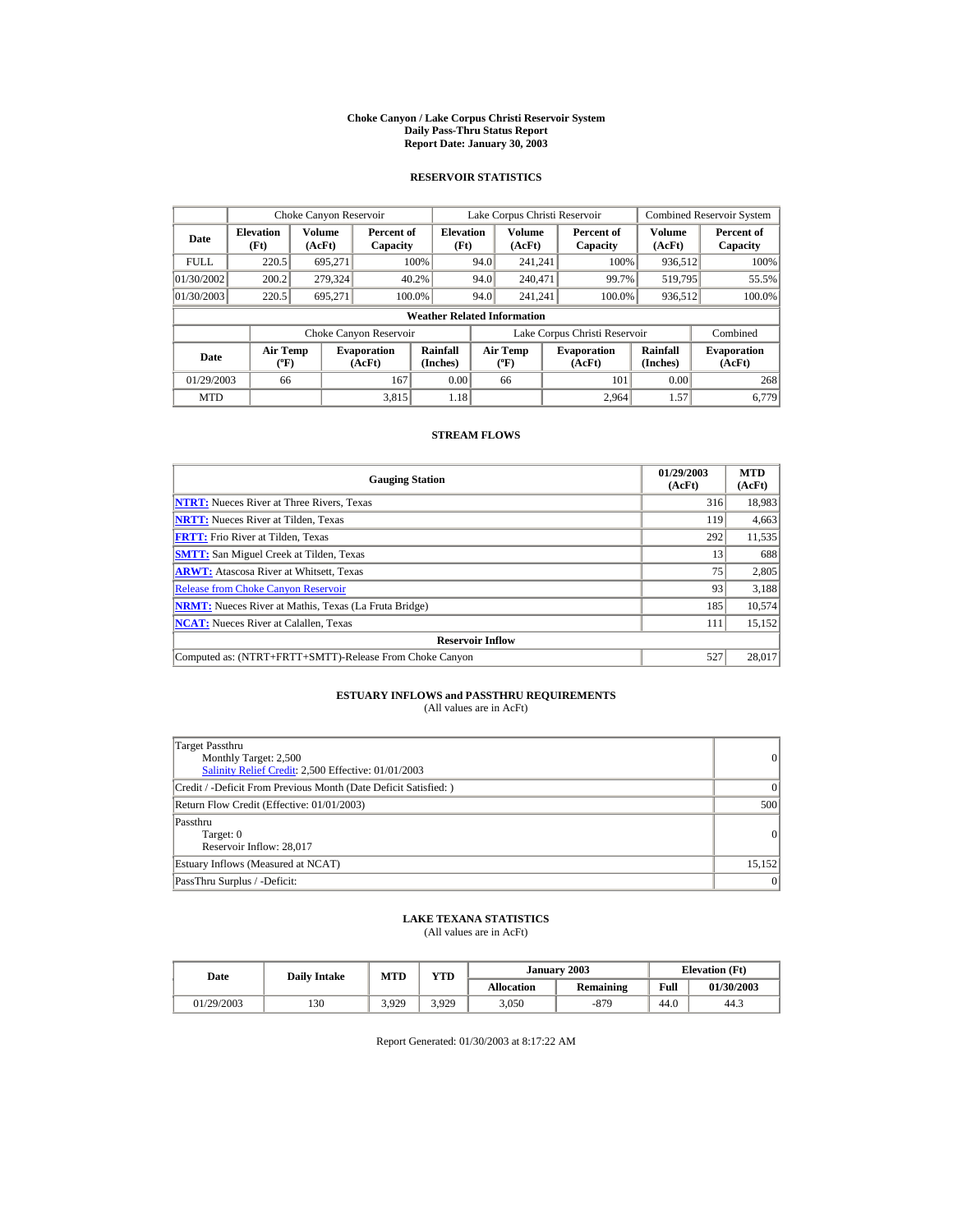#### **Choke Canyon / Lake Corpus Christi Reservoir System Daily Pass-Thru Status Report Report Date: January 30, 2003**

## **RESERVOIR STATISTICS**

|             | Choke Canyon Reservoir                      |                  |                              |                                    |      | Lake Corpus Christi Reservoir    |                               |                      | <b>Combined Reservoir System</b> |
|-------------|---------------------------------------------|------------------|------------------------------|------------------------------------|------|----------------------------------|-------------------------------|----------------------|----------------------------------|
| Date        | <b>Elevation</b><br>(Ft)                    | Volume<br>(AcFt) | Percent of<br>Capacity       | <b>Elevation</b><br>(Ft)           |      | Volume<br>(AcFt)                 | Percent of<br>Capacity        | Volume<br>(AcFt)     | Percent of<br>Capacity           |
| <b>FULL</b> | 220.5                                       | 695.271          |                              | 100%                               | 94.0 | 241.241                          | 100%                          | 936,512              | 100%                             |
| 01/30/2002  | 200.2                                       | 279,324          |                              | 40.2%                              | 94.0 | 240,471                          | 99.7%                         | 519,795              | 55.5%                            |
| 01/30/2003  | 220.5                                       | 695.271          |                              | 100.0%                             | 94.0 | 241.241                          | 100.0%                        | 936,512              | 100.0%                           |
|             |                                             |                  |                              | <b>Weather Related Information</b> |      |                                  |                               |                      |                                  |
|             |                                             |                  | Choke Canyon Reservoir       |                                    |      |                                  | Lake Corpus Christi Reservoir |                      | Combined                         |
| Date        | <b>Air Temp</b><br>$({}^{\circ}\mathrm{F})$ |                  | <b>Evaporation</b><br>(AcFt) | Rainfall<br>(Inches)               |      | <b>Air Temp</b><br>$(^{\circ}F)$ | <b>Evaporation</b><br>(AcFt)  | Rainfall<br>(Inches) | <b>Evaporation</b><br>(AcFt)     |
| 01/29/2003  | 66                                          |                  | 167                          | 0.00                               |      | 66                               | 101                           | 0.00                 | 268                              |
| <b>MTD</b>  |                                             |                  | 3.815                        | 1.18                               |      |                                  | 2.964                         | 1.57                 | 6.779                            |

## **STREAM FLOWS**

| <b>Gauging Station</b>                                       | 01/29/2003<br>(AcFt) | <b>MTD</b><br>(AcFt) |
|--------------------------------------------------------------|----------------------|----------------------|
| <b>NTRT:</b> Nueces River at Three Rivers, Texas             | 316                  | 18,983               |
| <b>NRTT:</b> Nueces River at Tilden, Texas                   | 119                  | 4,663                |
| <b>FRTT:</b> Frio River at Tilden, Texas                     | 292                  | 11,535               |
| <b>SMTT:</b> San Miguel Creek at Tilden, Texas               | 13                   | 688                  |
| <b>ARWT:</b> Atascosa River at Whitsett, Texas               | 75                   | 2,805                |
| <b>Release from Choke Canvon Reservoir</b>                   | 93                   | 3,188                |
| <b>NRMT:</b> Nueces River at Mathis, Texas (La Fruta Bridge) | 185                  | 10.574               |
| <b>NCAT:</b> Nueces River at Calallen, Texas                 | 111                  | 15,152               |
| <b>Reservoir Inflow</b>                                      |                      |                      |
| Computed as: (NTRT+FRTT+SMTT)-Release From Choke Canyon      | 527                  | 28,017               |

# **ESTUARY INFLOWS and PASSTHRU REQUIREMENTS**<br>(All values are in AcFt)

| Target Passthru<br>Monthly Target: 2,500<br>Salinity Relief Credit: 2,500 Effective: 01/01/2003 | 0              |
|-------------------------------------------------------------------------------------------------|----------------|
| Credit / -Deficit From Previous Month (Date Deficit Satisfied:)                                 | $\Omega$       |
| Return Flow Credit (Effective: 01/01/2003)                                                      | 500            |
| Passthru<br>Target: 0<br>Reservoir Inflow: 28,017                                               | $\overline{0}$ |
| Estuary Inflows (Measured at NCAT)                                                              | 15.152         |
| PassThru Surplus / -Deficit:                                                                    | 0              |

## **LAKE TEXANA STATISTICS**

(All values are in AcFt)

| Date |            | <b>Daily Intake</b> | <b>MTD</b> | $\mathbf{v}\mathbf{T}\mathbf{D}$ |                   | January 2003 |      | <b>Elevation</b> (Ft) |
|------|------------|---------------------|------------|----------------------------------|-------------------|--------------|------|-----------------------|
|      |            |                     |            |                                  | <b>Allocation</b> | Remaining    | Full | 01/30/2003            |
|      | 01/29/2003 | 130                 | 3.929      | 3.929                            | 3,050             | -879         | 44.0 | 44.3                  |

Report Generated: 01/30/2003 at 8:17:22 AM